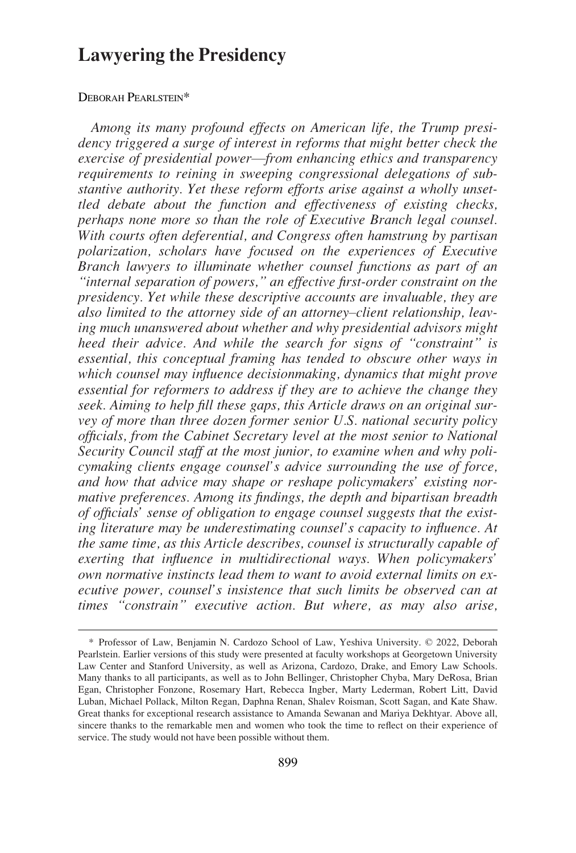# **Lawyering the Presidency**

## DEBORAH PEARLSTEIN\*

*Among its many profound effects on American life, the Trump presidency triggered a surge of interest in reforms that might better check the exercise of presidential power*—*from enhancing ethics and transparency requirements to reining in sweeping congressional delegations of substantive authority. Yet these reform efforts arise against a wholly unsettled debate about the function and effectiveness of existing checks, perhaps none more so than the role of Executive Branch legal counsel. With courts often deferential, and Congress often hamstrung by partisan polarization, scholars have focused on the experiences of Executive Branch lawyers to illuminate whether counsel functions as part of an "internal separation of powers," an effective first-order constraint on the presidency. Yet while these descriptive accounts are invaluable, they are also limited to the attorney side of an attorney*–*client relationship, leaving much unanswered about whether and why presidential advisors might heed their advice. And while the search for signs of "constraint" is essential, this conceptual framing has tended to obscure other ways in which counsel may influence decisionmaking, dynamics that might prove essential for reformers to address if they are to achieve the change they seek. Aiming to help fill these gaps, this Article draws on an original survey of more than three dozen former senior U.S. national security policy officials, from the Cabinet Secretary level at the most senior to National Security Council staff at the most junior, to examine when and why policymaking clients engage counsel's advice surrounding the use of force, and how that advice may shape or reshape policymakers' existing normative preferences. Among its findings, the depth and bipartisan breadth of officials' sense of obligation to engage counsel suggests that the existing literature may be underestimating counsel's capacity to influence. At the same time, as this Article describes, counsel is structurally capable of exerting that influence in multidirectional ways. When policymakers' own normative instincts lead them to want to avoid external limits on executive power, counsel's insistence that such limits be observed can at times "constrain" executive action. But where, as may also arise,* 

<sup>\*</sup> Professor of Law, Benjamin N. Cardozo School of Law, Yeshiva University. © 2022, Deborah Pearlstein. Earlier versions of this study were presented at faculty workshops at Georgetown University Law Center and Stanford University, as well as Arizona, Cardozo, Drake, and Emory Law Schools. Many thanks to all participants, as well as to John Bellinger, Christopher Chyba, Mary DeRosa, Brian Egan, Christopher Fonzone, Rosemary Hart, Rebecca Ingber, Marty Lederman, Robert Litt, David Luban, Michael Pollack, Milton Regan, Daphna Renan, Shalev Roisman, Scott Sagan, and Kate Shaw. Great thanks for exceptional research assistance to Amanda Sewanan and Mariya Dekhtyar. Above all, sincere thanks to the remarkable men and women who took the time to reflect on their experience of service. The study would not have been possible without them.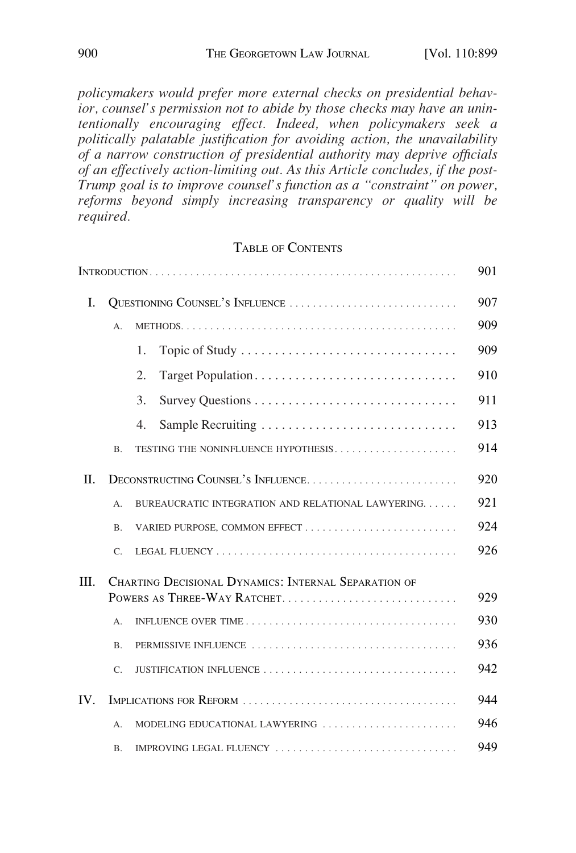*policymakers would prefer more external checks on presidential behavior, counsel's permission not to abide by those checks may have an unintentionally encouraging effect. Indeed, when policymakers seek a politically palatable justification for avoiding action, the unavailability of a narrow construction of presidential authority may deprive officials of an effectively action-limiting out. As this Article concludes, if the post-Trump goal is to improve counsel's function as a "constraint" on power, reforms beyond simply increasing transparency or quality will be required.* 

# TABLE OF CONTENTS

|         |                                 |                                                      | 901 |
|---------|---------------------------------|------------------------------------------------------|-----|
| L       | QUESTIONING COUNSEL'S INFLUENCE |                                                      | 907 |
|         | A.                              |                                                      | 909 |
|         |                                 | Topic of Study<br>1.                                 | 909 |
|         |                                 | $\overline{2}$ .                                     | 910 |
|         |                                 | 3.                                                   | 911 |
|         |                                 | 4.<br>Sample Recruiting                              | 913 |
|         | <b>B.</b>                       | TESTING THE NONINFLUENCE HYPOTHESIS                  | 914 |
| $\Pi$ . |                                 | DECONSTRUCTING COUNSEL'S INFLUENCE                   | 920 |
|         | А.                              | BUREAUCRATIC INTEGRATION AND RELATIONAL LAWYERING    | 921 |
|         | <b>B.</b>                       |                                                      | 924 |
|         | C.                              |                                                      | 926 |
| Ш.      |                                 | CHARTING DECISIONAL DYNAMICS: INTERNAL SEPARATION OF | 929 |
|         | A.                              |                                                      | 930 |
|         | <b>B.</b>                       | PERMISSIVE INFLUENCE                                 | 936 |
|         | C.                              | JUSTIFICATION INFLUENCE                              | 942 |
| IV.     |                                 |                                                      | 944 |
|         | А.                              | MODELING EDUCATIONAL LAWYERING                       | 946 |
|         | <b>B.</b>                       | IMPROVING LEGAL FLUENCY                              | 949 |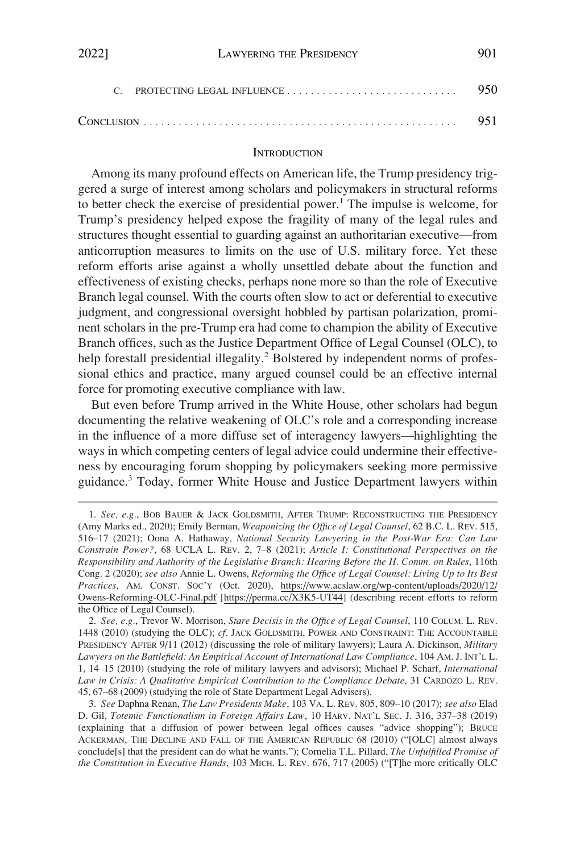<span id="page-2-0"></span>

## **INTRODUCTION**

Among its many profound effects on American life, the Trump presidency triggered a surge of interest among scholars and policymakers in structural reforms to better check the exercise of presidential power.<sup>1</sup> The impulse is welcome, for Trump's presidency helped expose the fragility of many of the legal rules and structures thought essential to guarding against an authoritarian executive—from anticorruption measures to limits on the use of U.S. military force. Yet these reform efforts arise against a wholly unsettled debate about the function and effectiveness of existing checks, perhaps none more so than the role of Executive Branch legal counsel. With the courts often slow to act or deferential to executive judgment, and congressional oversight hobbled by partisan polarization, prominent scholars in the pre-Trump era had come to champion the ability of Executive Branch offices, such as the Justice Department Office of Legal Counsel (OLC), to help forestall presidential illegality.<sup>2</sup> Bolstered by independent norms of professional ethics and practice, many argued counsel could be an effective internal force for promoting executive compliance with law.

But even before Trump arrived in the White House, other scholars had begun documenting the relative weakening of OLC's role and a corresponding increase in the influence of a more diffuse set of interagency lawyers—highlighting the ways in which competing centers of legal advice could undermine their effectiveness by encouraging forum shopping by policymakers seeking more permissive guidance.3 Today, former White House and Justice Department lawyers within

<sup>1.</sup> See, e.g., BOB BAUER & JACK GOLDSMITH, AFTER TRUMP: RECONSTRUCTING THE PRESIDENCY (Amy Marks ed., 2020); Emily Berman, *Weaponizing the Office of Legal Counsel*, 62 B.C. L. REV. 515, 516–17 (2021); Oona A. Hathaway, *National Security Lawyering in the Post-War Era: Can Law Constrain Power?*, 68 UCLA L. REV. 2, 7–8 (2021); *Article I: Constitutional Perspectives on the Responsibility and Authority of the Legislative Branch: Hearing Before the H. Comm. on Rules*, 116th Cong. 2 (2020); *see also* Annie L. Owens, *Reforming the Office of Legal Counsel: Living Up to Its Best Practices*, AM. CONST. SOC'Y (Oct. 2020), [https://www.acslaw.org/wp-content/uploads/2020/12/](https://www.acslaw.org/wp-content/uploads/2020/12/Owens-Reforming-OLC-Final.pdf)  [Owens-Reforming-OLC-Final.pdf](https://www.acslaw.org/wp-content/uploads/2020/12/Owens-Reforming-OLC-Final.pdf) [\[https://perma.cc/X3K5-UT44\]](https://perma.cc/X3K5-UT44) (describing recent efforts to reform the Office of Legal Counsel).

<sup>2.</sup> *See, e.g.*, Trevor W. Morrison, *Stare Decisis in the Office of Legal Counsel*, 110 COLUM. L. REV. 1448 (2010) (studying the OLC); *cf.* JACK GOLDSMITH, POWER AND CONSTRAINT: THE ACCOUNTABLE PRESIDENCY AFTER 9/11 (2012) (discussing the role of military lawyers); Laura A. Dickinson, *Military Lawyers on the Battlefield: An Empirical Account of International Law Compliance*, 104 AM. J. INT'L L. 1, 14–15 (2010) (studying the role of military lawyers and advisors); Michael P. Scharf, *International Law in Crisis: A Qualitative Empirical Contribution to the Compliance Debate*, 31 CARDOZO L. REV. 45, 67–68 (2009) (studying the role of State Department Legal Advisers).

<sup>3.</sup> *See* Daphna Renan, *The Law Presidents Make*, 103 VA. L. REV. 805, 809–10 (2017); *see also* Elad D. Gil, *Totemic Functionalism in Foreign Affairs Law*, 10 HARV. NAT'L SEC. J. 316, 337–38 (2019) (explaining that a diffusion of power between legal offices causes "advice shopping"); BRUCE ACKERMAN, THE DECLINE AND FALL OF THE AMERICAN REPUBLIC 68 (2010) ("[OLC] almost always conclude[s] that the president can do what he wants."); Cornelia T.L. Pillard, *The Unfulfilled Promise of the Constitution in Executive Hands*, 103 MICH. L. REV. 676, 717 (2005) ("[T]he more critically OLC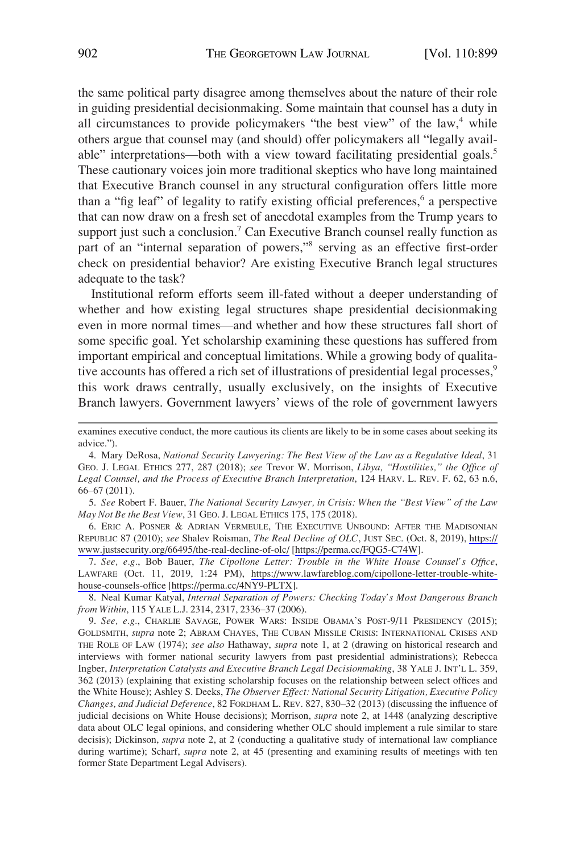the same political party disagree among themselves about the nature of their role in guiding presidential decisionmaking. Some maintain that counsel has a duty in all circumstances to provide policymakers "the best view" of the law, $4$  while others argue that counsel may (and should) offer policymakers all "legally available" interpretations—both with a view toward facilitating presidential goals.<sup>5</sup> These cautionary voices join more traditional skeptics who have long maintained that Executive Branch counsel in any structural configuration offers little more than a "fig leaf" of legality to ratify existing official preferences,<sup>6</sup> a perspective that can now draw on a fresh set of anecdotal examples from the Trump years to support just such a conclusion.<sup>7</sup> Can Executive Branch counsel really function as part of an "internal separation of powers,"8 serving as an effective first-order check on presidential behavior? Are existing Executive Branch legal structures adequate to the task?

Institutional reform efforts seem ill-fated without a deeper understanding of whether and how existing legal structures shape presidential decisionmaking even in more normal times—and whether and how these structures fall short of some specific goal. Yet scholarship examining these questions has suffered from important empirical and conceptual limitations. While a growing body of qualitative accounts has offered a rich set of illustrations of presidential legal processes,<sup>9</sup> this work draws centrally, usually exclusively, on the insights of Executive Branch lawyers. Government lawyers' views of the role of government lawyers

5. *See* Robert F. Bauer, *The National Security Lawyer, in Crisis: When the "Best View" of the Law May Not Be the Best View*, 31 GEO. J. LEGAL ETHICS 175, 175 (2018).

6. ERIC A. POSNER & ADRIAN VERMEULE, THE EXECUTIVE UNBOUND: AFTER THE MADISONIAN REPUBLIC 87 (2010); *see* Shalev Roisman, *The Real Decline of OLC*, JUST SEC. (Oct. 8, 2019), [https://](https://www.justsecurity.org/66495/the-real-decline-of-olc/)  [www.justsecurity.org/66495/the-real-decline-of-olc/](https://www.justsecurity.org/66495/the-real-decline-of-olc/) [\[https://perma.cc/FQG5-C74W\]](https://perma.cc/FQG5-C74W).

*See, e.g.*, Bob Bauer, *The Cipollone Letter: Trouble in the White House Counsel's Office*, 7. LAWFARE (Oct. 11, 2019, 1:24 PM), [https://www.lawfareblog.com/cipollone-letter-trouble-white](https://www.lawfareblog.com/cipollone-letter-trouble-white-house-counsels-office)[house-counsels-office](https://www.lawfareblog.com/cipollone-letter-trouble-white-house-counsels-office) [[https://perma.cc/4NY9-PLTX\]](https://perma.cc/4NY9-PLTX).

8. Neal Kumar Katyal, *Internal Separation of Powers: Checking Today's Most Dangerous Branch from Within*, 115 YALE L.J. 2314, 2317, 2336–37 (2006).

9. *See, e.g.*, CHARLIE SAVAGE, POWER WARS: INSIDE OBAMA'S POST-9/11 PRESIDENCY (2015); GOLDSMITH, *supra* note 2; ABRAM CHAYES, THE CUBAN MISSILE CRISIS: INTERNATIONAL CRISES AND THE ROLE OF LAW (1974); *see also* Hathaway, *supra* note 1, at 2 (drawing on historical research and interviews with former national security lawyers from past presidential administrations); Rebecca Ingber, *Interpretation Catalysts and Executive Branch Legal Decisionmaking*, 38 YALE J. INT'L L. 359, 362 (2013) (explaining that existing scholarship focuses on the relationship between select offices and the White House); Ashley S. Deeks, *The Observer Effect: National Security Litigation, Executive Policy Changes, and Judicial Deference*, 82 FORDHAM L. REV. 827, 830–32 (2013) (discussing the influence of judicial decisions on White House decisions); Morrison, *supra* note 2, at 1448 (analyzing descriptive data about OLC legal opinions, and considering whether OLC should implement a rule similar to stare decisis); Dickinson, *supra* note 2, at 2 (conducting a qualitative study of international law compliance during wartime); Scharf, *supra* note 2, at 45 (presenting and examining results of meetings with ten former State Department Legal Advisers).

examines executive conduct, the more cautious its clients are likely to be in some cases about seeking its advice.").

<sup>4.</sup> Mary DeRosa, *National Security Lawyering: The Best View of the Law as a Regulative Ideal*, 31 GEO. J. LEGAL ETHICS 277, 287 (2018); *see* Trevor W. Morrison, *Libya, "Hostilities," the Office of Legal Counsel, and the Process of Executive Branch Interpretation*, 124 HARV. L. REV. F. 62, 63 n.6, 66–67 (2011).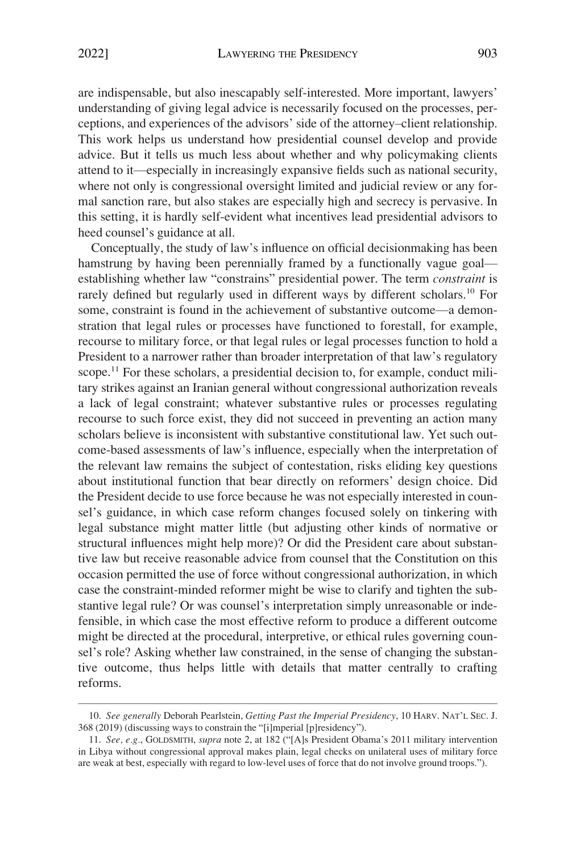are indispensable, but also inescapably self-interested. More important, lawyers' understanding of giving legal advice is necessarily focused on the processes, perceptions, and experiences of the advisors' side of the attorney–client relationship. This work helps us understand how presidential counsel develop and provide advice. But it tells us much less about whether and why policymaking clients attend to it—especially in increasingly expansive fields such as national security, where not only is congressional oversight limited and judicial review or any formal sanction rare, but also stakes are especially high and secrecy is pervasive. In this setting, it is hardly self-evident what incentives lead presidential advisors to heed counsel's guidance at all.

Conceptually, the study of law's influence on official decisionmaking has been hamstrung by having been perennially framed by a functionally vague goal establishing whether law "constrains" presidential power. The term *constraint* is rarely defined but regularly used in different ways by different scholars.<sup>10</sup> For some, constraint is found in the achievement of substantive outcome—a demonstration that legal rules or processes have functioned to forestall, for example, recourse to military force, or that legal rules or legal processes function to hold a President to a narrower rather than broader interpretation of that law's regulatory scope.<sup>11</sup> For these scholars, a presidential decision to, for example, conduct military strikes against an Iranian general without congressional authorization reveals a lack of legal constraint; whatever substantive rules or processes regulating recourse to such force exist, they did not succeed in preventing an action many scholars believe is inconsistent with substantive constitutional law. Yet such outcome-based assessments of law's influence, especially when the interpretation of the relevant law remains the subject of contestation, risks eliding key questions about institutional function that bear directly on reformers' design choice. Did the President decide to use force because he was not especially interested in counsel's guidance, in which case reform changes focused solely on tinkering with legal substance might matter little (but adjusting other kinds of normative or structural influences might help more)? Or did the President care about substantive law but receive reasonable advice from counsel that the Constitution on this occasion permitted the use of force without congressional authorization, in which case the constraint-minded reformer might be wise to clarify and tighten the substantive legal rule? Or was counsel's interpretation simply unreasonable or indefensible, in which case the most effective reform to produce a different outcome might be directed at the procedural, interpretive, or ethical rules governing counsel's role? Asking whether law constrained, in the sense of changing the substantive outcome, thus helps little with details that matter centrally to crafting reforms.

<sup>10.</sup> *See generally* Deborah Pearlstein, *Getting Past the Imperial Presidency*, 10 HARV. NAT'L SEC. J. 368 (2019) (discussing ways to constrain the "[i]mperial [p]residency").

<sup>11.</sup> *See, e.g.*, GOLDSMITH, *supra* note 2, at 182 ("[A]s President Obama's 2011 military intervention in Libya without congressional approval makes plain, legal checks on unilateral uses of military force are weak at best, especially with regard to low-level uses of force that do not involve ground troops.").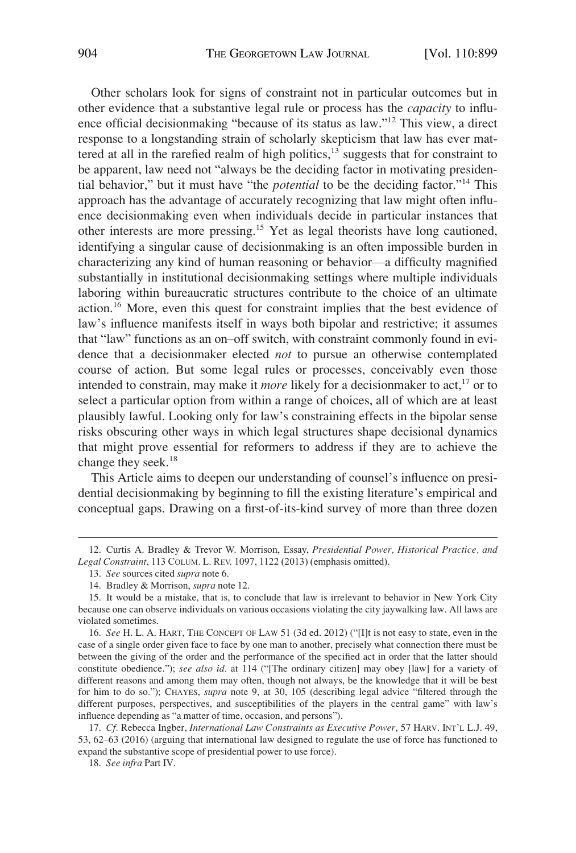Other scholars look for signs of constraint not in particular outcomes but in other evidence that a substantive legal rule or process has the *capacity* to influence official decisionmaking "because of its status as law."12 This view, a direct response to a longstanding strain of scholarly skepticism that law has ever mattered at all in the rarefied realm of high politics, $13$  suggests that for constraint to be apparent, law need not "always be the deciding factor in motivating presidential behavior," but it must have "the *potential* to be the deciding factor."14 This approach has the advantage of accurately recognizing that law might often influence decisionmaking even when individuals decide in particular instances that other interests are more pressing.15 Yet as legal theorists have long cautioned, identifying a singular cause of decisionmaking is an often impossible burden in characterizing any kind of human reasoning or behavior—a difficulty magnified substantially in institutional decisionmaking settings where multiple individuals laboring within bureaucratic structures contribute to the choice of an ultimate action.16 More, even this quest for constraint implies that the best evidence of law's influence manifests itself in ways both bipolar and restrictive; it assumes that "law" functions as an on–off switch, with constraint commonly found in evidence that a decisionmaker elected *not* to pursue an otherwise contemplated course of action. But some legal rules or processes, conceivably even those intended to constrain, may make it *more* likely for a decision maker to act,<sup>17</sup> or to select a particular option from within a range of choices, all of which are at least plausibly lawful. Looking only for law's constraining effects in the bipolar sense risks obscuring other ways in which legal structures shape decisional dynamics that might prove essential for reformers to address if they are to achieve the change they seek.<sup>18</sup>

This Article aims to deepen our understanding of counsel's influence on presidential decisionmaking by beginning to fill the existing literature's empirical and conceptual gaps. Drawing on a first-of-its-kind survey of more than three dozen

<sup>12.</sup> Curtis A. Bradley & Trevor W. Morrison, Essay, *Presidential Power, Historical Practice, and Legal Constraint*, 113 COLUM. L. REV. 1097, 1122 (2013) (emphasis omitted).

<sup>13.</sup> *See* sources cited *supra* note 6.

<sup>14.</sup> Bradley & Morrison, *supra* note 12.

<sup>15.</sup> It would be a mistake, that is, to conclude that law is irrelevant to behavior in New York City because one can observe individuals on various occasions violating the city jaywalking law. All laws are violated sometimes.

<sup>16.</sup> *See* H. L. A. HART, THE CONCEPT OF LAW 51 (3d ed. 2012) ("[I]t is not easy to state, even in the case of a single order given face to face by one man to another, precisely what connection there must be between the giving of the order and the performance of the specified act in order that the latter should constitute obedience."); *see also id.* at 114 ("[The ordinary citizen] may obey [law] for a variety of different reasons and among them may often, though not always, be the knowledge that it will be best for him to do so."); CHAYES, *supra* note 9, at 30, 105 (describing legal advice "filtered through the different purposes, perspectives, and susceptibilities of the players in the central game" with law's influence depending as "a matter of time, occasion, and persons").

<sup>17.</sup> *Cf.* Rebecca Ingber, *International Law Constraints as Executive Power*, 57 HARV. INT'L L.J. 49, 53, 62–63 (2016) (arguing that international law designed to regulate the use of force has functioned to expand the substantive scope of presidential power to use force).

<sup>18.</sup> *See infra* Part IV.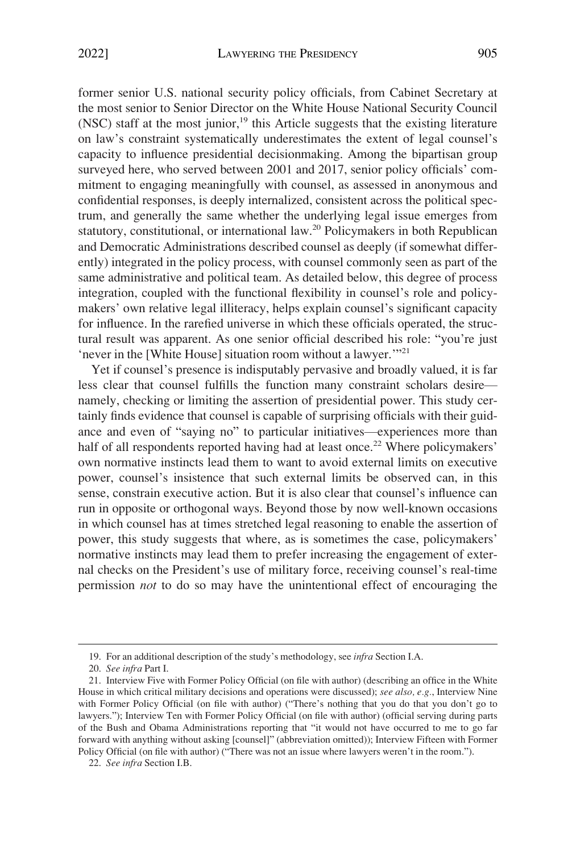former senior U.S. national security policy officials, from Cabinet Secretary at the most senior to Senior Director on the White House National Security Council (NSC) staff at the most junior, $19$  this Article suggests that the existing literature on law's constraint systematically underestimates the extent of legal counsel's capacity to influence presidential decisionmaking. Among the bipartisan group surveyed here, who served between 2001 and 2017, senior policy officials' commitment to engaging meaningfully with counsel, as assessed in anonymous and confidential responses, is deeply internalized, consistent across the political spectrum, and generally the same whether the underlying legal issue emerges from statutory, constitutional, or international law.<sup>20</sup> Policymakers in both Republican and Democratic Administrations described counsel as deeply (if somewhat differently) integrated in the policy process, with counsel commonly seen as part of the same administrative and political team. As detailed below, this degree of process integration, coupled with the functional flexibility in counsel's role and policymakers' own relative legal illiteracy, helps explain counsel's significant capacity for influence. In the rarefied universe in which these officials operated, the structural result was apparent. As one senior official described his role: "you're just 'never in the [White House] situation room without a lawyer.'"<sup>21</sup>

Yet if counsel's presence is indisputably pervasive and broadly valued, it is far less clear that counsel fulfills the function many constraint scholars desire namely, checking or limiting the assertion of presidential power. This study certainly finds evidence that counsel is capable of surprising officials with their guidance and even of "saying no" to particular initiatives—experiences more than half of all respondents reported having had at least once.<sup>22</sup> Where policymakers' own normative instincts lead them to want to avoid external limits on executive power, counsel's insistence that such external limits be observed can, in this sense, constrain executive action. But it is also clear that counsel's influence can run in opposite or orthogonal ways. Beyond those by now well-known occasions in which counsel has at times stretched legal reasoning to enable the assertion of power, this study suggests that where, as is sometimes the case, policymakers' normative instincts may lead them to prefer increasing the engagement of external checks on the President's use of military force, receiving counsel's real-time permission *not* to do so may have the unintentional effect of encouraging the

<sup>19.</sup> For an additional description of the study's methodology, see *infra* Section I.A.

<sup>20.</sup> *See infra* Part I.

<sup>21.</sup> Interview Five with Former Policy Official (on file with author) (describing an office in the White House in which critical military decisions and operations were discussed); *see also, e.g.*, Interview Nine with Former Policy Official (on file with author) ("There's nothing that you do that you don't go to lawyers."); Interview Ten with Former Policy Official (on file with author) (official serving during parts of the Bush and Obama Administrations reporting that "it would not have occurred to me to go far forward with anything without asking [counsel]" (abbreviation omitted)); Interview Fifteen with Former Policy Official (on file with author) ("There was not an issue where lawyers weren't in the room.").

<sup>22.</sup> *See infra* Section I.B.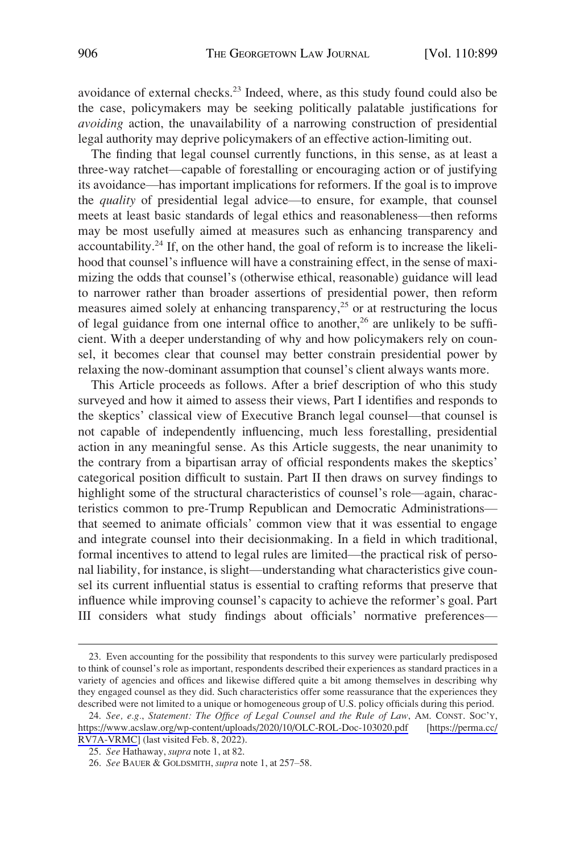avoidance of external checks.23 Indeed, where, as this study found could also be the case, policymakers may be seeking politically palatable justifications for *avoiding* action, the unavailability of a narrowing construction of presidential legal authority may deprive policymakers of an effective action-limiting out.

The finding that legal counsel currently functions, in this sense, as at least a three-way ratchet—capable of forestalling or encouraging action or of justifying its avoidance—has important implications for reformers. If the goal is to improve the *quality* of presidential legal advice—to ensure, for example, that counsel meets at least basic standards of legal ethics and reasonableness—then reforms may be most usefully aimed at measures such as enhancing transparency and accountability.<sup>24</sup> If, on the other hand, the goal of reform is to increase the likelihood that counsel's influence will have a constraining effect, in the sense of maximizing the odds that counsel's (otherwise ethical, reasonable) guidance will lead to narrower rather than broader assertions of presidential power, then reform measures aimed solely at enhancing transparency,25 or at restructuring the locus of legal guidance from one internal office to another,<sup>26</sup> are unlikely to be sufficient. With a deeper understanding of why and how policymakers rely on counsel, it becomes clear that counsel may better constrain presidential power by relaxing the now-dominant assumption that counsel's client always wants more.

This Article proceeds as follows. After a brief description of who this study surveyed and how it aimed to assess their views, Part I identifies and responds to the skeptics' classical view of Executive Branch legal counsel—that counsel is not capable of independently influencing, much less forestalling, presidential action in any meaningful sense. As this Article suggests, the near unanimity to the contrary from a bipartisan array of official respondents makes the skeptics' categorical position difficult to sustain. Part II then draws on survey findings to highlight some of the structural characteristics of counsel's role—again, characteristics common to pre-Trump Republican and Democratic Administrations that seemed to animate officials' common view that it was essential to engage and integrate counsel into their decisionmaking. In a field in which traditional, formal incentives to attend to legal rules are limited—the practical risk of personal liability, for instance, is slight—understanding what characteristics give counsel its current influential status is essential to crafting reforms that preserve that influence while improving counsel's capacity to achieve the reformer's goal. Part III considers what study findings about officials' normative preferences—

<sup>23.</sup> Even accounting for the possibility that respondents to this survey were particularly predisposed to think of counsel's role as important, respondents described their experiences as standard practices in a variety of agencies and offices and likewise differed quite a bit among themselves in describing why they engaged counsel as they did. Such characteristics offer some reassurance that the experiences they described were not limited to a unique or homogeneous group of U.S. policy officials during this period.

*See, e.g.*, *Statement: The Office of Legal Counsel and the Rule of Law*, AM. CONST. SOC'Y, 24. <https://www.acslaw.org/wp-content/uploads/2020/10/OLC-ROL-Doc-103020.pdf>[[https://perma.cc/](https://perma.cc/RV7A-VRMC)  [RV7A-VRMC\]](https://perma.cc/RV7A-VRMC) (last visited Feb. 8, 2022).

<sup>25.</sup> *See* Hathaway, *supra* note 1, at 82.

<sup>26.</sup> *See* BAUER & GOLDSMITH, *supra* note 1, at 257–58.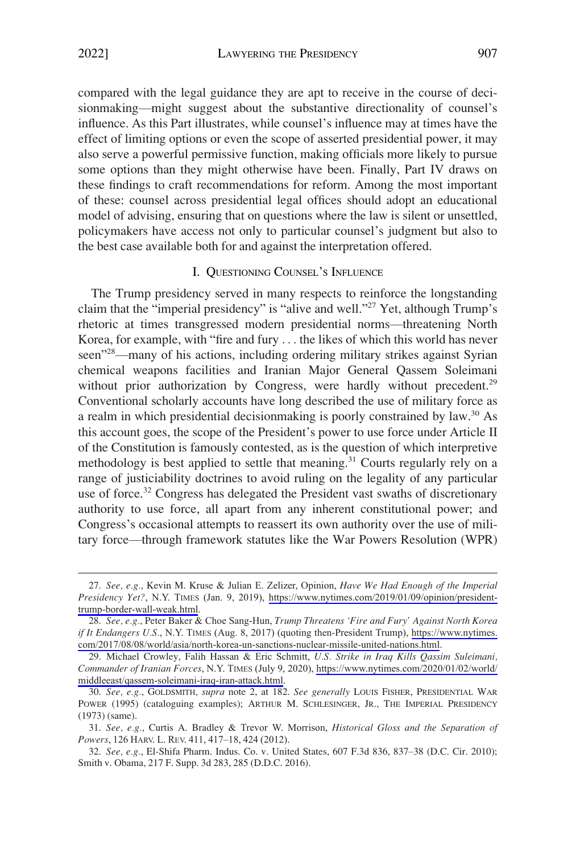<span id="page-8-0"></span>compared with the legal guidance they are apt to receive in the course of decisionmaking—might suggest about the substantive directionality of counsel's influence. As this Part illustrates, while counsel's influence may at times have the effect of limiting options or even the scope of asserted presidential power, it may also serve a powerful permissive function, making officials more likely to pursue some options than they might otherwise have been. Finally, Part IV draws on these findings to craft recommendations for reform. Among the most important of these: counsel across presidential legal offices should adopt an educational model of advising, ensuring that on questions where the law is silent or unsettled, policymakers have access not only to particular counsel's judgment but also to the best case available both for and against the interpretation offered.

# I. QUESTIONING COUNSEL'S INFLUENCE

The Trump presidency served in many respects to reinforce the longstanding claim that the "imperial presidency" is "alive and well."<sup>27</sup> Yet, although Trump's rhetoric at times transgressed modern presidential norms—threatening North Korea, for example, with "fire and fury . . . the likes of which this world has never seen<sup>728</sup>—many of his actions, including ordering military strikes against Syrian chemical weapons facilities and Iranian Major General Qassem Soleimani without prior authorization by Congress, were hardly without precedent.<sup>29</sup> Conventional scholarly accounts have long described the use of military force as a realm in which presidential decisionmaking is poorly constrained by law.30 As this account goes, the scope of the President's power to use force under Article II of the Constitution is famously contested, as is the question of which interpretive methodology is best applied to settle that meaning.<sup>31</sup> Courts regularly rely on a range of justiciability doctrines to avoid ruling on the legality of any particular use of force.<sup>32</sup> Congress has delegated the President vast swaths of discretionary authority to use force, all apart from any inherent constitutional power; and Congress's occasional attempts to reassert its own authority over the use of military force—through framework statutes like the War Powers Resolution (WPR)

*See, e.g.*, Kevin M. Kruse & Julian E. Zelizer, Opinion, *Have We Had Enough of the Imperial*  27. *Presidency Yet?*, N.Y. TIMES (Jan. 9, 2019), [https://www.nytimes.com/2019/01/09/opinion/president](https://www.nytimes.com/2019/01/09/opinion/president-trump-border-wall-weak.html)[trump-border-wall-weak.html](https://www.nytimes.com/2019/01/09/opinion/president-trump-border-wall-weak.html).

*See, e.g.*, Peter Baker & Choe Sang-Hun, *Trump Threatens 'Fire and Fury' Against North Korea*  28. *if It Endangers U.S.*, N.Y. TIMES (Aug. 8, 2017) (quoting then-President Trump), [https://www.nytimes.](https://www.nytimes.com/2017/08/08/world/asia/north-korea-un-sanctions-nuclear-missile-united-nations.html)  [com/2017/08/08/world/asia/north-korea-un-sanctions-nuclear-missile-united-nations.html](https://www.nytimes.com/2017/08/08/world/asia/north-korea-un-sanctions-nuclear-missile-united-nations.html).

Michael Crowley, Falih Hassan & Eric Schmitt, *U.S. Strike in Iraq Kills Qassim Suleimani,*  29. *Commander of Iranian Forces*, N.Y. TIMES (July 9, 2020), [https://www.nytimes.com/2020/01/02/world/](https://www.nytimes.com/2020/01/02/world/middleeast/qassem-soleimani-iraq-iran-attack.html) [middleeast/qassem-soleimani-iraq-iran-attack.html](https://www.nytimes.com/2020/01/02/world/middleeast/qassem-soleimani-iraq-iran-attack.html).

<sup>30.</sup> *See, e.g.*, GOLDSMITH, *supra* note 2, at 182. *See generally* LOUIS FISHER, PRESIDENTIAL WAR POWER (1995) (cataloguing examples); ARTHUR M. SCHLESINGER, JR., THE IMPERIAL PRESIDENCY (1973) (same).

<sup>31.</sup> *See, e.g.*, Curtis A. Bradley & Trevor W. Morrison, *Historical Gloss and the Separation of Powers*, 126 HARV. L. REV. 411, 417–18, 424 (2012).

<sup>32.</sup> *See, e.g.*, El-Shifa Pharm. Indus. Co. v. United States, 607 F.3d 836, 837–38 (D.C. Cir. 2010); Smith v. Obama, 217 F. Supp. 3d 283, 285 (D.D.C. 2016).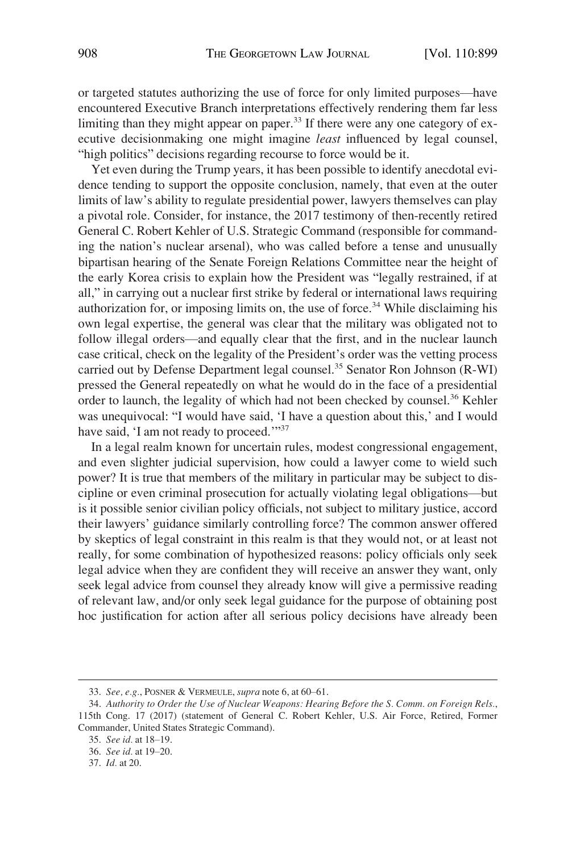or targeted statutes authorizing the use of force for only limited purposes—have encountered Executive Branch interpretations effectively rendering them far less limiting than they might appear on paper.<sup>33</sup> If there were any one category of executive decisionmaking one might imagine *least* influenced by legal counsel, "high politics" decisions regarding recourse to force would be it.

Yet even during the Trump years, it has been possible to identify anecdotal evidence tending to support the opposite conclusion, namely, that even at the outer limits of law's ability to regulate presidential power, lawyers themselves can play a pivotal role. Consider, for instance, the 2017 testimony of then-recently retired General C. Robert Kehler of U.S. Strategic Command (responsible for commanding the nation's nuclear arsenal), who was called before a tense and unusually bipartisan hearing of the Senate Foreign Relations Committee near the height of the early Korea crisis to explain how the President was "legally restrained, if at all," in carrying out a nuclear first strike by federal or international laws requiring authorization for, or imposing limits on, the use of force.<sup>34</sup> While disclaiming his own legal expertise, the general was clear that the military was obligated not to follow illegal orders—and equally clear that the first, and in the nuclear launch case critical, check on the legality of the President's order was the vetting process carried out by Defense Department legal counsel.<sup>35</sup> Senator Ron Johnson (R-WI) pressed the General repeatedly on what he would do in the face of a presidential order to launch, the legality of which had not been checked by counsel.<sup>36</sup> Kehler was unequivocal: "I would have said, 'I have a question about this,' and I would have said, 'I am not ready to proceed.'"<sup>37</sup>

In a legal realm known for uncertain rules, modest congressional engagement, and even slighter judicial supervision, how could a lawyer come to wield such power? It is true that members of the military in particular may be subject to discipline or even criminal prosecution for actually violating legal obligations—but is it possible senior civilian policy officials, not subject to military justice, accord their lawyers' guidance similarly controlling force? The common answer offered by skeptics of legal constraint in this realm is that they would not, or at least not really, for some combination of hypothesized reasons: policy officials only seek legal advice when they are confident they will receive an answer they want, only seek legal advice from counsel they already know will give a permissive reading of relevant law, and/or only seek legal guidance for the purpose of obtaining post hoc justification for action after all serious policy decisions have already been

<sup>33.</sup> *See, e.g.*, POSNER & VERMEULE, *supra* note 6, at 60–61.

<sup>34.</sup> *Authority to Order the Use of Nuclear Weapons: Hearing Before the S. Comm. on Foreign Rels.*, 115th Cong. 17 (2017) (statement of General C. Robert Kehler, U.S. Air Force, Retired, Former Commander, United States Strategic Command).

<sup>35.</sup> *See id.* at 18–19.

<sup>36.</sup> *See id.* at 19–20.

<sup>37.</sup> *Id.* at 20.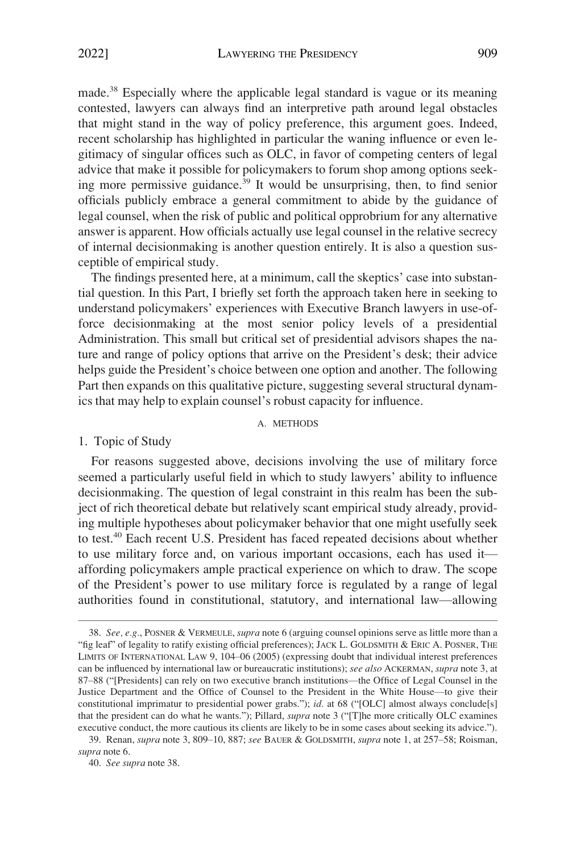<span id="page-10-0"></span>made.38 Especially where the applicable legal standard is vague or its meaning contested, lawyers can always find an interpretive path around legal obstacles that might stand in the way of policy preference, this argument goes. Indeed, recent scholarship has highlighted in particular the waning influence or even legitimacy of singular offices such as OLC, in favor of competing centers of legal advice that make it possible for policymakers to forum shop among options seeking more permissive guidance.<sup>39</sup> It would be unsurprising, then, to find senior officials publicly embrace a general commitment to abide by the guidance of legal counsel, when the risk of public and political opprobrium for any alternative answer is apparent. How officials actually use legal counsel in the relative secrecy of internal decisionmaking is another question entirely. It is also a question susceptible of empirical study.

The findings presented here, at a minimum, call the skeptics' case into substantial question. In this Part, I briefly set forth the approach taken here in seeking to understand policymakers' experiences with Executive Branch lawyers in use-offorce decisionmaking at the most senior policy levels of a presidential Administration. This small but critical set of presidential advisors shapes the nature and range of policy options that arrive on the President's desk; their advice helps guide the President's choice between one option and another. The following Part then expands on this qualitative picture, suggesting several structural dynamics that may help to explain counsel's robust capacity for influence.

#### A. METHODS

#### 1. Topic of Study

For reasons suggested above, decisions involving the use of military force seemed a particularly useful field in which to study lawyers' ability to influence decisionmaking. The question of legal constraint in this realm has been the subject of rich theoretical debate but relatively scant empirical study already, providing multiple hypotheses about policymaker behavior that one might usefully seek to test.40 Each recent U.S. President has faced repeated decisions about whether to use military force and, on various important occasions, each has used it affording policymakers ample practical experience on which to draw. The scope of the President's power to use military force is regulated by a range of legal authorities found in constitutional, statutory, and international law—allowing

<sup>38.</sup> *See, e.g.*, POSNER & VERMEULE, *supra* note 6 (arguing counsel opinions serve as little more than a "fig leaf" of legality to ratify existing official preferences); JACK L. GOLDSMITH & ERIC A. POSNER, THE LIMITS OF INTERNATIONAL LAW 9, 104–06 (2005) (expressing doubt that individual interest preferences can be influenced by international law or bureaucratic institutions); *see also* ACKERMAN, *supra* note 3, at 87–88 ("[Presidents] can rely on two executive branch institutions—the Office of Legal Counsel in the Justice Department and the Office of Counsel to the President in the White House—to give their constitutional imprimatur to presidential power grabs."); *id.* at 68 ("[OLC] almost always conclude[s] that the president can do what he wants."); Pillard, *supra* note 3 ("[T]he more critically OLC examines executive conduct, the more cautious its clients are likely to be in some cases about seeking its advice.").

<sup>39.</sup> Renan, *supra* note 3, 809–10, 887; *see* BAUER & GOLDSMITH, *supra* note 1, at 257–58; Roisman, *supra* note 6.

<sup>40.</sup> *See supra* note 38.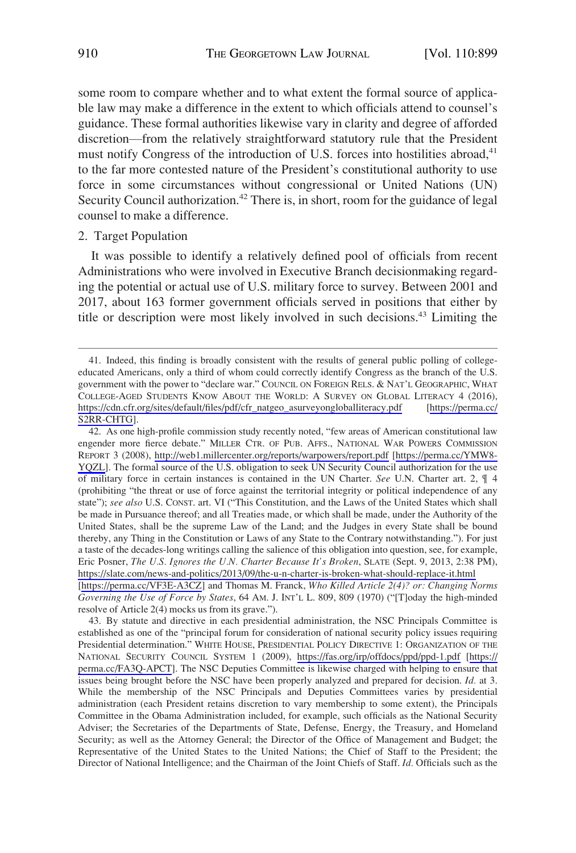<span id="page-11-0"></span>some room to compare whether and to what extent the formal source of applicable law may make a difference in the extent to which officials attend to counsel's guidance. These formal authorities likewise vary in clarity and degree of afforded discretion—from the relatively straightforward statutory rule that the President must notify Congress of the introduction of U.S. forces into hostilities abroad, $41$ to the far more contested nature of the President's constitutional authority to use force in some circumstances without congressional or United Nations (UN) Security Council authorization.<sup>42</sup> There is, in short, room for the guidance of legal counsel to make a difference.

#### 2. Target Population

It was possible to identify a relatively defined pool of officials from recent Administrations who were involved in Executive Branch decisionmaking regarding the potential or actual use of U.S. military force to survey. Between 2001 and 2017, about 163 former government officials served in positions that either by title or description were most likely involved in such decisions.<sup>43</sup> Limiting the

43. By statute and directive in each presidential administration, the NSC Principals Committee is established as one of the "principal forum for consideration of national security policy issues requiring Presidential determination." WHITE HOUSE, PRESIDENTIAL POLICY DIRECTIVE 1: ORGANIZATION OF THE NATIONAL SECURITY COUNCIL SYSTEM 1 (2009), <https://fas.org/irp/offdocs/ppd/ppd-1.pdf>[\[https://](https://perma.cc/FA3Q-APCT)  [perma.cc/FA3Q-APCT](https://perma.cc/FA3Q-APCT)]. The NSC Deputies Committee is likewise charged with helping to ensure that issues being brought before the NSC have been properly analyzed and prepared for decision. *Id.* at 3. While the membership of the NSC Principals and Deputies Committees varies by presidential administration (each President retains discretion to vary membership to some extent), the Principals Committee in the Obama Administration included, for example, such officials as the National Security Adviser; the Secretaries of the Departments of State, Defense, Energy, the Treasury, and Homeland Security; as well as the Attorney General; the Director of the Office of Management and Budget; the Representative of the United States to the United Nations; the Chief of Staff to the President; the Director of National Intelligence; and the Chairman of the Joint Chiefs of Staff. *Id.* Officials such as the

<sup>41.</sup> Indeed, this finding is broadly consistent with the results of general public polling of collegeeducated Americans, only a third of whom could correctly identify Congress as the branch of the U.S. government with the power to "declare war." COUNCIL ON FOREIGN RELS. & NAT'L GEOGRAPHIC, WHAT COLLEGE-AGED STUDENTS KNOW ABOUT THE WORLD: A SURVEY ON GLOBAL LITERACY 4 (2016), [https://cdn.cfr.org/sites/default/files/pdf/cfr\\_natgeo\\_asurveyongloballiteracy.pdf](https://cdn.cfr.org/sites/default/files/pdf/cfr_natgeo_asurveyongloballiteracy.pdf) [[https://perma.cc/](https://perma.cc/S2RR-CHTG)  [S2RR-CHTG](https://perma.cc/S2RR-CHTG)].

<sup>42.</sup> As one high-profile commission study recently noted, "few areas of American constitutional law engender more fierce debate." MILLER CTR. OF PUB. AFFS., NATIONAL WAR POWERS COMMISSION REPORT 3 (2008), <http://web1.millercenter.org/reports/warpowers/report.pdf> [\[https://perma.cc/YMW8-](https://perma.cc/YMW8-YQZL)  [YQZL\]](https://perma.cc/YMW8-YQZL). The formal source of the U.S. obligation to seek UN Security Council authorization for the use of military force in certain instances is contained in the UN Charter. *See* U.N. Charter art. 2, ¶ 4 (prohibiting "the threat or use of force against the territorial integrity or political independence of any state"); *see also* U.S. CONST. art. VI ("This Constitution, and the Laws of the United States which shall be made in Pursuance thereof; and all Treaties made, or which shall be made, under the Authority of the United States, shall be the supreme Law of the Land; and the Judges in every State shall be bound thereby, any Thing in the Constitution or Laws of any State to the Contrary notwithstanding."). For just a taste of the decades-long writings calling the salience of this obligation into question, see, for example, Eric Posner, *The U.S. Ignores the U.N. Charter Because It's Broken*, SLATE (Sept. 9, 2013, 2:38 PM), <https://slate.com/news-and-politics/2013/09/the-u-n-charter-is-broken-what-should-replace-it.html> [<https://perma.cc/VF3E-A3CZ>] and Thomas M. Franck, *Who Killed Article 2(4)? or: Changing Norms Governing the Use of Force by States*, 64 AM. J. INT'L L. 809, 809 (1970) ("[T]oday the high-minded resolve of Article 2(4) mocks us from its grave.").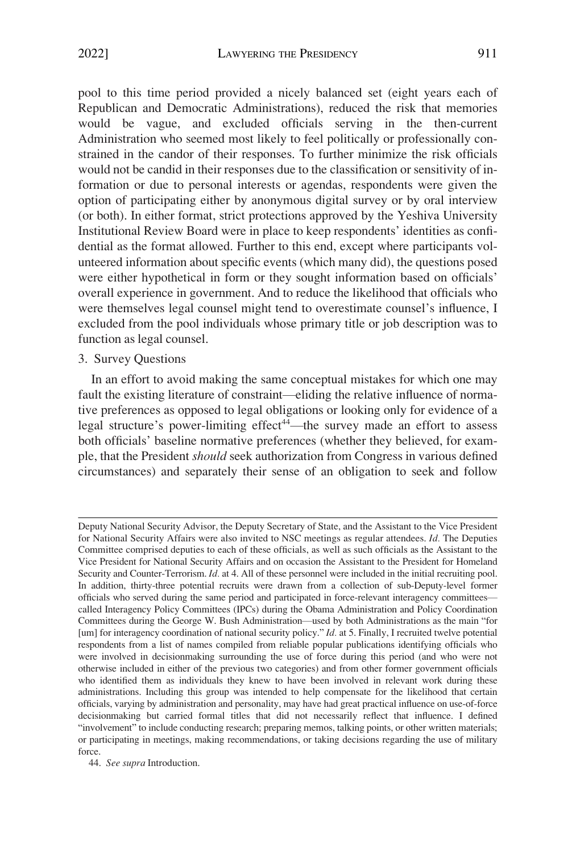<span id="page-12-0"></span>pool to this time period provided a nicely balanced set (eight years each of Republican and Democratic Administrations), reduced the risk that memories would be vague, and excluded officials serving in the then-current Administration who seemed most likely to feel politically or professionally constrained in the candor of their responses. To further minimize the risk officials would not be candid in their responses due to the classification or sensitivity of information or due to personal interests or agendas, respondents were given the option of participating either by anonymous digital survey or by oral interview (or both). In either format, strict protections approved by the Yeshiva University Institutional Review Board were in place to keep respondents' identities as confidential as the format allowed. Further to this end, except where participants volunteered information about specific events (which many did), the questions posed were either hypothetical in form or they sought information based on officials' overall experience in government. And to reduce the likelihood that officials who were themselves legal counsel might tend to overestimate counsel's influence, I excluded from the pool individuals whose primary title or job description was to function as legal counsel.

# 3. Survey Questions

In an effort to avoid making the same conceptual mistakes for which one may fault the existing literature of constraint—eliding the relative influence of normative preferences as opposed to legal obligations or looking only for evidence of a legal structure's power-limiting effect<sup>44</sup>—the survey made an effort to assess both officials' baseline normative preferences (whether they believed, for example, that the President *should* seek authorization from Congress in various defined circumstances) and separately their sense of an obligation to seek and follow

44. *See supra* Introduction.

Deputy National Security Advisor, the Deputy Secretary of State, and the Assistant to the Vice President for National Security Affairs were also invited to NSC meetings as regular attendees. *Id.* The Deputies Committee comprised deputies to each of these officials, as well as such officials as the Assistant to the Vice President for National Security Affairs and on occasion the Assistant to the President for Homeland Security and Counter-Terrorism. *Id.* at 4. All of these personnel were included in the initial recruiting pool. In addition, thirty-three potential recruits were drawn from a collection of sub-Deputy-level former officials who served during the same period and participated in force-relevant interagency committees called Interagency Policy Committees (IPCs) during the Obama Administration and Policy Coordination Committees during the George W. Bush Administration—used by both Administrations as the main "for [um] for interagency coordination of national security policy." *Id.* at 5. Finally, I recruited twelve potential respondents from a list of names compiled from reliable popular publications identifying officials who were involved in decisionmaking surrounding the use of force during this period (and who were not otherwise included in either of the previous two categories) and from other former government officials who identified them as individuals they knew to have been involved in relevant work during these administrations. Including this group was intended to help compensate for the likelihood that certain officials, varying by administration and personality, may have had great practical influence on use-of-force decisionmaking but carried formal titles that did not necessarily reflect that influence. I defined "involvement" to include conducting research; preparing memos, talking points, or other written materials; or participating in meetings, making recommendations, or taking decisions regarding the use of military force.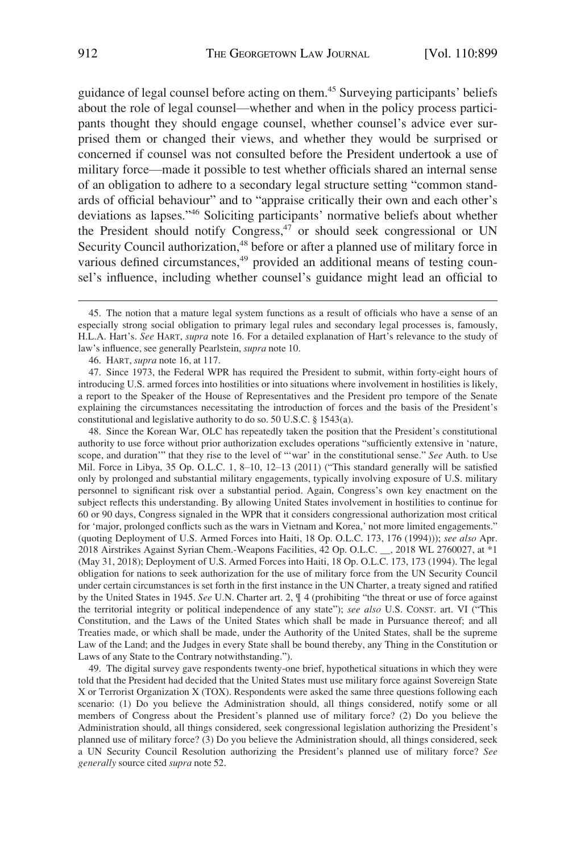guidance of legal counsel before acting on them.45 Surveying participants' beliefs about the role of legal counsel—whether and when in the policy process participants thought they should engage counsel, whether counsel's advice ever surprised them or changed their views, and whether they would be surprised or concerned if counsel was not consulted before the President undertook a use of military force—made it possible to test whether officials shared an internal sense of an obligation to adhere to a secondary legal structure setting "common standards of official behaviour" and to "appraise critically their own and each other's deviations as lapses."46 Soliciting participants' normative beliefs about whether the President should notify Congress,<sup>47</sup> or should seek congressional or UN Security Council authorization,<sup>48</sup> before or after a planned use of military force in various defined circumstances,<sup>49</sup> provided an additional means of testing counsel's influence, including whether counsel's guidance might lead an official to

48. Since the Korean War, OLC has repeatedly taken the position that the President's constitutional authority to use force without prior authorization excludes operations "sufficiently extensive in 'nature, scope, and duration'" that they rise to the level of "'war' in the constitutional sense." *See* Auth. to Use Mil. Force in Libya, 35 Op. O.L.C. 1, 8–10, 12–13 (2011) ("This standard generally will be satisfied only by prolonged and substantial military engagements, typically involving exposure of U.S. military personnel to significant risk over a substantial period. Again, Congress's own key enactment on the subject reflects this understanding. By allowing United States involvement in hostilities to continue for 60 or 90 days, Congress signaled in the WPR that it considers congressional authorization most critical for 'major, prolonged conflicts such as the wars in Vietnam and Korea,' not more limited engagements." (quoting Deployment of U.S. Armed Forces into Haiti, 18 Op. O.L.C. 173, 176 (1994))); *see also* Apr. 2018 Airstrikes Against Syrian Chem.-Weapons Facilities, 42 Op. O.L.C. \_\_, 2018 WL 2760027, at \*1 (May 31, 2018); Deployment of U.S. Armed Forces into Haiti, 18 Op. O.L.C. 173, 173 (1994). The legal obligation for nations to seek authorization for the use of military force from the UN Security Council under certain circumstances is set forth in the first instance in the UN Charter, a treaty signed and ratified by the United States in 1945. *See* U.N. Charter art. 2, ¶ 4 (prohibiting "the threat or use of force against the territorial integrity or political independence of any state"); *see also* U.S. CONST. art. VI ("This Constitution, and the Laws of the United States which shall be made in Pursuance thereof; and all Treaties made, or which shall be made, under the Authority of the United States, shall be the supreme Law of the Land; and the Judges in every State shall be bound thereby, any Thing in the Constitution or Laws of any State to the Contrary notwithstanding.").

49. The digital survey gave respondents twenty-one brief, hypothetical situations in which they were told that the President had decided that the United States must use military force against Sovereign State X or Terrorist Organization X (TOX). Respondents were asked the same three questions following each scenario: (1) Do you believe the Administration should, all things considered, notify some or all members of Congress about the President's planned use of military force? (2) Do you believe the Administration should, all things considered, seek congressional legislation authorizing the President's planned use of military force? (3) Do you believe the Administration should, all things considered, seek a UN Security Council Resolution authorizing the President's planned use of military force? *See generally* source cited *supra* note 52.

<sup>45.</sup> The notion that a mature legal system functions as a result of officials who have a sense of an especially strong social obligation to primary legal rules and secondary legal processes is, famously, H.L.A. Hart's. *See* HART, *supra* note 16. For a detailed explanation of Hart's relevance to the study of law's influence, see generally Pearlstein, *supra* note 10.

<sup>46.</sup> HART, *supra* note 16, at 117.

<sup>47.</sup> Since 1973, the Federal WPR has required the President to submit, within forty-eight hours of introducing U.S. armed forces into hostilities or into situations where involvement in hostilities is likely, a report to the Speaker of the House of Representatives and the President pro tempore of the Senate explaining the circumstances necessitating the introduction of forces and the basis of the President's constitutional and legislative authority to do so. 50 U.S.C. § 1543(a).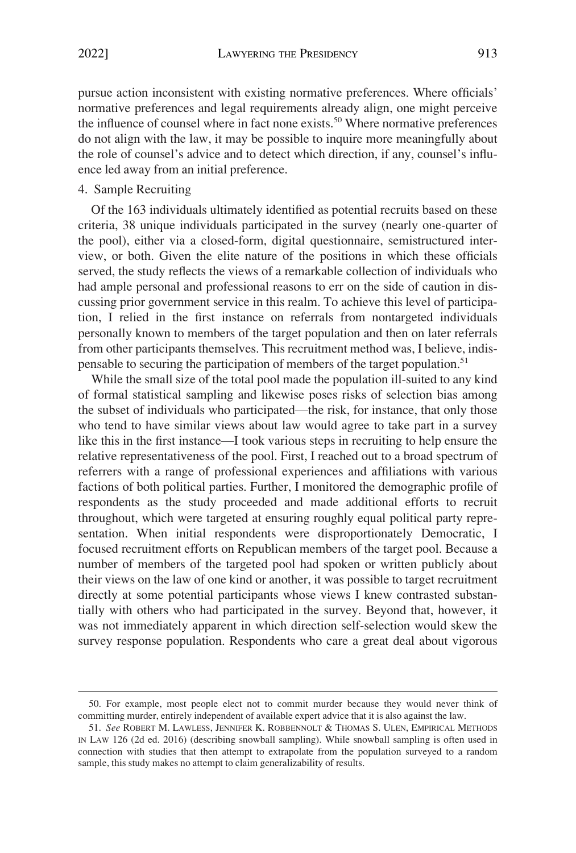<span id="page-14-0"></span>pursue action inconsistent with existing normative preferences. Where officials' normative preferences and legal requirements already align, one might perceive the influence of counsel where in fact none exists.<sup>50</sup> Where normative preferences do not align with the law, it may be possible to inquire more meaningfully about the role of counsel's advice and to detect which direction, if any, counsel's influence led away from an initial preference.

## 4. Sample Recruiting

Of the 163 individuals ultimately identified as potential recruits based on these criteria, 38 unique individuals participated in the survey (nearly one-quarter of the pool), either via a closed-form, digital questionnaire, semistructured interview, or both. Given the elite nature of the positions in which these officials served, the study reflects the views of a remarkable collection of individuals who had ample personal and professional reasons to err on the side of caution in discussing prior government service in this realm. To achieve this level of participation, I relied in the first instance on referrals from nontargeted individuals personally known to members of the target population and then on later referrals from other participants themselves. This recruitment method was, I believe, indispensable to securing the participation of members of the target population.<sup>51</sup>

While the small size of the total pool made the population ill-suited to any kind of formal statistical sampling and likewise poses risks of selection bias among the subset of individuals who participated—the risk, for instance, that only those who tend to have similar views about law would agree to take part in a survey like this in the first instance—I took various steps in recruiting to help ensure the relative representativeness of the pool. First, I reached out to a broad spectrum of referrers with a range of professional experiences and affiliations with various factions of both political parties. Further, I monitored the demographic profile of respondents as the study proceeded and made additional efforts to recruit throughout, which were targeted at ensuring roughly equal political party representation. When initial respondents were disproportionately Democratic, I focused recruitment efforts on Republican members of the target pool. Because a number of members of the targeted pool had spoken or written publicly about their views on the law of one kind or another, it was possible to target recruitment directly at some potential participants whose views I knew contrasted substantially with others who had participated in the survey. Beyond that, however, it was not immediately apparent in which direction self-selection would skew the survey response population. Respondents who care a great deal about vigorous

<sup>50.</sup> For example, most people elect not to commit murder because they would never think of committing murder, entirely independent of available expert advice that it is also against the law.

<sup>51.</sup> *See* ROBERT M. LAWLESS, JENNIFER K. ROBBENNOLT & THOMAS S. ULEN, EMPIRICAL METHODS IN LAW 126 (2d ed. 2016) (describing snowball sampling). While snowball sampling is often used in connection with studies that then attempt to extrapolate from the population surveyed to a random sample, this study makes no attempt to claim generalizability of results.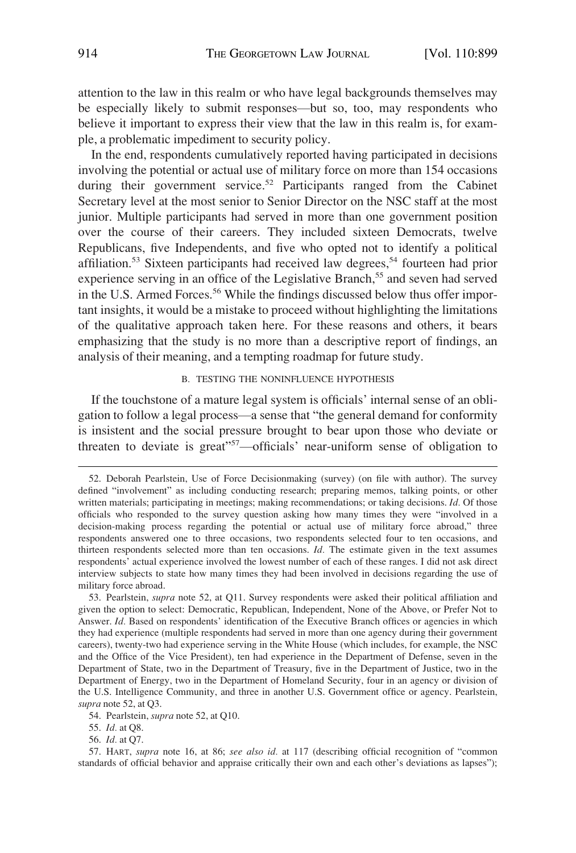<span id="page-15-0"></span>attention to the law in this realm or who have legal backgrounds themselves may be especially likely to submit responses—but so, too, may respondents who believe it important to express their view that the law in this realm is, for example, a problematic impediment to security policy.

In the end, respondents cumulatively reported having participated in decisions involving the potential or actual use of military force on more than 154 occasions during their government service.<sup>52</sup> Participants ranged from the Cabinet Secretary level at the most senior to Senior Director on the NSC staff at the most junior. Multiple participants had served in more than one government position over the course of their careers. They included sixteen Democrats, twelve Republicans, five Independents, and five who opted not to identify a political affiliation.<sup>53</sup> Sixteen participants had received law degrees,<sup>54</sup> fourteen had prior experience serving in an office of the Legislative Branch,<sup>55</sup> and seven had served in the U.S. Armed Forces.<sup>56</sup> While the findings discussed below thus offer important insights, it would be a mistake to proceed without highlighting the limitations of the qualitative approach taken here. For these reasons and others, it bears emphasizing that the study is no more than a descriptive report of findings, an analysis of their meaning, and a tempting roadmap for future study.

## B. TESTING THE NONINFLUENCE HYPOTHESIS

If the touchstone of a mature legal system is officials' internal sense of an obligation to follow a legal process—a sense that "the general demand for conformity is insistent and the social pressure brought to bear upon those who deviate or threaten to deviate is great"<sup>57</sup>—officials' near-uniform sense of obligation to

54. Pearlstein, *supra* note 52, at Q10.

55. *Id.* at Q8.

56. *Id.* at Q7.

57. HART, *supra* note 16, at 86; *see also id.* at 117 (describing official recognition of "common standards of official behavior and appraise critically their own and each other's deviations as lapses");

<sup>52.</sup> Deborah Pearlstein, Use of Force Decisionmaking (survey) (on file with author). The survey defined "involvement" as including conducting research; preparing memos, talking points, or other written materials; participating in meetings; making recommendations; or taking decisions. *Id.* Of those officials who responded to the survey question asking how many times they were "involved in a decision-making process regarding the potential or actual use of military force abroad," three respondents answered one to three occasions, two respondents selected four to ten occasions, and thirteen respondents selected more than ten occasions. *Id.* The estimate given in the text assumes respondents' actual experience involved the lowest number of each of these ranges. I did not ask direct interview subjects to state how many times they had been involved in decisions regarding the use of military force abroad.

<sup>53.</sup> Pearlstein, *supra* note 52, at Q11. Survey respondents were asked their political affiliation and given the option to select: Democratic, Republican, Independent, None of the Above, or Prefer Not to Answer. *Id.* Based on respondents' identification of the Executive Branch offices or agencies in which they had experience (multiple respondents had served in more than one agency during their government careers), twenty-two had experience serving in the White House (which includes, for example, the NSC and the Office of the Vice President), ten had experience in the Department of Defense, seven in the Department of State, two in the Department of Treasury, five in the Department of Justice, two in the Department of Energy, two in the Department of Homeland Security, four in an agency or division of the U.S. Intelligence Community, and three in another U.S. Government office or agency. Pearlstein, *supra* note 52, at Q3.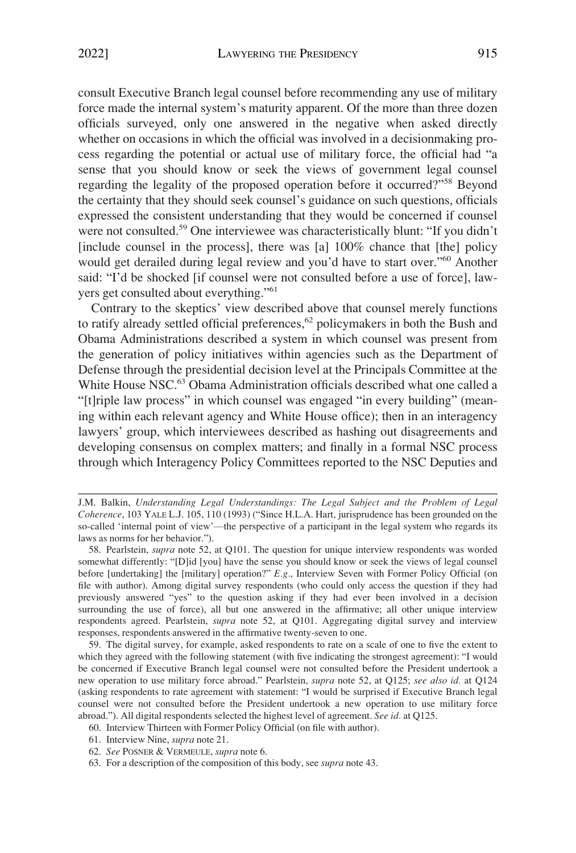consult Executive Branch legal counsel before recommending any use of military force made the internal system's maturity apparent. Of the more than three dozen officials surveyed, only one answered in the negative when asked directly whether on occasions in which the official was involved in a decisionmaking process regarding the potential or actual use of military force, the official had "a sense that you should know or seek the views of government legal counsel regarding the legality of the proposed operation before it occurred?"58 Beyond the certainty that they should seek counsel's guidance on such questions, officials expressed the consistent understanding that they would be concerned if counsel were not consulted.<sup>59</sup> One interviewee was characteristically blunt: "If you didn't [include counsel in the process], there was [a] 100% chance that [the] policy would get derailed during legal review and you'd have to start over."<sup>60</sup> Another said: "I'd be shocked [if counsel were not consulted before a use of force], lawyers get consulted about everything."<sup>61</sup>

Contrary to the skeptics' view described above that counsel merely functions to ratify already settled official preferences,<sup>62</sup> policymakers in both the Bush and Obama Administrations described a system in which counsel was present from the generation of policy initiatives within agencies such as the Department of Defense through the presidential decision level at the Principals Committee at the White House NSC.<sup>63</sup> Obama Administration officials described what one called a "[t]riple law process" in which counsel was engaged "in every building" (meaning within each relevant agency and White House office); then in an interagency lawyers' group, which interviewees described as hashing out disagreements and developing consensus on complex matters; and finally in a formal NSC process through which Interagency Policy Committees reported to the NSC Deputies and

J.M. Balkin, *Understanding Legal Understandings: The Legal Subject and the Problem of Legal Coherence*, 103 YALE L.J. 105, 110 (1993) ("Since H.L.A. Hart, jurisprudence has been grounded on the so-called 'internal point of view'—the perspective of a participant in the legal system who regards its laws as norms for her behavior.").

<sup>58.</sup> Pearlstein, *supra* note 52, at Q101. The question for unique interview respondents was worded somewhat differently: "[D]id [you] have the sense you should know or seek the views of legal counsel before [undertaking] the [military] operation?" *E.g.*, Interview Seven with Former Policy Official (on file with author). Among digital survey respondents (who could only access the question if they had previously answered "yes" to the question asking if they had ever been involved in a decision surrounding the use of force), all but one answered in the affirmative; all other unique interview respondents agreed. Pearlstein, *supra* note 52, at Q101. Aggregating digital survey and interview responses, respondents answered in the affirmative twenty-seven to one.

<sup>59.</sup> The digital survey, for example, asked respondents to rate on a scale of one to five the extent to which they agreed with the following statement (with five indicating the strongest agreement): "I would be concerned if Executive Branch legal counsel were not consulted before the President undertook a new operation to use military force abroad." Pearlstein, *supra* note 52, at Q125; *see also id.* at Q124 (asking respondents to rate agreement with statement: "I would be surprised if Executive Branch legal counsel were not consulted before the President undertook a new operation to use military force abroad."). All digital respondents selected the highest level of agreement. *See id.* at Q125.

<sup>60.</sup> Interview Thirteen with Former Policy Official (on file with author).

<sup>61.</sup> Interview Nine, *supra* note 21.

<sup>62.</sup> *See* POSNER & VERMEULE, *supra* note 6.

<sup>63.</sup> For a description of the composition of this body, see *supra* note 43.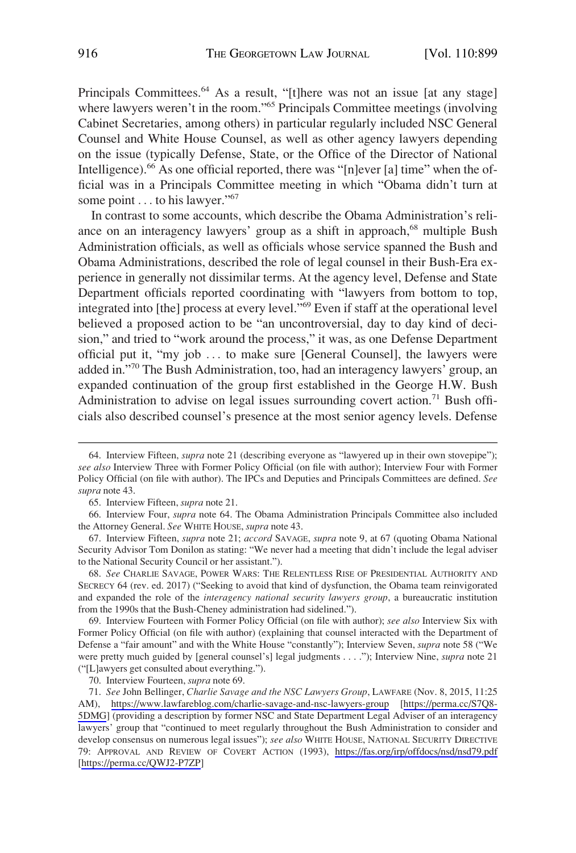Principals Committees.<sup>64</sup> As a result, "[t]here was not an issue [at any stage] where lawyers weren't in the room."<sup>65</sup> Principals Committee meetings (involving Cabinet Secretaries, among others) in particular regularly included NSC General Counsel and White House Counsel, as well as other agency lawyers depending on the issue (typically Defense, State, or the Office of the Director of National Intelligence).66 As one official reported, there was "[n]ever [a] time" when the official was in a Principals Committee meeting in which "Obama didn't turn at some point . . . to his lawyer."<sup>67</sup>

In contrast to some accounts, which describe the Obama Administration's reliance on an interagency lawyers' group as a shift in approach,<sup>68</sup> multiple Bush Administration officials, as well as officials whose service spanned the Bush and Obama Administrations, described the role of legal counsel in their Bush-Era experience in generally not dissimilar terms. At the agency level, Defense and State Department officials reported coordinating with "lawyers from bottom to top, integrated into [the] process at every level."69 Even if staff at the operational level believed a proposed action to be "an uncontroversial, day to day kind of decision," and tried to "work around the process," it was, as one Defense Department official put it, "my job . . . to make sure [General Counsel], the lawyers were added in."70 The Bush Administration, too, had an interagency lawyers' group, an expanded continuation of the group first established in the George H.W. Bush Administration to advise on legal issues surrounding covert action.<sup>71</sup> Bush officials also described counsel's presence at the most senior agency levels. Defense

<sup>64.</sup> Interview Fifteen, *supra* note 21 (describing everyone as "lawyered up in their own stovepipe"); *see also* Interview Three with Former Policy Official (on file with author); Interview Four with Former Policy Official (on file with author). The IPCs and Deputies and Principals Committees are defined. *See supra* note 43.

<sup>65.</sup> Interview Fifteen, *supra* note 21.

<sup>66.</sup> Interview Four, *supra* note 64. The Obama Administration Principals Committee also included the Attorney General. *See* WHITE HOUSE, *supra* note 43.

<sup>67.</sup> Interview Fifteen, *supra* note 21; *accord* SAVAGE, *supra* note 9, at 67 (quoting Obama National Security Advisor Tom Donilon as stating: "We never had a meeting that didn't include the legal adviser to the National Security Council or her assistant.").

<sup>68.</sup> *See* CHARLIE SAVAGE, POWER WARS: THE RELENTLESS RISE OF PRESIDENTIAL AUTHORITY AND SECRECY 64 (rev. ed. 2017) ("Seeking to avoid that kind of dysfunction, the Obama team reinvigorated and expanded the role of the *interagency national security lawyers group*, a bureaucratic institution from the 1990s that the Bush-Cheney administration had sidelined.").

<sup>69.</sup> Interview Fourteen with Former Policy Official (on file with author); *see also* Interview Six with Former Policy Official (on file with author) (explaining that counsel interacted with the Department of Defense a "fair amount" and with the White House "constantly"); Interview Seven, *supra* note 58 ("We were pretty much guided by [general counsel's] legal judgments . . . ."); Interview Nine, *supra* note 21 ("[L]awyers get consulted about everything.").

<sup>70.</sup> Interview Fourteen, *supra* note 69.

*See* John Bellinger, *Charlie Savage and the NSC Lawyers Group*, LAWFARE (Nov. 8, 2015, 11:25 71. AM), <https://www.lawfareblog.com/charlie-savage-and-nsc-lawyers-group>[[https://perma.cc/S7Q8-](https://perma.cc/S7Q8-5DMG)  [5DMG\]](https://perma.cc/S7Q8-5DMG) (providing a description by former NSC and State Department Legal Adviser of an interagency lawyers' group that "continued to meet regularly throughout the Bush Administration to consider and develop consensus on numerous legal issues"); *see also* WHITE HOUSE, NATIONAL SECURITY DIRECTIVE 79: APPROVAL AND REVIEW OF COVERT ACTION (1993), <https://fas.org/irp/offdocs/nsd/nsd79.pdf> [<https://perma.cc/QWJ2-P7ZP>]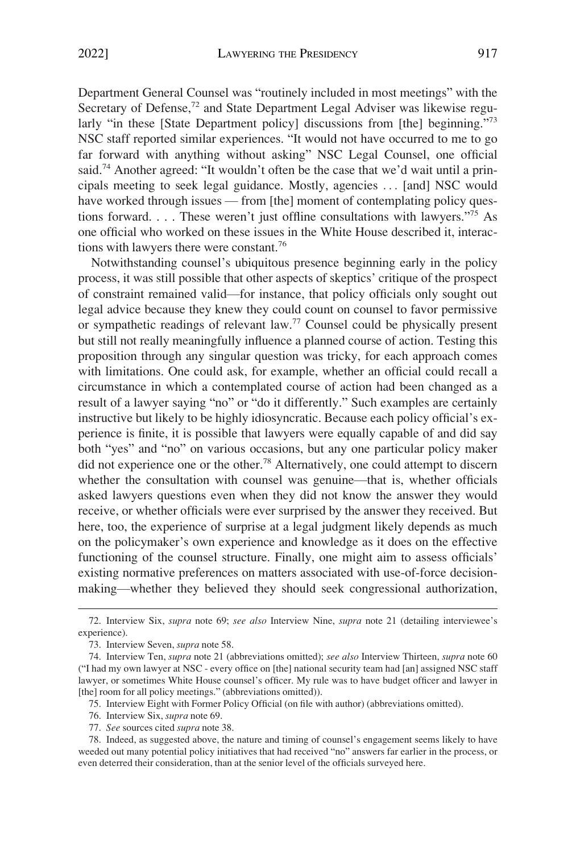Department General Counsel was "routinely included in most meetings" with the Secretary of Defense,<sup>72</sup> and State Department Legal Adviser was likewise regularly "in these [State Department policy] discussions from [the] beginning."<sup>73</sup> NSC staff reported similar experiences. "It would not have occurred to me to go far forward with anything without asking" NSC Legal Counsel, one official said.<sup>74</sup> Another agreed: "It wouldn't often be the case that we'd wait until a principals meeting to seek legal guidance. Mostly, agencies . . . [and] NSC would have worked through issues — from [the] moment of contemplating policy questions forward. . . . These weren't just offline consultations with lawyers."75 As one official who worked on these issues in the White House described it, interactions with lawyers there were constant.<sup>76</sup>

Notwithstanding counsel's ubiquitous presence beginning early in the policy process, it was still possible that other aspects of skeptics' critique of the prospect of constraint remained valid—for instance, that policy officials only sought out legal advice because they knew they could count on counsel to favor permissive or sympathetic readings of relevant law.77 Counsel could be physically present but still not really meaningfully influence a planned course of action. Testing this proposition through any singular question was tricky, for each approach comes with limitations. One could ask, for example, whether an official could recall a circumstance in which a contemplated course of action had been changed as a result of a lawyer saying "no" or "do it differently." Such examples are certainly instructive but likely to be highly idiosyncratic. Because each policy official's experience is finite, it is possible that lawyers were equally capable of and did say both "yes" and "no" on various occasions, but any one particular policy maker did not experience one or the other.78 Alternatively, one could attempt to discern whether the consultation with counsel was genuine—that is, whether officials asked lawyers questions even when they did not know the answer they would receive, or whether officials were ever surprised by the answer they received. But here, too, the experience of surprise at a legal judgment likely depends as much on the policymaker's own experience and knowledge as it does on the effective functioning of the counsel structure. Finally, one might aim to assess officials' existing normative preferences on matters associated with use-of-force decisionmaking—whether they believed they should seek congressional authorization,

<sup>72.</sup> Interview Six, *supra* note 69; *see also* Interview Nine, *supra* note 21 (detailing interviewee's experience).

<sup>73.</sup> Interview Seven, *supra* note 58.

<sup>74.</sup> Interview Ten, *supra* note 21 (abbreviations omitted); *see also* Interview Thirteen, *supra* note 60 ("I had my own lawyer at NSC - every office on [the] national security team had [an] assigned NSC staff lawyer, or sometimes White House counsel's officer. My rule was to have budget officer and lawyer in [the] room for all policy meetings." (abbreviations omitted)).

<sup>75.</sup> Interview Eight with Former Policy Official (on file with author) (abbreviations omitted).

<sup>76.</sup> Interview Six, *supra* note 69.

<sup>77.</sup> *See* sources cited *supra* note 38.

<sup>78.</sup> Indeed, as suggested above, the nature and timing of counsel's engagement seems likely to have weeded out many potential policy initiatives that had received "no" answers far earlier in the process, or even deterred their consideration, than at the senior level of the officials surveyed here.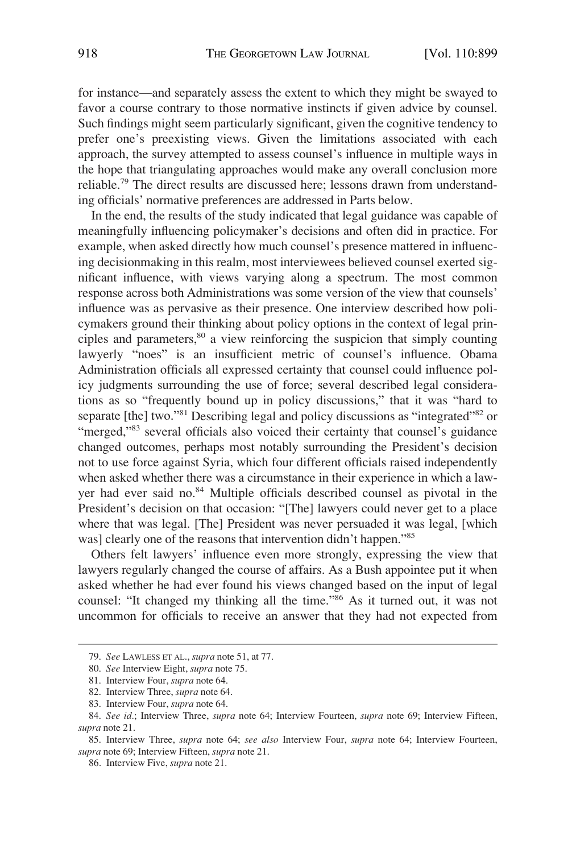for instance—and separately assess the extent to which they might be swayed to favor a course contrary to those normative instincts if given advice by counsel. Such findings might seem particularly significant, given the cognitive tendency to prefer one's preexisting views. Given the limitations associated with each approach, the survey attempted to assess counsel's influence in multiple ways in the hope that triangulating approaches would make any overall conclusion more reliable.79 The direct results are discussed here; lessons drawn from understanding officials' normative preferences are addressed in Parts below.

In the end, the results of the study indicated that legal guidance was capable of meaningfully influencing policymaker's decisions and often did in practice. For example, when asked directly how much counsel's presence mattered in influencing decisionmaking in this realm, most interviewees believed counsel exerted significant influence, with views varying along a spectrum. The most common response across both Administrations was some version of the view that counsels' influence was as pervasive as their presence. One interview described how policymakers ground their thinking about policy options in the context of legal principles and parameters, $80$  a view reinforcing the suspicion that simply counting lawyerly "noes" is an insufficient metric of counsel's influence. Obama Administration officials all expressed certainty that counsel could influence policy judgments surrounding the use of force; several described legal considerations as so "frequently bound up in policy discussions," that it was "hard to separate [the] two."<sup>81</sup> Describing legal and policy discussions as "integrated"<sup>82</sup> or "merged,"<sup>83</sup> several officials also voiced their certainty that counsel's guidance changed outcomes, perhaps most notably surrounding the President's decision not to use force against Syria, which four different officials raised independently when asked whether there was a circumstance in their experience in which a lawyer had ever said no.<sup>84</sup> Multiple officials described counsel as pivotal in the President's decision on that occasion: "[The] lawyers could never get to a place where that was legal. [The] President was never persuaded it was legal, [which was] clearly one of the reasons that intervention didn't happen."<sup>85</sup>

Others felt lawyers' influence even more strongly, expressing the view that lawyers regularly changed the course of affairs. As a Bush appointee put it when asked whether he had ever found his views changed based on the input of legal counsel: "It changed my thinking all the time."86 As it turned out, it was not uncommon for officials to receive an answer that they had not expected from

<sup>79.</sup> *See* LAWLESS ET AL., *supra* note 51, at 77.

<sup>80.</sup> *See* Interview Eight, *supra* note 75.

<sup>81.</sup> Interview Four, *supra* note 64.

<sup>82.</sup> Interview Three, *supra* note 64.

<sup>83.</sup> Interview Four, *supra* note 64.

<sup>84.</sup> *See id.*; Interview Three, *supra* note 64; Interview Fourteen, *supra* note 69; Interview Fifteen, *supra* note 21.

<sup>85.</sup> Interview Three, *supra* note 64; *see also* Interview Four, *supra* note 64; Interview Fourteen, *supra* note 69; Interview Fifteen, *supra* note 21.

<sup>86.</sup> Interview Five, *supra* note 21.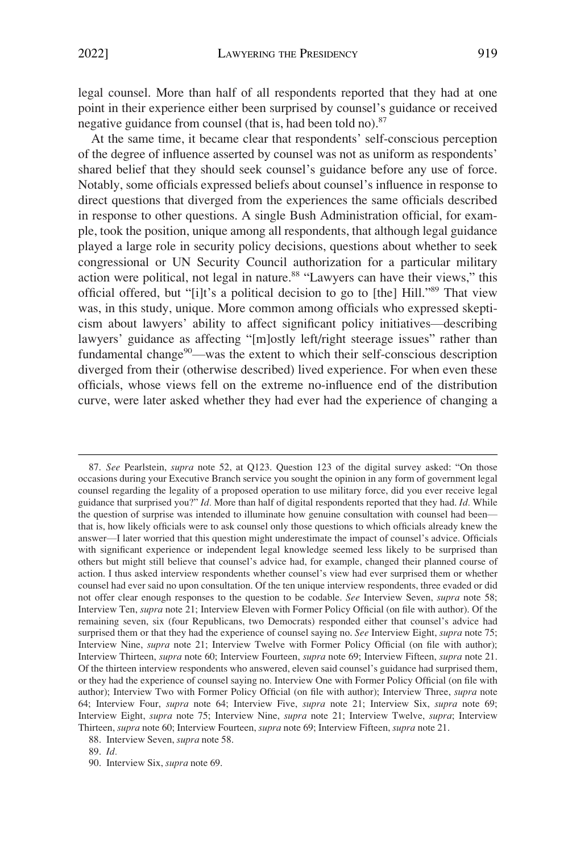legal counsel. More than half of all respondents reported that they had at one point in their experience either been surprised by counsel's guidance or received negative guidance from counsel (that is, had been told no).<sup>87</sup>

At the same time, it became clear that respondents' self-conscious perception of the degree of influence asserted by counsel was not as uniform as respondents' shared belief that they should seek counsel's guidance before any use of force. Notably, some officials expressed beliefs about counsel's influence in response to direct questions that diverged from the experiences the same officials described in response to other questions. A single Bush Administration official, for example, took the position, unique among all respondents, that although legal guidance played a large role in security policy decisions, questions about whether to seek congressional or UN Security Council authorization for a particular military action were political, not legal in nature.<sup>88</sup> "Lawyers can have their views," this official offered, but "[i]t's a political decision to go to [the] Hill."89 That view was, in this study, unique. More common among officials who expressed skepticism about lawyers' ability to affect significant policy initiatives—describing lawyers' guidance as affecting "[m]ostly left/right steerage issues" rather than fundamental change<sup>90</sup>—was the extent to which their self-conscious description diverged from their (otherwise described) lived experience. For when even these officials, whose views fell on the extreme no-influence end of the distribution curve, were later asked whether they had ever had the experience of changing a

87. *See* Pearlstein, *supra* note 52, at Q123. Question 123 of the digital survey asked: "On those occasions during your Executive Branch service you sought the opinion in any form of government legal counsel regarding the legality of a proposed operation to use military force, did you ever receive legal guidance that surprised you?" *Id.* More than half of digital respondents reported that they had. *Id.* While the question of surprise was intended to illuminate how genuine consultation with counsel had been that is, how likely officials were to ask counsel only those questions to which officials already knew the answer—I later worried that this question might underestimate the impact of counsel's advice. Officials with significant experience or independent legal knowledge seemed less likely to be surprised than others but might still believe that counsel's advice had, for example, changed their planned course of action. I thus asked interview respondents whether counsel's view had ever surprised them or whether counsel had ever said no upon consultation. Of the ten unique interview respondents, three evaded or did not offer clear enough responses to the question to be codable. *See* Interview Seven, *supra* note 58; Interview Ten, *supra* note 21; Interview Eleven with Former Policy Official (on file with author). Of the remaining seven, six (four Republicans, two Democrats) responded either that counsel's advice had surprised them or that they had the experience of counsel saying no. *See* Interview Eight, *supra* note 75; Interview Nine, *supra* note 21; Interview Twelve with Former Policy Official (on file with author); Interview Thirteen, *supra* note 60; Interview Fourteen, *supra* note 69; Interview Fifteen, *supra* note 21. Of the thirteen interview respondents who answered, eleven said counsel's guidance had surprised them, or they had the experience of counsel saying no. Interview One with Former Policy Official (on file with author); Interview Two with Former Policy Official (on file with author); Interview Three, *supra* note 64; Interview Four, *supra* note 64; Interview Five, *supra* note 21; Interview Six, *supra* note 69; Interview Eight, *supra* note 75; Interview Nine, *supra* note 21; Interview Twelve, *supra*; Interview Thirteen, *supra* note 60; Interview Fourteen, *supra* note 69; Interview Fifteen, *supra* note 21.

<sup>88.</sup> Interview Seven, *supra* note 58.

<sup>89.</sup> *Id.* 

<sup>90.</sup> Interview Six, *supra* note 69.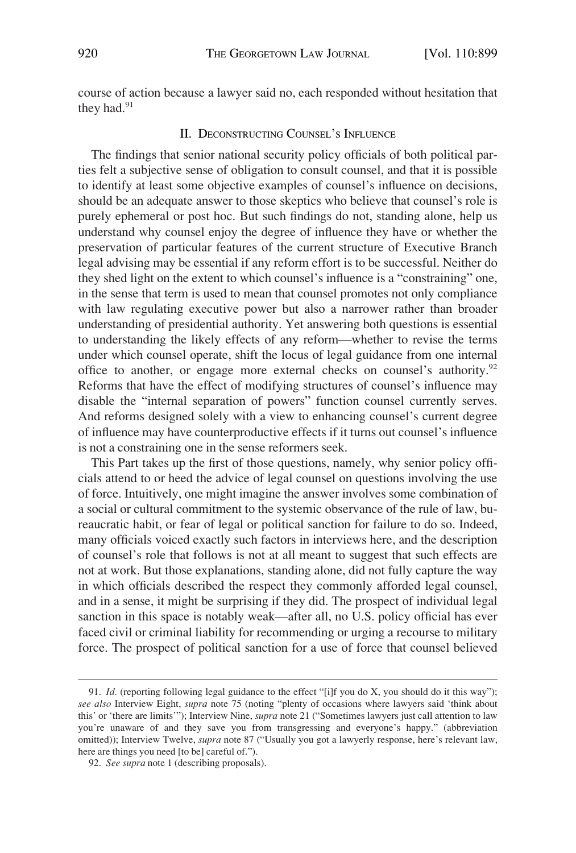<span id="page-21-0"></span>course of action because a lawyer said no, each responded without hesitation that they had.<sup>91</sup>

## II. DECONSTRUCTING COUNSEL'S INFLUENCE

The findings that senior national security policy officials of both political parties felt a subjective sense of obligation to consult counsel, and that it is possible to identify at least some objective examples of counsel's influence on decisions, should be an adequate answer to those skeptics who believe that counsel's role is purely ephemeral or post hoc. But such findings do not, standing alone, help us understand why counsel enjoy the degree of influence they have or whether the preservation of particular features of the current structure of Executive Branch legal advising may be essential if any reform effort is to be successful. Neither do they shed light on the extent to which counsel's influence is a "constraining" one, in the sense that term is used to mean that counsel promotes not only compliance with law regulating executive power but also a narrower rather than broader understanding of presidential authority. Yet answering both questions is essential to understanding the likely effects of any reform—whether to revise the terms under which counsel operate, shift the locus of legal guidance from one internal office to another, or engage more external checks on counsel's authority.<sup>92</sup> Reforms that have the effect of modifying structures of counsel's influence may disable the "internal separation of powers" function counsel currently serves. And reforms designed solely with a view to enhancing counsel's current degree of influence may have counterproductive effects if it turns out counsel's influence is not a constraining one in the sense reformers seek.

This Part takes up the first of those questions, namely, why senior policy officials attend to or heed the advice of legal counsel on questions involving the use of force. Intuitively, one might imagine the answer involves some combination of a social or cultural commitment to the systemic observance of the rule of law, bureaucratic habit, or fear of legal or political sanction for failure to do so. Indeed, many officials voiced exactly such factors in interviews here, and the description of counsel's role that follows is not at all meant to suggest that such effects are not at work. But those explanations, standing alone, did not fully capture the way in which officials described the respect they commonly afforded legal counsel, and in a sense, it might be surprising if they did. The prospect of individual legal sanction in this space is notably weak—after all, no U.S. policy official has ever faced civil or criminal liability for recommending or urging a recourse to military force. The prospect of political sanction for a use of force that counsel believed

<sup>91.</sup> *Id.* (reporting following legal guidance to the effect "[i]f you do X, you should do it this way"); *see also* Interview Eight, *supra* note 75 (noting "plenty of occasions where lawyers said 'think about this' or 'there are limits'"); Interview Nine, *supra* note 21 ("Sometimes lawyers just call attention to law you're unaware of and they save you from transgressing and everyone's happy." (abbreviation omitted)); Interview Twelve, *supra* note 87 ("Usually you got a lawyerly response, here's relevant law, here are things you need [to be] careful of.").

<sup>92.</sup> *See supra* note 1 (describing proposals).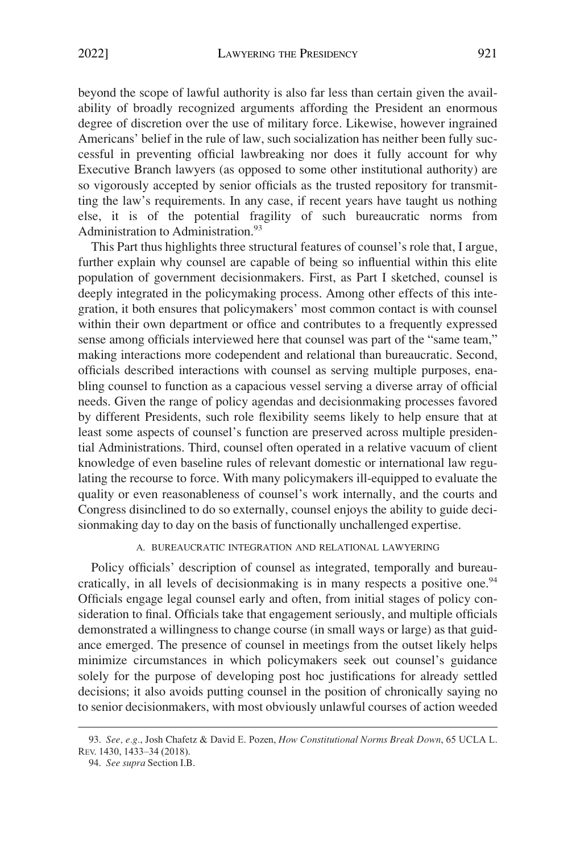<span id="page-22-0"></span>beyond the scope of lawful authority is also far less than certain given the availability of broadly recognized arguments affording the President an enormous degree of discretion over the use of military force. Likewise, however ingrained Americans' belief in the rule of law, such socialization has neither been fully successful in preventing official lawbreaking nor does it fully account for why Executive Branch lawyers (as opposed to some other institutional authority) are so vigorously accepted by senior officials as the trusted repository for transmitting the law's requirements. In any case, if recent years have taught us nothing else, it is of the potential fragility of such bureaucratic norms from Administration to Administration.<sup>93</sup>

This Part thus highlights three structural features of counsel's role that, I argue, further explain why counsel are capable of being so influential within this elite population of government decisionmakers. First, as Part I sketched, counsel is deeply integrated in the policymaking process. Among other effects of this integration, it both ensures that policymakers' most common contact is with counsel within their own department or office and contributes to a frequently expressed sense among officials interviewed here that counsel was part of the "same team," making interactions more codependent and relational than bureaucratic. Second, officials described interactions with counsel as serving multiple purposes, enabling counsel to function as a capacious vessel serving a diverse array of official needs. Given the range of policy agendas and decisionmaking processes favored by different Presidents, such role flexibility seems likely to help ensure that at least some aspects of counsel's function are preserved across multiple presidential Administrations. Third, counsel often operated in a relative vacuum of client knowledge of even baseline rules of relevant domestic or international law regulating the recourse to force. With many policymakers ill-equipped to evaluate the quality or even reasonableness of counsel's work internally, and the courts and Congress disinclined to do so externally, counsel enjoys the ability to guide decisionmaking day to day on the basis of functionally unchallenged expertise.

## A. BUREAUCRATIC INTEGRATION AND RELATIONAL LAWYERING

Policy officials' description of counsel as integrated, temporally and bureaucratically, in all levels of decisionmaking is in many respects a positive one.<sup>94</sup> Officials engage legal counsel early and often, from initial stages of policy consideration to final. Officials take that engagement seriously, and multiple officials demonstrated a willingness to change course (in small ways or large) as that guidance emerged. The presence of counsel in meetings from the outset likely helps minimize circumstances in which policymakers seek out counsel's guidance solely for the purpose of developing post hoc justifications for already settled decisions; it also avoids putting counsel in the position of chronically saying no to senior decisionmakers, with most obviously unlawful courses of action weeded

<sup>93.</sup> *See, e.g.*, Josh Chafetz & David E. Pozen, *How Constitutional Norms Break Down*, 65 UCLA L. REV. 1430, 1433–34 (2018).

<sup>94.</sup> *See supra* Section I.B.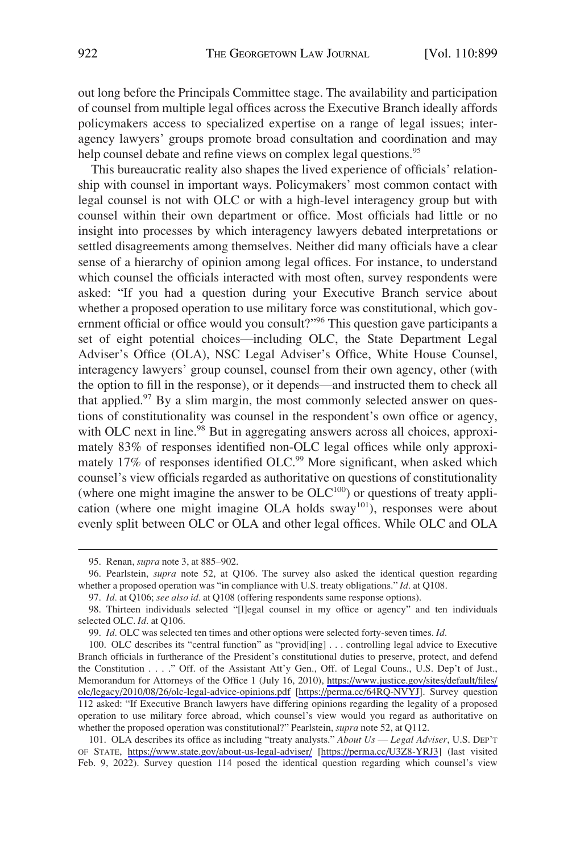out long before the Principals Committee stage. The availability and participation of counsel from multiple legal offices across the Executive Branch ideally affords policymakers access to specialized expertise on a range of legal issues; interagency lawyers' groups promote broad consultation and coordination and may help counsel debate and refine views on complex legal questions.<sup>95</sup>

This bureaucratic reality also shapes the lived experience of officials' relationship with counsel in important ways. Policymakers' most common contact with legal counsel is not with OLC or with a high-level interagency group but with counsel within their own department or office. Most officials had little or no insight into processes by which interagency lawyers debated interpretations or settled disagreements among themselves. Neither did many officials have a clear sense of a hierarchy of opinion among legal offices. For instance, to understand which counsel the officials interacted with most often, survey respondents were asked: "If you had a question during your Executive Branch service about whether a proposed operation to use military force was constitutional, which government official or office would you consult?"<sup>96</sup> This question gave participants a set of eight potential choices—including OLC, the State Department Legal Adviser's Office (OLA), NSC Legal Adviser's Office, White House Counsel, interagency lawyers' group counsel, counsel from their own agency, other (with the option to fill in the response), or it depends—and instructed them to check all that applied. $97$  By a slim margin, the most commonly selected answer on questions of constitutionality was counsel in the respondent's own office or agency, with OLC next in line.<sup>98</sup> But in aggregating answers across all choices, approximately 83% of responses identified non-OLC legal offices while only approximately 17% of responses identified OLC.<sup>99</sup> More significant, when asked which counsel's view officials regarded as authoritative on questions of constitutionality (where one might imagine the answer to be  $OLC<sup>100</sup>$ ) or questions of treaty application (where one might imagine OLA holds  $sway<sup>101</sup>$ ), responses were about evenly split between OLC or OLA and other legal offices. While OLC and OLA

<sup>95.</sup> Renan, *supra* note 3, at 885–902.

<sup>96.</sup> Pearlstein, *supra* note 52, at Q106. The survey also asked the identical question regarding whether a proposed operation was "in compliance with U.S. treaty obligations." *Id.* at Q108.

<sup>97.</sup> *Id.* at Q106; *see also id.* at Q108 (offering respondents same response options).

<sup>98.</sup> Thirteen individuals selected "[l]egal counsel in my office or agency" and ten individuals selected OLC. *Id.* at Q106.

<sup>99.</sup> *Id.* OLC was selected ten times and other options were selected forty-seven times. *Id.* 

<sup>100.</sup> OLC describes its "central function" as "provid[ing] . . . controlling legal advice to Executive Branch officials in furtherance of the President's constitutional duties to preserve, protect, and defend the Constitution . . . ." Off. of the Assistant Att'y Gen., Off. of Legal Couns., U.S. Dep't of Just., Memorandum for Attorneys of the Office 1 (July 16, 2010), [https://www.justice.gov/sites/default/files/](https://www.justice.gov/sites/default/files/olc/legacy/2010/08/26/olc-legal-advice-opinions.pdf)  [olc/legacy/2010/08/26/olc-legal-advice-opinions.pdf](https://www.justice.gov/sites/default/files/olc/legacy/2010/08/26/olc-legal-advice-opinions.pdf) [\[https://perma.cc/64RQ-NVYJ\]](https://perma.cc/64RQ-NVYJ). Survey question 112 asked: "If Executive Branch lawyers have differing opinions regarding the legality of a proposed operation to use military force abroad, which counsel's view would you regard as authoritative on whether the proposed operation was constitutional?" Pearlstein, *supra* note 52, at Q112.

<sup>101.</sup> OLA describes its office as including "treaty analysts." *About Us — Legal Adviser*, U.S. DEP'T OF STATE, <https://www.state.gov/about-us-legal-adviser/> [\[https://perma.cc/U3Z8-YRJ3](https://perma.cc/U3Z8-YRJ3)] (last visited Feb. 9, 2022). Survey question 114 posed the identical question regarding which counsel's view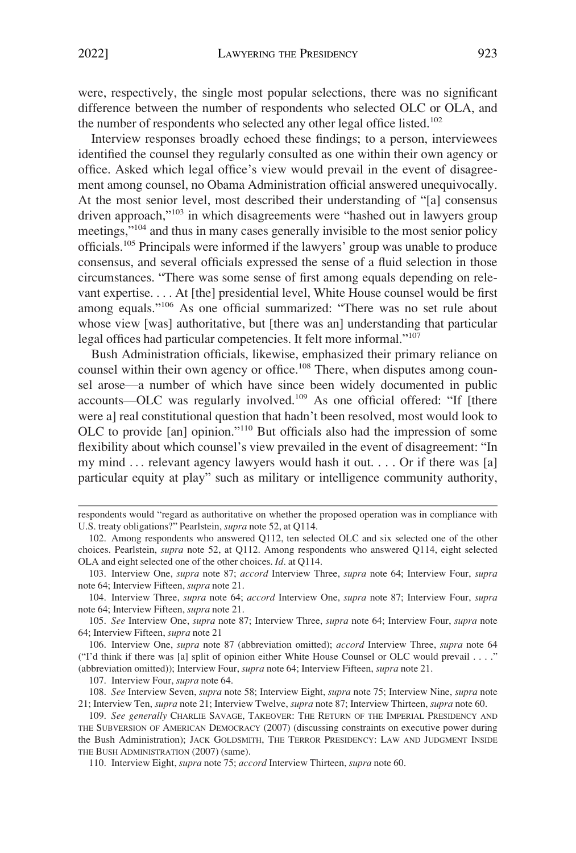were, respectively, the single most popular selections, there was no significant difference between the number of respondents who selected OLC or OLA, and the number of respondents who selected any other legal office listed.<sup>102</sup>

Interview responses broadly echoed these findings; to a person, interviewees identified the counsel they regularly consulted as one within their own agency or office. Asked which legal office's view would prevail in the event of disagreement among counsel, no Obama Administration official answered unequivocally. At the most senior level, most described their understanding of "[a] consensus driven approach,"103 in which disagreements were "hashed out in lawyers group meetings,"<sup>104</sup> and thus in many cases generally invisible to the most senior policy officials.105 Principals were informed if the lawyers' group was unable to produce consensus, and several officials expressed the sense of a fluid selection in those circumstances. "There was some sense of first among equals depending on relevant expertise. . . . At [the] presidential level, White House counsel would be first among equals."106 As one official summarized: "There was no set rule about whose view [was] authoritative, but [there was an] understanding that particular legal offices had particular competencies. It felt more informal."<sup>107</sup>

Bush Administration officials, likewise, emphasized their primary reliance on counsel within their own agency or office.<sup>108</sup> There, when disputes among counsel arose—a number of which have since been widely documented in public accounts—OLC was regularly involved.109 As one official offered: "If [there were a] real constitutional question that hadn't been resolved, most would look to OLC to provide [an] opinion."110 But officials also had the impression of some flexibility about which counsel's view prevailed in the event of disagreement: "In my mind . . . relevant agency lawyers would hash it out. . . . Or if there was [a] particular equity at play" such as military or intelligence community authority,

106. Interview One, *supra* note 87 (abbreviation omitted); *accord* Interview Three, *supra* note 64 ("I'd think if there was [a] split of opinion either White House Counsel or OLC would prevail . . . ." (abbreviation omitted)); Interview Four, *supra* note 64; Interview Fifteen, *supra* note 21.

107. Interview Four, *supra* note 64.

108. *See* Interview Seven, *supra* note 58; Interview Eight, *supra* note 75; Interview Nine, *supra* note 21; Interview Ten, *supra* note 21; Interview Twelve, *supra* note 87; Interview Thirteen, *supra* note 60.

respondents would "regard as authoritative on whether the proposed operation was in compliance with U.S. treaty obligations?" Pearlstein, *supra* note 52, at Q114.

<sup>102.</sup> Among respondents who answered Q112, ten selected OLC and six selected one of the other choices. Pearlstein, *supra* note 52, at Q112. Among respondents who answered Q114, eight selected OLA and eight selected one of the other choices. *Id.* at Q114.

<sup>103.</sup> Interview One, *supra* note 87; *accord* Interview Three, *supra* note 64; Interview Four, *supra*  note 64; Interview Fifteen, *supra* note 21.

<sup>104.</sup> Interview Three, *supra* note 64; *accord* Interview One, *supra* note 87; Interview Four, *supra*  note 64; Interview Fifteen, *supra* note 21.

<sup>105.</sup> *See* Interview One, *supra* note 87; Interview Three, *supra* note 64; Interview Four, *supra* note 64; Interview Fifteen, *supra* note 21

<sup>109.</sup> *See generally* CHARLIE SAVAGE, TAKEOVER: THE RETURN OF THE IMPERIAL PRESIDENCY AND THE SUBVERSION OF AMERICAN DEMOCRACY (2007) (discussing constraints on executive power during the Bush Administration); JACK GOLDSMITH, THE TERROR PRESIDENCY: LAW AND JUDGMENT INSIDE THE BUSH ADMINISTRATION (2007) (same).

<sup>110.</sup> Interview Eight, *supra* note 75; *accord* Interview Thirteen, *supra* note 60.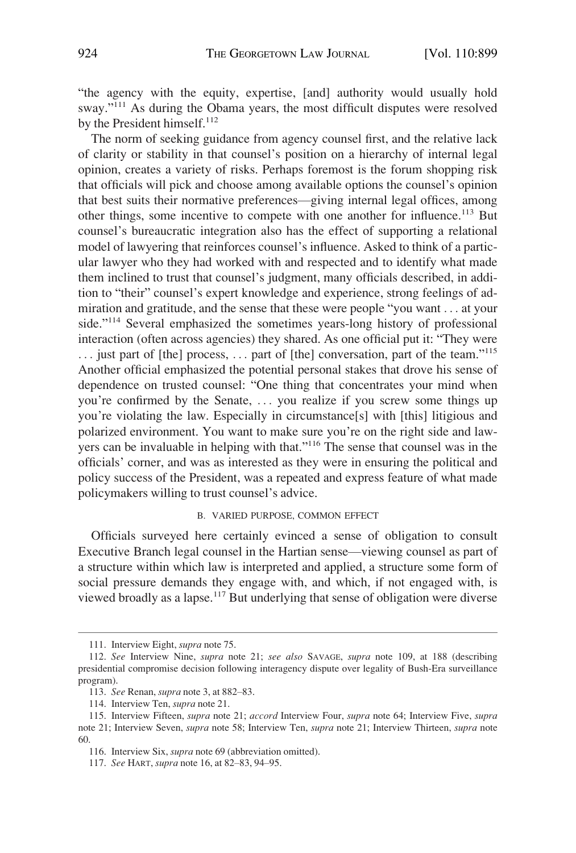<span id="page-25-0"></span>"the agency with the equity, expertise, [and] authority would usually hold sway."<sup>111</sup> As during the Obama years, the most difficult disputes were resolved by the President himself.<sup>112</sup>

The norm of seeking guidance from agency counsel first, and the relative lack of clarity or stability in that counsel's position on a hierarchy of internal legal opinion, creates a variety of risks. Perhaps foremost is the forum shopping risk that officials will pick and choose among available options the counsel's opinion that best suits their normative preferences—giving internal legal offices, among other things, some incentive to compete with one another for influence.<sup>113</sup> But counsel's bureaucratic integration also has the effect of supporting a relational model of lawyering that reinforces counsel's influence. Asked to think of a particular lawyer who they had worked with and respected and to identify what made them inclined to trust that counsel's judgment, many officials described, in addition to "their" counsel's expert knowledge and experience, strong feelings of admiration and gratitude, and the sense that these were people "you want . . . at your side."<sup>114</sup> Several emphasized the sometimes years-long history of professional interaction (often across agencies) they shared. As one official put it: "They were  $\dots$  just part of [the] process,  $\dots$  part of [the] conversation, part of the team."<sup>115</sup> Another official emphasized the potential personal stakes that drove his sense of dependence on trusted counsel: "One thing that concentrates your mind when you're confirmed by the Senate, . . . you realize if you screw some things up you're violating the law. Especially in circumstance[s] with [this] litigious and polarized environment. You want to make sure you're on the right side and lawyers can be invaluable in helping with that."116 The sense that counsel was in the officials' corner, and was as interested as they were in ensuring the political and policy success of the President, was a repeated and express feature of what made policymakers willing to trust counsel's advice.

#### B. VARIED PURPOSE, COMMON EFFECT

Officials surveyed here certainly evinced a sense of obligation to consult Executive Branch legal counsel in the Hartian sense—viewing counsel as part of a structure within which law is interpreted and applied, a structure some form of social pressure demands they engage with, and which, if not engaged with, is viewed broadly as a lapse.<sup>117</sup> But underlying that sense of obligation were diverse

<sup>111.</sup> Interview Eight, *supra* note 75.

<sup>112.</sup> *See* Interview Nine, *supra* note 21; *see also* SAVAGE, *supra* note 109, at 188 (describing presidential compromise decision following interagency dispute over legality of Bush-Era surveillance program).

<sup>113.</sup> *See* Renan, *supra* note 3, at 882–83.

<sup>114.</sup> Interview Ten, *supra* note 21.

<sup>115.</sup> Interview Fifteen, *supra* note 21; *accord* Interview Four, *supra* note 64; Interview Five, *supra*  note 21; Interview Seven, *supra* note 58; Interview Ten, *supra* note 21; Interview Thirteen, *supra* note 60.

<sup>116.</sup> Interview Six, *supra* note 69 (abbreviation omitted).

<sup>117.</sup> *See* HART, *supra* note 16, at 82–83, 94–95.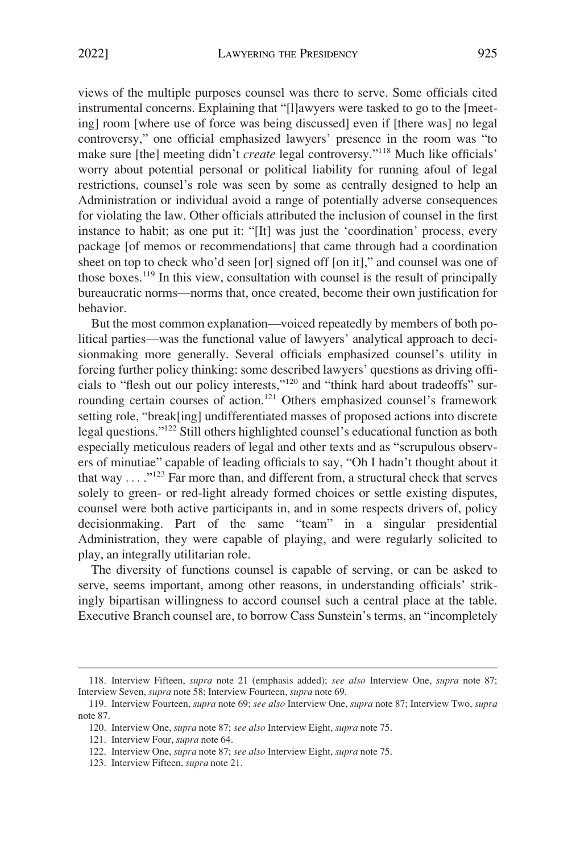views of the multiple purposes counsel was there to serve. Some officials cited instrumental concerns. Explaining that "[l]awyers were tasked to go to the [meeting] room [where use of force was being discussed] even if [there was] no legal controversy," one official emphasized lawyers' presence in the room was "to make sure [the] meeting didn't *create* legal controversy."<sup>118</sup> Much like officials' worry about potential personal or political liability for running afoul of legal restrictions, counsel's role was seen by some as centrally designed to help an Administration or individual avoid a range of potentially adverse consequences for violating the law. Other officials attributed the inclusion of counsel in the first instance to habit; as one put it: "[It] was just the 'coordination' process, every package [of memos or recommendations] that came through had a coordination sheet on top to check who'd seen [or] signed off [on it]," and counsel was one of those boxes.119 In this view, consultation with counsel is the result of principally bureaucratic norms—norms that, once created, become their own justification for behavior.

But the most common explanation—voiced repeatedly by members of both political parties—was the functional value of lawyers' analytical approach to decisionmaking more generally. Several officials emphasized counsel's utility in forcing further policy thinking: some described lawyers' questions as driving officials to "flesh out our policy interests,"120 and "think hard about tradeoffs" surrounding certain courses of action.<sup>121</sup> Others emphasized counsel's framework setting role, "break[ing] undifferentiated masses of proposed actions into discrete legal questions."122 Still others highlighted counsel's educational function as both especially meticulous readers of legal and other texts and as "scrupulous observers of minutiae" capable of leading officials to say, "Oh I hadn't thought about it that way  $\dots$ ."<sup>123</sup> Far more than, and different from, a structural check that serves solely to green- or red-light already formed choices or settle existing disputes, counsel were both active participants in, and in some respects drivers of, policy decisionmaking. Part of the same "team" in a singular presidential Administration, they were capable of playing, and were regularly solicited to play, an integrally utilitarian role.

The diversity of functions counsel is capable of serving, or can be asked to serve, seems important, among other reasons, in understanding officials' strikingly bipartisan willingness to accord counsel such a central place at the table. Executive Branch counsel are, to borrow Cass Sunstein's terms, an "incompletely

<sup>118.</sup> Interview Fifteen, *supra* note 21 (emphasis added); *see also* Interview One, *supra* note 87; Interview Seven, *supra* note 58; Interview Fourteen, *supra* note 69.

<sup>119.</sup> Interview Fourteen, *supra* note 69; *see also* Interview One, *supra* note 87; Interview Two, *supra*  note 87.

<sup>120.</sup> Interview One, *supra* note 87; *see also* Interview Eight, *supra* note 75.

<sup>121.</sup> Interview Four, *supra* note 64.

<sup>122.</sup> Interview One, *supra* note 87; *see also* Interview Eight, *supra* note 75.

<sup>123.</sup> Interview Fifteen, *supra* note 21.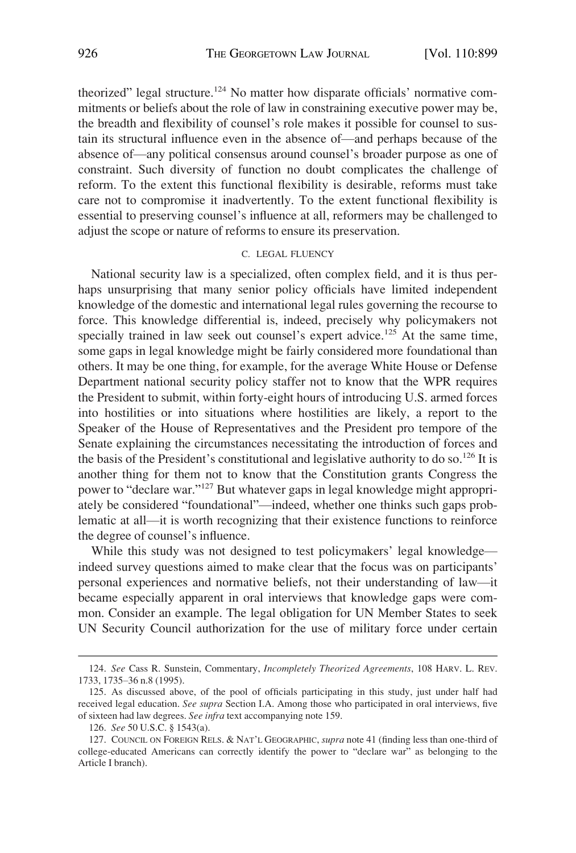<span id="page-27-0"></span>theorized" legal structure.<sup>124</sup> No matter how disparate officials' normative commitments or beliefs about the role of law in constraining executive power may be, the breadth and flexibility of counsel's role makes it possible for counsel to sustain its structural influence even in the absence of—and perhaps because of the absence of—any political consensus around counsel's broader purpose as one of constraint. Such diversity of function no doubt complicates the challenge of reform. To the extent this functional flexibility is desirable, reforms must take care not to compromise it inadvertently. To the extent functional flexibility is essential to preserving counsel's influence at all, reformers may be challenged to adjust the scope or nature of reforms to ensure its preservation.

## C. LEGAL FLUENCY

National security law is a specialized, often complex field, and it is thus perhaps unsurprising that many senior policy officials have limited independent knowledge of the domestic and international legal rules governing the recourse to force. This knowledge differential is, indeed, precisely why policymakers not specially trained in law seek out counsel's expert advice.<sup>125</sup> At the same time, some gaps in legal knowledge might be fairly considered more foundational than others. It may be one thing, for example, for the average White House or Defense Department national security policy staffer not to know that the WPR requires the President to submit, within forty-eight hours of introducing U.S. armed forces into hostilities or into situations where hostilities are likely, a report to the Speaker of the House of Representatives and the President pro tempore of the Senate explaining the circumstances necessitating the introduction of forces and the basis of the President's constitutional and legislative authority to do so.<sup>126</sup> It is another thing for them not to know that the Constitution grants Congress the power to "declare war."127 But whatever gaps in legal knowledge might appropriately be considered "foundational"—indeed, whether one thinks such gaps problematic at all—it is worth recognizing that their existence functions to reinforce the degree of counsel's influence.

While this study was not designed to test policymakers' legal knowledge indeed survey questions aimed to make clear that the focus was on participants' personal experiences and normative beliefs, not their understanding of law—it became especially apparent in oral interviews that knowledge gaps were common. Consider an example. The legal obligation for UN Member States to seek UN Security Council authorization for the use of military force under certain

<sup>124.</sup> *See* Cass R. Sunstein, Commentary, *Incompletely Theorized Agreements*, 108 HARV. L. REV. 1733, 1735–36 n.8 (1995).

<sup>125.</sup> As discussed above, of the pool of officials participating in this study, just under half had received legal education. *See supra* Section I.A. Among those who participated in oral interviews, five of sixteen had law degrees. *See infra* text accompanying note 159.

<sup>126.</sup> *See* 50 U.S.C. § 1543(a).

<sup>127.</sup> COUNCIL ON FOREIGN RELS. & NAT'L GEOGRAPHIC, *supra* note 41 (finding less than one-third of college-educated Americans can correctly identify the power to "declare war" as belonging to the Article I branch).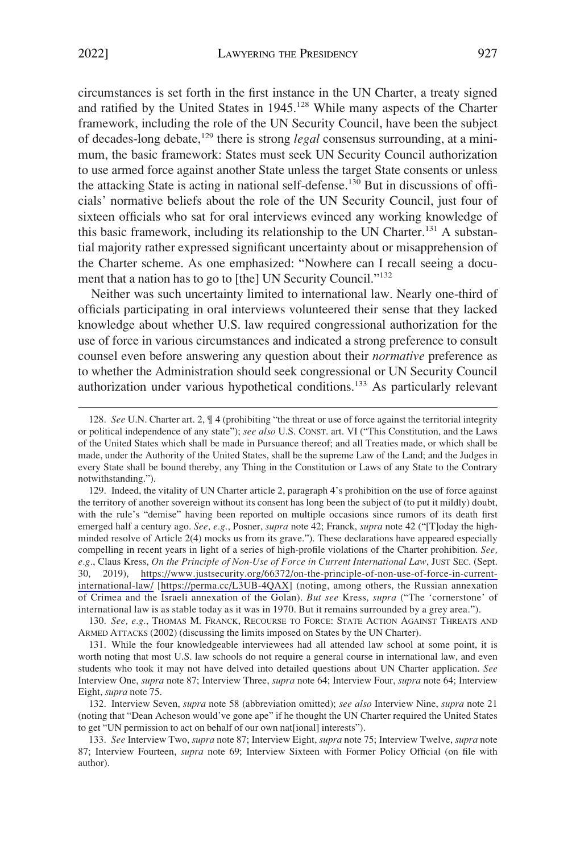circumstances is set forth in the first instance in the UN Charter, a treaty signed and ratified by the United States in 1945.<sup>128</sup> While many aspects of the Charter framework, including the role of the UN Security Council, have been the subject of decades-long debate,<sup>129</sup> there is strong *legal* consensus surrounding, at a minimum, the basic framework: States must seek UN Security Council authorization to use armed force against another State unless the target State consents or unless the attacking State is acting in national self-defense.130 But in discussions of officials' normative beliefs about the role of the UN Security Council, just four of sixteen officials who sat for oral interviews evinced any working knowledge of this basic framework, including its relationship to the UN Charter.<sup>131</sup> A substantial majority rather expressed significant uncertainty about or misapprehension of the Charter scheme. As one emphasized: "Nowhere can I recall seeing a document that a nation has to go to [the] UN Security Council."<sup>132</sup>

Neither was such uncertainty limited to international law. Nearly one-third of officials participating in oral interviews volunteered their sense that they lacked knowledge about whether U.S. law required congressional authorization for the use of force in various circumstances and indicated a strong preference to consult counsel even before answering any question about their *normative* preference as to whether the Administration should seek congressional or UN Security Council authorization under various hypothetical conditions.133 As particularly relevant

<sup>128.</sup> *See* U.N. Charter art. 2, ¶ 4 (prohibiting "the threat or use of force against the territorial integrity or political independence of any state"); *see also* U.S. CONST. art. VI ("This Constitution, and the Laws of the United States which shall be made in Pursuance thereof; and all Treaties made, or which shall be made, under the Authority of the United States, shall be the supreme Law of the Land; and the Judges in every State shall be bound thereby, any Thing in the Constitution or Laws of any State to the Contrary notwithstanding.").

<sup>129.</sup> Indeed, the vitality of UN Charter article 2, paragraph 4's prohibition on the use of force against the territory of another sovereign without its consent has long been the subject of (to put it mildly) doubt, with the rule's "demise" having been reported on multiple occasions since rumors of its death first emerged half a century ago. *See, e.g.*, Posner, *supra* note 42; Franck, *supra* note 42 ("[T]oday the highminded resolve of Article 2(4) mocks us from its grave."). These declarations have appeared especially compelling in recent years in light of a series of high-profile violations of the Charter prohibition. *See, e.g.*, Claus Kress, *On the Principle of Non-Use of Force in Current International Law*, JUST SEC. (Sept. 30, 2019), [https://www.justsecurity.org/66372/on-the-principle-of-non-use-of-force-in-current](https://www.justsecurity.org/66372/on-the-principle-of-non-use-of-force-in-current-international-law/)[international-law/](https://www.justsecurity.org/66372/on-the-principle-of-non-use-of-force-in-current-international-law/) [<https://perma.cc/L3UB-4QAX>] (noting, among others, the Russian annexation of Crimea and the Israeli annexation of the Golan). *But see* Kress, *supra* ("The 'cornerstone' of international law is as stable today as it was in 1970. But it remains surrounded by a grey area.").

<sup>130.</sup> *See, e.g.*, THOMAS M. FRANCK, RECOURSE TO FORCE: STATE ACTION AGAINST THREATS AND ARMED ATTACKS (2002) (discussing the limits imposed on States by the UN Charter).

<sup>131.</sup> While the four knowledgeable interviewees had all attended law school at some point, it is worth noting that most U.S. law schools do not require a general course in international law, and even students who took it may not have delved into detailed questions about UN Charter application. *See*  Interview One, *supra* note 87; Interview Three, *supra* note 64; Interview Four, *supra* note 64; Interview Eight, *supra* note 75.

<sup>132.</sup> Interview Seven, *supra* note 58 (abbreviation omitted); *see also* Interview Nine, *supra* note 21 (noting that "Dean Acheson would've gone ape" if he thought the UN Charter required the United States to get "UN permission to act on behalf of our own nat[ional] interests").

<sup>133.</sup> *See* Interview Two, *supra* note 87; Interview Eight, *supra* note 75; Interview Twelve, *supra* note 87; Interview Fourteen, *supra* note 69; Interview Sixteen with Former Policy Official (on file with author).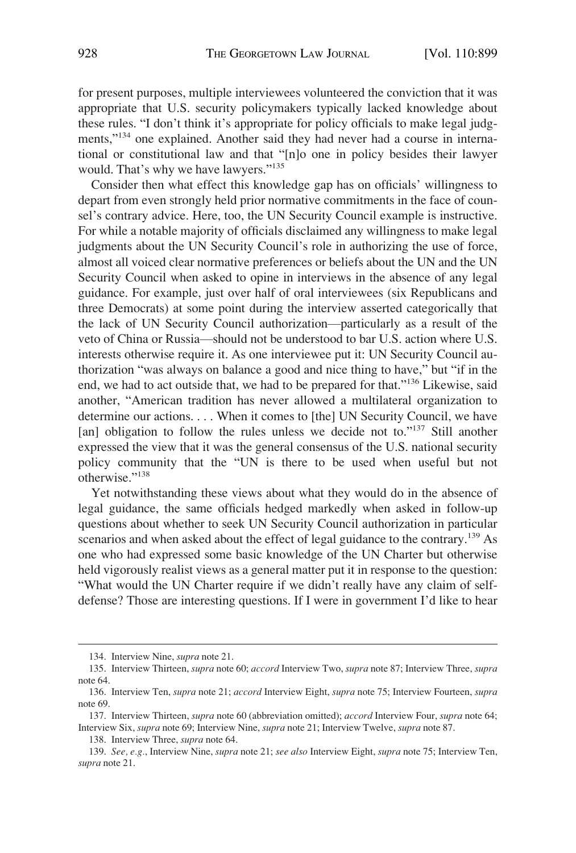for present purposes, multiple interviewees volunteered the conviction that it was appropriate that U.S. security policymakers typically lacked knowledge about these rules. "I don't think it's appropriate for policy officials to make legal judgments,"<sup>134</sup> one explained. Another said they had never had a course in international or constitutional law and that "[n]o one in policy besides their lawyer would. That's why we have lawyers."<sup>135</sup>

Consider then what effect this knowledge gap has on officials' willingness to depart from even strongly held prior normative commitments in the face of counsel's contrary advice. Here, too, the UN Security Council example is instructive. For while a notable majority of officials disclaimed any willingness to make legal judgments about the UN Security Council's role in authorizing the use of force, almost all voiced clear normative preferences or beliefs about the UN and the UN Security Council when asked to opine in interviews in the absence of any legal guidance. For example, just over half of oral interviewees (six Republicans and three Democrats) at some point during the interview asserted categorically that the lack of UN Security Council authorization—particularly as a result of the veto of China or Russia—should not be understood to bar U.S. action where U.S. interests otherwise require it. As one interviewee put it: UN Security Council authorization "was always on balance a good and nice thing to have," but "if in the end, we had to act outside that, we had to be prepared for that."136 Likewise, said another, "American tradition has never allowed a multilateral organization to determine our actions. . . . When it comes to [the] UN Security Council, we have [an] obligation to follow the rules unless we decide not to."<sup>137</sup> Still another expressed the view that it was the general consensus of the U.S. national security policy community that the "UN is there to be used when useful but not otherwise."<sup>138</sup>

Yet notwithstanding these views about what they would do in the absence of legal guidance, the same officials hedged markedly when asked in follow-up questions about whether to seek UN Security Council authorization in particular scenarios and when asked about the effect of legal guidance to the contrary.<sup>139</sup> As one who had expressed some basic knowledge of the UN Charter but otherwise held vigorously realist views as a general matter put it in response to the question: "What would the UN Charter require if we didn't really have any claim of selfdefense? Those are interesting questions. If I were in government I'd like to hear

<sup>134.</sup> Interview Nine, *supra* note 21.

<sup>135.</sup> Interview Thirteen, *supra* note 60; *accord* Interview Two, *supra* note 87; Interview Three, *supra*  note 64.

<sup>136.</sup> Interview Ten, *supra* note 21; *accord* Interview Eight, *supra* note 75; Interview Fourteen, *supra*  note 69.

<sup>137.</sup> Interview Thirteen, *supra* note 60 (abbreviation omitted); *accord* Interview Four, *supra* note 64; Interview Six, *supra* note 69; Interview Nine, *supra* note 21; Interview Twelve, *supra* note 87.

<sup>138.</sup> Interview Three, *supra* note 64.

<sup>139.</sup> *See, e.g.*, Interview Nine, *supra* note 21; *see also* Interview Eight, *supra* note 75; Interview Ten, *supra* note 21.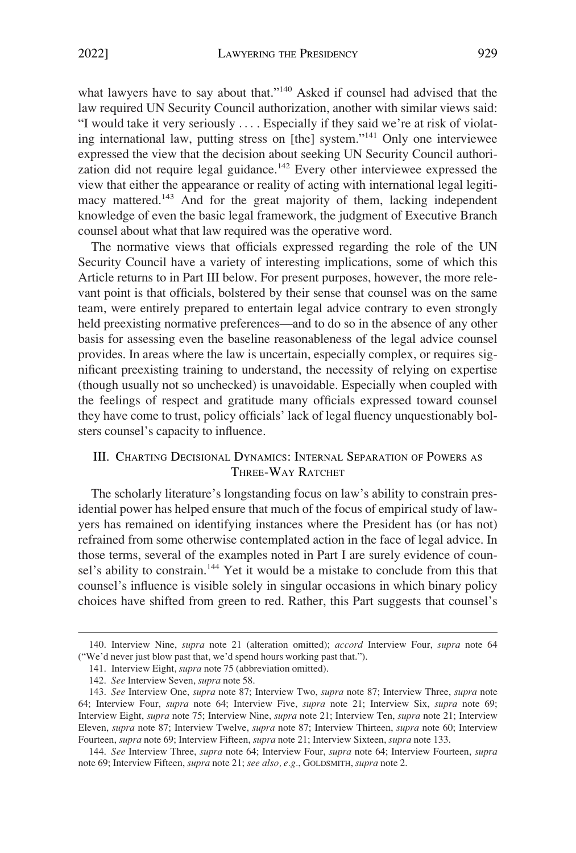<span id="page-30-0"></span>what lawyers have to say about that."<sup>140</sup> Asked if counsel had advised that the law required UN Security Council authorization, another with similar views said: "I would take it very seriously . . . . Especially if they said we're at risk of violating international law, putting stress on [the] system."141 Only one interviewee expressed the view that the decision about seeking UN Security Council authorization did not require legal guidance.<sup>142</sup> Every other interviewee expressed the view that either the appearance or reality of acting with international legal legitimacy mattered.<sup>143</sup> And for the great majority of them, lacking independent knowledge of even the basic legal framework, the judgment of Executive Branch counsel about what that law required was the operative word.

The normative views that officials expressed regarding the role of the UN Security Council have a variety of interesting implications, some of which this Article returns to in Part III below. For present purposes, however, the more relevant point is that officials, bolstered by their sense that counsel was on the same team, were entirely prepared to entertain legal advice contrary to even strongly held preexisting normative preferences—and to do so in the absence of any other basis for assessing even the baseline reasonableness of the legal advice counsel provides. In areas where the law is uncertain, especially complex, or requires significant preexisting training to understand, the necessity of relying on expertise (though usually not so unchecked) is unavoidable. Especially when coupled with the feelings of respect and gratitude many officials expressed toward counsel they have come to trust, policy officials' lack of legal fluency unquestionably bolsters counsel's capacity to influence.

# III. CHARTING DECISIONAL DYNAMICS: INTERNAL SEPARATION OF POWERS AS THREE-WAY RATCHET

The scholarly literature's longstanding focus on law's ability to constrain presidential power has helped ensure that much of the focus of empirical study of lawyers has remained on identifying instances where the President has (or has not) refrained from some otherwise contemplated action in the face of legal advice. In those terms, several of the examples noted in Part I are surely evidence of counsel's ability to constrain.<sup>144</sup> Yet it would be a mistake to conclude from this that counsel's influence is visible solely in singular occasions in which binary policy choices have shifted from green to red. Rather, this Part suggests that counsel's

<sup>140.</sup> Interview Nine, *supra* note 21 (alteration omitted); *accord* Interview Four, *supra* note 64 ("We'd never just blow past that, we'd spend hours working past that.").

<sup>141.</sup> Interview Eight, *supra* note 75 (abbreviation omitted).

<sup>142.</sup> *See* Interview Seven, *supra* note 58.

<sup>143.</sup> *See* Interview One, *supra* note 87; Interview Two, *supra* note 87; Interview Three, *supra* note 64; Interview Four, *supra* note 64; Interview Five, *supra* note 21; Interview Six, *supra* note 69; Interview Eight, *supra* note 75; Interview Nine, *supra* note 21; Interview Ten, *supra* note 21; Interview Eleven, *supra* note 87; Interview Twelve, *supra* note 87; Interview Thirteen, *supra* note 60; Interview Fourteen, *supra* note 69; Interview Fifteen, *supra* note 21; Interview Sixteen, *supra* note 133.

<sup>144.</sup> *See* Interview Three, *supra* note 64; Interview Four, *supra* note 64; Interview Fourteen, *supra*  note 69; Interview Fifteen, *supra* note 21; *see also, e.g.*, GOLDSMITH, *supra* note 2.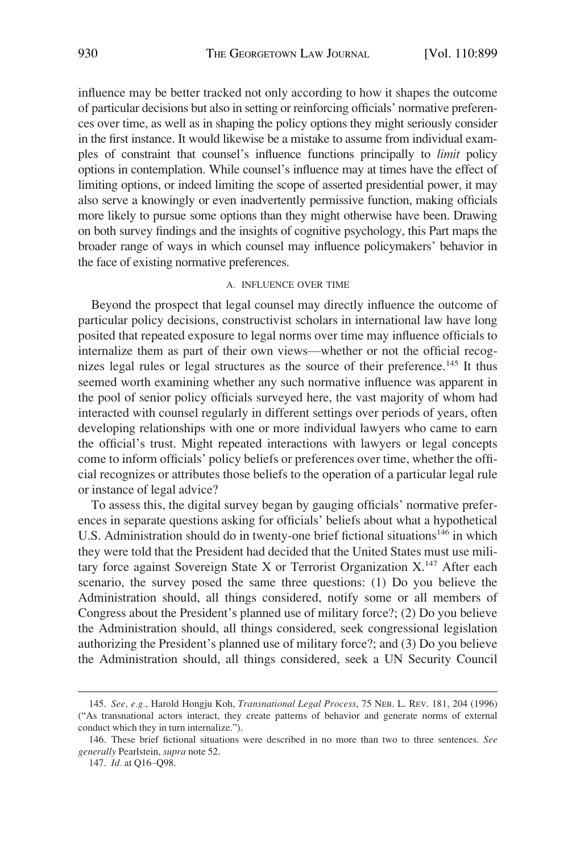<span id="page-31-0"></span>influence may be better tracked not only according to how it shapes the outcome of particular decisions but also in setting or reinforcing officials' normative preferences over time, as well as in shaping the policy options they might seriously consider in the first instance. It would likewise be a mistake to assume from individual examples of constraint that counsel's influence functions principally to *limit* policy options in contemplation. While counsel's influence may at times have the effect of limiting options, or indeed limiting the scope of asserted presidential power, it may also serve a knowingly or even inadvertently permissive function, making officials more likely to pursue some options than they might otherwise have been. Drawing on both survey findings and the insights of cognitive psychology, this Part maps the broader range of ways in which counsel may influence policymakers' behavior in the face of existing normative preferences.

#### A. INFLUENCE OVER TIME

Beyond the prospect that legal counsel may directly influence the outcome of particular policy decisions, constructivist scholars in international law have long posited that repeated exposure to legal norms over time may influence officials to internalize them as part of their own views—whether or not the official recognizes legal rules or legal structures as the source of their preference.<sup>145</sup> It thus seemed worth examining whether any such normative influence was apparent in the pool of senior policy officials surveyed here, the vast majority of whom had interacted with counsel regularly in different settings over periods of years, often developing relationships with one or more individual lawyers who came to earn the official's trust. Might repeated interactions with lawyers or legal concepts come to inform officials' policy beliefs or preferences over time, whether the official recognizes or attributes those beliefs to the operation of a particular legal rule or instance of legal advice?

To assess this, the digital survey began by gauging officials' normative preferences in separate questions asking for officials' beliefs about what a hypothetical U.S. Administration should do in twenty-one brief fictional situations<sup>146</sup> in which they were told that the President had decided that the United States must use military force against Sovereign State X or Terrorist Organization X.<sup>147</sup> After each scenario, the survey posed the same three questions: (1) Do you believe the Administration should, all things considered, notify some or all members of Congress about the President's planned use of military force?; (2) Do you believe the Administration should, all things considered, seek congressional legislation authorizing the President's planned use of military force?; and (3) Do you believe the Administration should, all things considered, seek a UN Security Council

<sup>145.</sup> *See, e.g.*, Harold Hongju Koh, *Transnational Legal Process*, 75 NEB. L. REV. 181, 204 (1996) ("As transnational actors interact, they create patterns of behavior and generate norms of external conduct which they in turn internalize.").

<sup>146.</sup> These brief fictional situations were described in no more than two to three sentences. *See generally* Pearlstein, *supra* note 52.

<sup>147.</sup> *Id.* at Q16–Q98.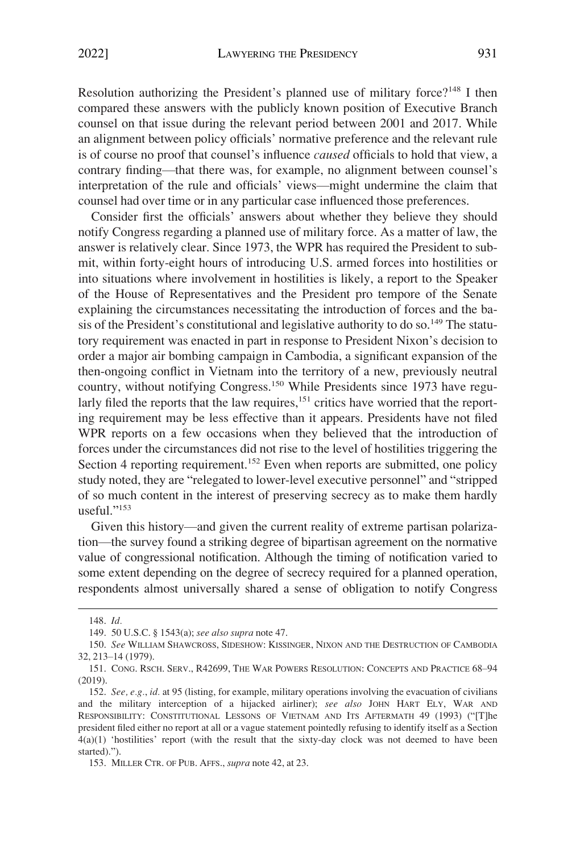Resolution authorizing the President's planned use of military force?<sup>148</sup> I then compared these answers with the publicly known position of Executive Branch counsel on that issue during the relevant period between 2001 and 2017. While an alignment between policy officials' normative preference and the relevant rule is of course no proof that counsel's influence *caused* officials to hold that view, a contrary finding—that there was, for example, no alignment between counsel's interpretation of the rule and officials' views—might undermine the claim that counsel had over time or in any particular case influenced those preferences.

Consider first the officials' answers about whether they believe they should notify Congress regarding a planned use of military force. As a matter of law, the answer is relatively clear. Since 1973, the WPR has required the President to submit, within forty-eight hours of introducing U.S. armed forces into hostilities or into situations where involvement in hostilities is likely, a report to the Speaker of the House of Representatives and the President pro tempore of the Senate explaining the circumstances necessitating the introduction of forces and the basis of the President's constitutional and legislative authority to do so.<sup>149</sup> The statutory requirement was enacted in part in response to President Nixon's decision to order a major air bombing campaign in Cambodia, a significant expansion of the then-ongoing conflict in Vietnam into the territory of a new, previously neutral country, without notifying Congress.<sup>150</sup> While Presidents since 1973 have regularly filed the reports that the law requires,<sup>151</sup> critics have worried that the reporting requirement may be less effective than it appears. Presidents have not filed WPR reports on a few occasions when they believed that the introduction of forces under the circumstances did not rise to the level of hostilities triggering the Section 4 reporting requirement.<sup>152</sup> Even when reports are submitted, one policy study noted, they are "relegated to lower-level executive personnel" and "stripped of so much content in the interest of preserving secrecy as to make them hardly useful."<sup>153</sup>

Given this history—and given the current reality of extreme partisan polarization—the survey found a striking degree of bipartisan agreement on the normative value of congressional notification. Although the timing of notification varied to some extent depending on the degree of secrecy required for a planned operation, respondents almost universally shared a sense of obligation to notify Congress

<sup>148.</sup> *Id.* 

<sup>149. 50</sup> U.S.C. § 1543(a); *see also supra* note 47.

<sup>150.</sup> *See* WILLIAM SHAWCROSS, SIDESHOW: KISSINGER, NIXON AND THE DESTRUCTION OF CAMBODIA 32, 213–14 (1979).

<sup>151.</sup> CONG. RSCH. SERV., R42699, THE WAR POWERS RESOLUTION: CONCEPTS AND PRACTICE 68–94 (2019).

<sup>152.</sup> *See, e.g.*, *id.* at 95 (listing, for example, military operations involving the evacuation of civilians and the military interception of a hijacked airliner); *see also* JOHN HART ELY, WAR AND RESPONSIBILITY: CONSTITUTIONAL LESSONS OF VIETNAM AND ITS AFTERMATH 49 (1993) ("[T]he president filed either no report at all or a vague statement pointedly refusing to identify itself as a Section 4(a)(1) 'hostilities' report (with the result that the sixty-day clock was not deemed to have been started).").

<sup>153.</sup> MILLER CTR. OF PUB. AFFS., *supra* note 42, at 23.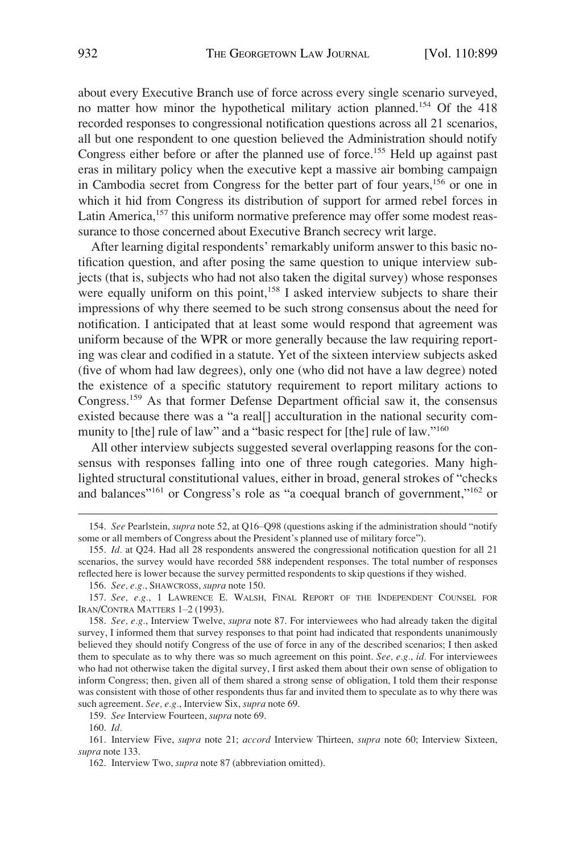about every Executive Branch use of force across every single scenario surveyed, no matter how minor the hypothetical military action planned.<sup>154</sup> Of the 418 recorded responses to congressional notification questions across all 21 scenarios, all but one respondent to one question believed the Administration should notify Congress either before or after the planned use of force.<sup>155</sup> Held up against past eras in military policy when the executive kept a massive air bombing campaign in Cambodia secret from Congress for the better part of four years,156 or one in which it hid from Congress its distribution of support for armed rebel forces in Latin America,<sup>157</sup> this uniform normative preference may offer some modest reassurance to those concerned about Executive Branch secrecy writ large.

After learning digital respondents' remarkably uniform answer to this basic notification question, and after posing the same question to unique interview subjects (that is, subjects who had not also taken the digital survey) whose responses were equally uniform on this point,<sup>158</sup> I asked interview subjects to share their impressions of why there seemed to be such strong consensus about the need for notification. I anticipated that at least some would respond that agreement was uniform because of the WPR or more generally because the law requiring reporting was clear and codified in a statute. Yet of the sixteen interview subjects asked (five of whom had law degrees), only one (who did not have a law degree) noted the existence of a specific statutory requirement to report military actions to Congress.159 As that former Defense Department official saw it, the consensus existed because there was a "a real[] acculturation in the national security community to [the] rule of law" and a "basic respect for [the] rule of law."<sup>160</sup>

All other interview subjects suggested several overlapping reasons for the consensus with responses falling into one of three rough categories. Many highlighted structural constitutional values, either in broad, general strokes of "checks and balances<sup>"161</sup> or Congress's role as "a coequal branch of government,"<sup>162</sup> or

159. *See* Interview Fourteen, *supra* note 69.

160. *Id.* 

161. Interview Five, *supra* note 21; *accord* Interview Thirteen, *supra* note 60; Interview Sixteen, *supra* note 133.

162. Interview Two, *supra* note 87 (abbreviation omitted).

<sup>154.</sup> *See* Pearlstein, *supra* note 52, at Q16–Q98 (questions asking if the administration should "notify some or all members of Congress about the President's planned use of military force").

<sup>155.</sup> *Id.* at Q24. Had all 28 respondents answered the congressional notification question for all 21 scenarios, the survey would have recorded 588 independent responses. The total number of responses reflected here is lower because the survey permitted respondents to skip questions if they wished.

<sup>156.</sup> *See, e.g.*, SHAWCROSS, *supra* note 150.

<sup>157.</sup> *See, e.g.*, 1 LAWRENCE E. WALSH, FINAL REPORT OF THE INDEPENDENT COUNSEL FOR IRAN/CONTRA MATTERS 1–2 (1993).

<sup>158.</sup> *See, e.g.*, Interview Twelve, *supra* note 87. For interviewees who had already taken the digital survey, I informed them that survey responses to that point had indicated that respondents unanimously believed they should notify Congress of the use of force in any of the described scenarios; I then asked them to speculate as to why there was so much agreement on this point. *See, e.g.*, *id.* For interviewees who had not otherwise taken the digital survey, I first asked them about their own sense of obligation to inform Congress; then, given all of them shared a strong sense of obligation, I told them their response was consistent with those of other respondents thus far and invited them to speculate as to why there was such agreement. *See, e.g.*, Interview Six, *supra* note 69.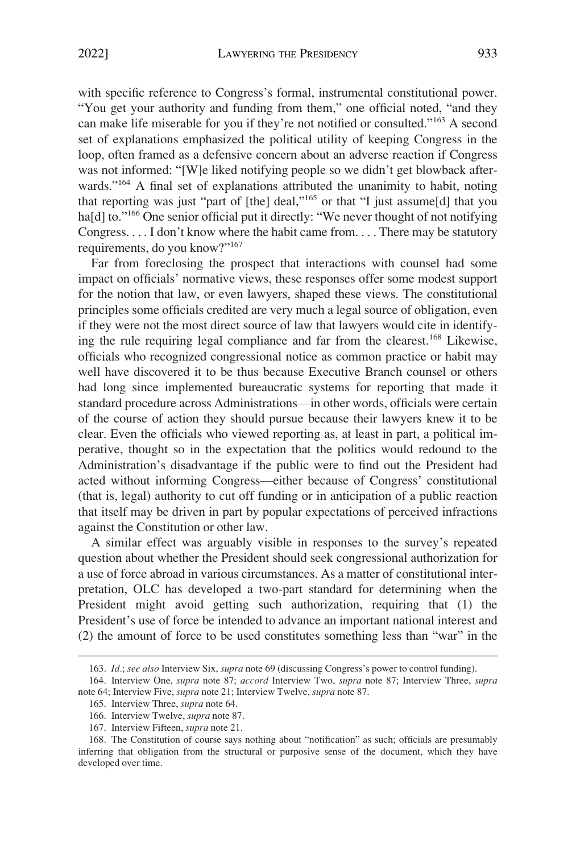with specific reference to Congress's formal, instrumental constitutional power. "You get your authority and funding from them," one official noted, "and they can make life miserable for you if they're not notified or consulted."163 A second set of explanations emphasized the political utility of keeping Congress in the loop, often framed as a defensive concern about an adverse reaction if Congress was not informed: "[W]e liked notifying people so we didn't get blowback afterwards."<sup>164</sup> A final set of explanations attributed the unanimity to habit, noting that reporting was just "part of [the] deal,"165 or that "I just assume[d] that you ha[d] to."<sup>166</sup> One senior official put it directly: "We never thought of not notifying Congress. . . . I don't know where the habit came from. . . . There may be statutory requirements, do you know?"<sup>167</sup>

Far from foreclosing the prospect that interactions with counsel had some impact on officials' normative views, these responses offer some modest support for the notion that law, or even lawyers, shaped these views. The constitutional principles some officials credited are very much a legal source of obligation, even if they were not the most direct source of law that lawyers would cite in identifying the rule requiring legal compliance and far from the clearest.<sup>168</sup> Likewise, officials who recognized congressional notice as common practice or habit may well have discovered it to be thus because Executive Branch counsel or others had long since implemented bureaucratic systems for reporting that made it standard procedure across Administrations—in other words, officials were certain of the course of action they should pursue because their lawyers knew it to be clear. Even the officials who viewed reporting as, at least in part, a political imperative, thought so in the expectation that the politics would redound to the Administration's disadvantage if the public were to find out the President had acted without informing Congress—either because of Congress' constitutional (that is, legal) authority to cut off funding or in anticipation of a public reaction that itself may be driven in part by popular expectations of perceived infractions against the Constitution or other law.

A similar effect was arguably visible in responses to the survey's repeated question about whether the President should seek congressional authorization for a use of force abroad in various circumstances. As a matter of constitutional interpretation, OLC has developed a two-part standard for determining when the President might avoid getting such authorization, requiring that (1) the President's use of force be intended to advance an important national interest and (2) the amount of force to be used constitutes something less than "war" in the

<sup>163.</sup> *Id.*; *see also* Interview Six, *supra* note 69 (discussing Congress's power to control funding).

<sup>164.</sup> Interview One, *supra* note 87; *accord* Interview Two, *supra* note 87; Interview Three, *supra*  note 64; Interview Five, *supra* note 21; Interview Twelve, *supra* note 87.

<sup>165.</sup> Interview Three, *supra* note 64.

<sup>166.</sup> Interview Twelve, *supra* note 87.

<sup>167.</sup> Interview Fifteen, *supra* note 21.

<sup>168.</sup> The Constitution of course says nothing about "notification" as such; officials are presumably inferring that obligation from the structural or purposive sense of the document, which they have developed over time.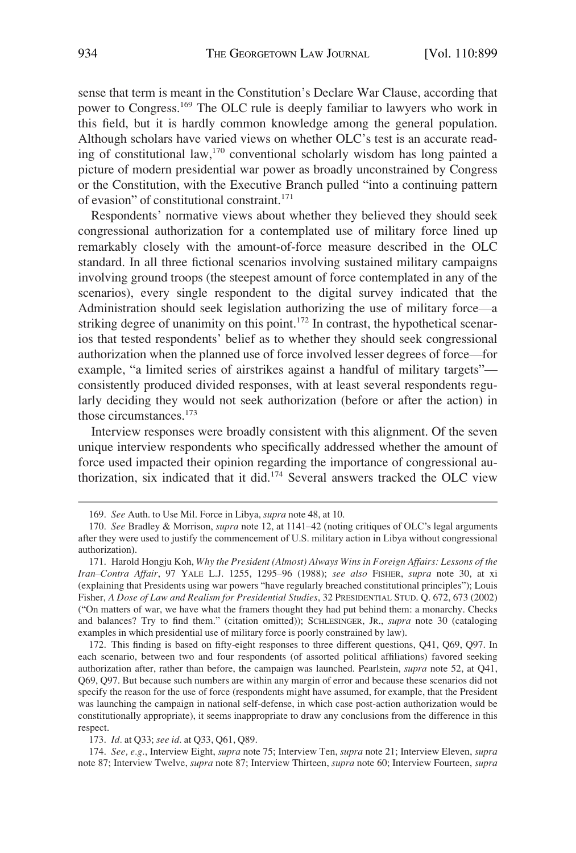sense that term is meant in the Constitution's Declare War Clause, according that power to Congress.169 The OLC rule is deeply familiar to lawyers who work in this field, but it is hardly common knowledge among the general population. Although scholars have varied views on whether OLC's test is an accurate reading of constitutional law,170 conventional scholarly wisdom has long painted a picture of modern presidential war power as broadly unconstrained by Congress or the Constitution, with the Executive Branch pulled "into a continuing pattern of evasion" of constitutional constraint.<sup>171</sup>

Respondents' normative views about whether they believed they should seek congressional authorization for a contemplated use of military force lined up remarkably closely with the amount-of-force measure described in the OLC standard. In all three fictional scenarios involving sustained military campaigns involving ground troops (the steepest amount of force contemplated in any of the scenarios), every single respondent to the digital survey indicated that the Administration should seek legislation authorizing the use of military force—a striking degree of unanimity on this point.<sup>172</sup> In contrast, the hypothetical scenarios that tested respondents' belief as to whether they should seek congressional authorization when the planned use of force involved lesser degrees of force—for example, "a limited series of airstrikes against a handful of military targets" consistently produced divided responses, with at least several respondents regularly deciding they would not seek authorization (before or after the action) in those circumstances.<sup>173</sup>

Interview responses were broadly consistent with this alignment. Of the seven unique interview respondents who specifically addressed whether the amount of force used impacted their opinion regarding the importance of congressional authorization, six indicated that it did.174 Several answers tracked the OLC view

172. This finding is based on fifty-eight responses to three different questions, Q41, Q69, Q97. In each scenario, between two and four respondents (of assorted political affiliations) favored seeking authorization after, rather than before, the campaign was launched. Pearlstein, *supra* note 52, at Q41, Q69, Q97. But because such numbers are within any margin of error and because these scenarios did not specify the reason for the use of force (respondents might have assumed, for example, that the President was launching the campaign in national self-defense, in which case post-action authorization would be constitutionally appropriate), it seems inappropriate to draw any conclusions from the difference in this respect.

173. *Id.* at Q33; *see id.* at Q33, Q61, Q89.

174. *See, e.g.*, Interview Eight, *supra* note 75; Interview Ten, *supra* note 21; Interview Eleven, *supra*  note 87; Interview Twelve, *supra* note 87; Interview Thirteen, *supra* note 60; Interview Fourteen, *supra* 

<sup>169.</sup> *See* Auth. to Use Mil. Force in Libya, *supra* note 48, at 10.

<sup>170.</sup> *See* Bradley & Morrison, *supra* note 12, at 1141–42 (noting critiques of OLC's legal arguments after they were used to justify the commencement of U.S. military action in Libya without congressional authorization).

<sup>171.</sup> Harold Hongju Koh, *Why the President (Almost) Always Wins in Foreign Affairs: Lessons of the Iran*–*Contra Affair*, 97 YALE L.J. 1255, 1295–96 (1988); *see also* FISHER, *supra* note 30, at xi (explaining that Presidents using war powers "have regularly breached constitutional principles"); Louis Fisher, *A Dose of Law and Realism for Presidential Studies*, 32 PRESIDENTIAL STUD. Q. 672, 673 (2002) ("On matters of war, we have what the framers thought they had put behind them: a monarchy. Checks and balances? Try to find them." (citation omitted)); SCHLESINGER, JR., *supra* note 30 (cataloging examples in which presidential use of military force is poorly constrained by law).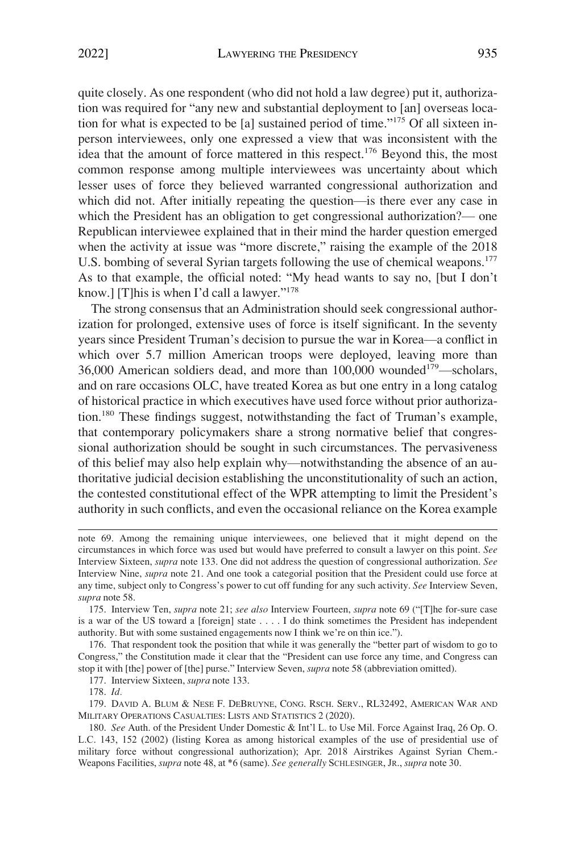quite closely. As one respondent (who did not hold a law degree) put it, authorization was required for "any new and substantial deployment to [an] overseas location for what is expected to be [a] sustained period of time."175 Of all sixteen inperson interviewees, only one expressed a view that was inconsistent with the idea that the amount of force mattered in this respect.<sup>176</sup> Beyond this, the most common response among multiple interviewees was uncertainty about which lesser uses of force they believed warranted congressional authorization and which did not. After initially repeating the question—is there ever any case in which the President has an obligation to get congressional authorization?— one Republican interviewee explained that in their mind the harder question emerged when the activity at issue was "more discrete," raising the example of the 2018 U.S. bombing of several Syrian targets following the use of chemical weapons.<sup>177</sup> As to that example, the official noted: "My head wants to say no, [but I don't know.] [T]his is when I'd call a lawyer."<sup>178</sup>

The strong consensus that an Administration should seek congressional authorization for prolonged, extensive uses of force is itself significant. In the seventy years since President Truman's decision to pursue the war in Korea—a conflict in which over 5.7 million American troops were deployed, leaving more than 36,000 American soldiers dead, and more than 100,000 wounded<sup>179</sup>—scholars, and on rare occasions OLC, have treated Korea as but one entry in a long catalog of historical practice in which executives have used force without prior authorization.<sup>180</sup> These findings suggest, notwithstanding the fact of Truman's example, that contemporary policymakers share a strong normative belief that congressional authorization should be sought in such circumstances. The pervasiveness of this belief may also help explain why—notwithstanding the absence of an authoritative judicial decision establishing the unconstitutionality of such an action, the contested constitutional effect of the WPR attempting to limit the President's authority in such conflicts, and even the occasional reliance on the Korea example

177. Interview Sixteen, *supra* note 133.

178. *Id.* 

179. DAVID A. BLUM & NESE F. DEBRUYNE, CONG. RSCH. SERV., RL32492, AMERICAN WAR AND MILITARY OPERATIONS CASUALTIES: LISTS AND STATISTICS 2 (2020).

180. *See* Auth. of the President Under Domestic & Int'l L. to Use Mil. Force Against Iraq, 26 Op. O. L.C. 143, 152 (2002) (listing Korea as among historical examples of the use of presidential use of military force without congressional authorization); Apr. 2018 Airstrikes Against Syrian Chem.- Weapons Facilities, *supra* note 48, at \*6 (same). *See generally* SCHLESINGER, JR., *supra* note 30.

note 69. Among the remaining unique interviewees, one believed that it might depend on the circumstances in which force was used but would have preferred to consult a lawyer on this point. *See*  Interview Sixteen, *supra* note 133. One did not address the question of congressional authorization. *See*  Interview Nine, *supra* note 21. And one took a categorial position that the President could use force at any time, subject only to Congress's power to cut off funding for any such activity. *See* Interview Seven, *supra* note 58.

<sup>175.</sup> Interview Ten, *supra* note 21; *see also* Interview Fourteen, *supra* note 69 ("[T]he for-sure case is a war of the US toward a [foreign] state . . . . I do think sometimes the President has independent authority. But with some sustained engagements now I think we're on thin ice.").

<sup>176.</sup> That respondent took the position that while it was generally the "better part of wisdom to go to Congress," the Constitution made it clear that the "President can use force any time, and Congress can stop it with [the] power of [the] purse." Interview Seven, *supra* note 58 (abbreviation omitted).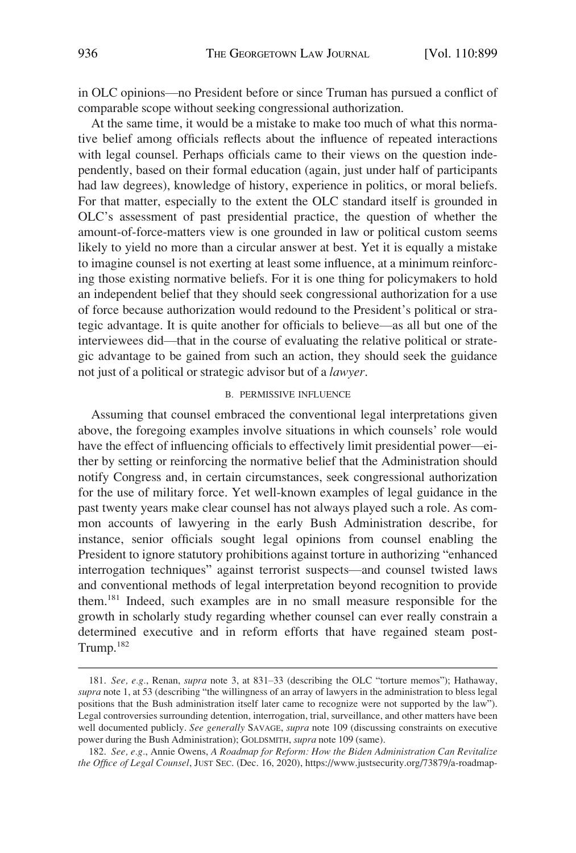<span id="page-37-0"></span>in OLC opinions—no President before or since Truman has pursued a conflict of comparable scope without seeking congressional authorization.

At the same time, it would be a mistake to make too much of what this normative belief among officials reflects about the influence of repeated interactions with legal counsel. Perhaps officials came to their views on the question independently, based on their formal education (again, just under half of participants had law degrees), knowledge of history, experience in politics, or moral beliefs. For that matter, especially to the extent the OLC standard itself is grounded in OLC's assessment of past presidential practice, the question of whether the amount-of-force-matters view is one grounded in law or political custom seems likely to yield no more than a circular answer at best. Yet it is equally a mistake to imagine counsel is not exerting at least some influence, at a minimum reinforcing those existing normative beliefs. For it is one thing for policymakers to hold an independent belief that they should seek congressional authorization for a use of force because authorization would redound to the President's political or strategic advantage. It is quite another for officials to believe—as all but one of the interviewees did—that in the course of evaluating the relative political or strategic advantage to be gained from such an action, they should seek the guidance not just of a political or strategic advisor but of a *lawyer*.

## B. PERMISSIVE INFLUENCE

Assuming that counsel embraced the conventional legal interpretations given above, the foregoing examples involve situations in which counsels' role would have the effect of influencing officials to effectively limit presidential power—either by setting or reinforcing the normative belief that the Administration should notify Congress and, in certain circumstances, seek congressional authorization for the use of military force. Yet well-known examples of legal guidance in the past twenty years make clear counsel has not always played such a role. As common accounts of lawyering in the early Bush Administration describe, for instance, senior officials sought legal opinions from counsel enabling the President to ignore statutory prohibitions against torture in authorizing "enhanced interrogation techniques" against terrorist suspects—and counsel twisted laws and conventional methods of legal interpretation beyond recognition to provide them.181 Indeed, such examples are in no small measure responsible for the growth in scholarly study regarding whether counsel can ever really constrain a determined executive and in reform efforts that have regained steam post-Trump.182

<sup>181.</sup> *See, e.g.*, Renan, *supra* note 3, at 831–33 (describing the OLC "torture memos"); Hathaway, *supra* note 1, at 53 (describing "the willingness of an array of lawyers in the administration to bless legal positions that the Bush administration itself later came to recognize were not supported by the law"). Legal controversies surrounding detention, interrogation, trial, surveillance, and other matters have been well documented publicly. *See generally* SAVAGE, *supra* note 109 (discussing constraints on executive power during the Bush Administration); GOLDSMITH, *supra* note 109 (same).

*See, e.g.*, Annie Owens, *A Roadmap for Reform: How the Biden Administration Can Revitalize*  182. *the Office of Legal Counsel*, JUST SEC. (Dec. 16, 2020), https://www.justsecurity.org/73879/a-roadmap-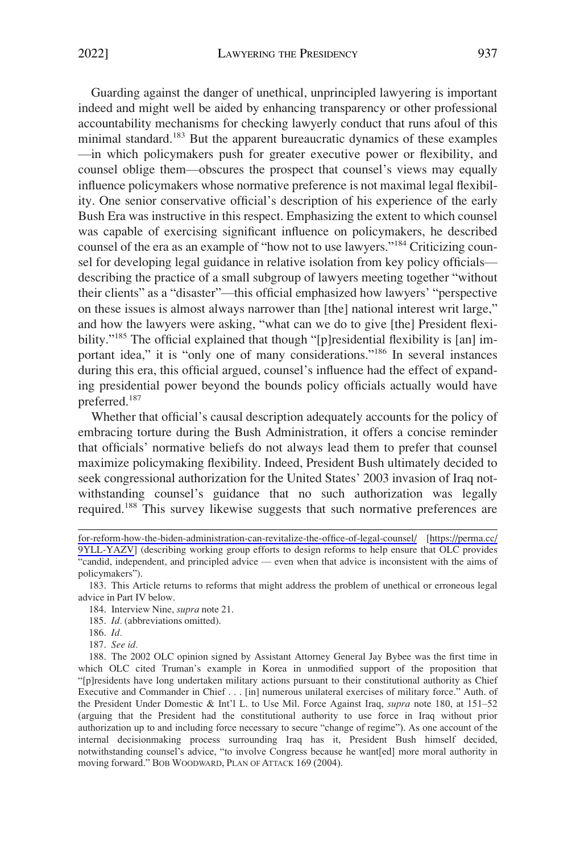Guarding against the danger of unethical, unprincipled lawyering is important indeed and might well be aided by enhancing transparency or other professional accountability mechanisms for checking lawyerly conduct that runs afoul of this minimal standard.<sup>183</sup> But the apparent bureaucratic dynamics of these examples —in which policymakers push for greater executive power or flexibility, and counsel oblige them—obscures the prospect that counsel's views may equally influence policymakers whose normative preference is not maximal legal flexibility. One senior conservative official's description of his experience of the early Bush Era was instructive in this respect. Emphasizing the extent to which counsel was capable of exercising significant influence on policymakers, he described counsel of the era as an example of "how not to use lawyers."184 Criticizing counsel for developing legal guidance in relative isolation from key policy officials describing the practice of a small subgroup of lawyers meeting together "without their clients" as a "disaster"—this official emphasized how lawyers' "perspective on these issues is almost always narrower than [the] national interest writ large," and how the lawyers were asking, "what can we do to give [the] President flexibility."<sup>185</sup> The official explained that though "[p]residential flexibility is [an] important idea," it is "only one of many considerations."<sup>186</sup> In several instances during this era, this official argued, counsel's influence had the effect of expanding presidential power beyond the bounds policy officials actually would have preferred.187

Whether that official's causal description adequately accounts for the policy of embracing torture during the Bush Administration, it offers a concise reminder that officials' normative beliefs do not always lead them to prefer that counsel maximize policymaking flexibility. Indeed, President Bush ultimately decided to seek congressional authorization for the United States' 2003 invasion of Iraq notwithstanding counsel's guidance that no such authorization was legally required.188 This survey likewise suggests that such normative preferences are

187. *See id.* 

[for-reform-how-the-biden-administration-can-revitalize-the-office-of-legal-counsel/](https://www.justsecurity.org/73879/a-roadmap-for-reform-how-the-biden-administration-can-revitalize-the-office-of-legal-counsel/) [[https://perma.cc/](https://perma.cc/9YLL-YAZV)  [9YLL-YAZV](https://perma.cc/9YLL-YAZV)] (describing working group efforts to design reforms to help ensure that OLC provides "candid, independent, and principled advice — even when that advice is inconsistent with the aims of policymakers").

<sup>183.</sup> This Article returns to reforms that might address the problem of unethical or erroneous legal advice in Part IV below.

<sup>184.</sup> Interview Nine, *supra* note 21.

<sup>185.</sup> *Id.* (abbreviations omitted).

<sup>186.</sup> *Id.* 

<sup>188.</sup> The 2002 OLC opinion signed by Assistant Attorney General Jay Bybee was the first time in which OLC cited Truman's example in Korea in unmodified support of the proposition that "[p]residents have long undertaken military actions pursuant to their constitutional authority as Chief Executive and Commander in Chief . . . [in] numerous unilateral exercises of military force." Auth. of the President Under Domestic & Int'l L. to Use Mil. Force Against Iraq, *supra* note 180, at 151–52 (arguing that the President had the constitutional authority to use force in Iraq without prior authorization up to and including force necessary to secure "change of regime"). As one account of the internal decisionmaking process surrounding Iraq has it, President Bush himself decided, notwithstanding counsel's advice, "to involve Congress because he want[ed] more moral authority in moving forward." BOB WOODWARD, PLAN OF ATTACK 169 (2004).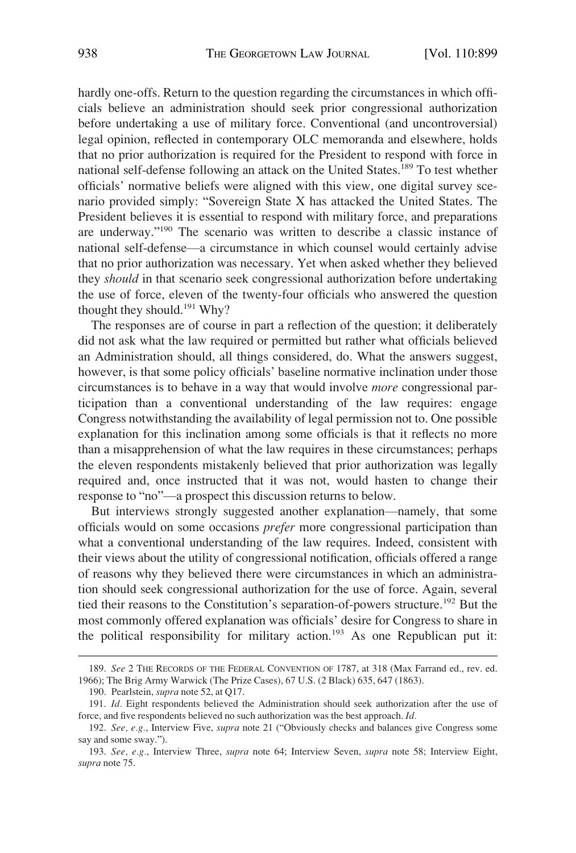hardly one-offs. Return to the question regarding the circumstances in which officials believe an administration should seek prior congressional authorization before undertaking a use of military force. Conventional (and uncontroversial) legal opinion, reflected in contemporary OLC memoranda and elsewhere, holds that no prior authorization is required for the President to respond with force in national self-defense following an attack on the United States.<sup>189</sup> To test whether officials' normative beliefs were aligned with this view, one digital survey scenario provided simply: "Sovereign State X has attacked the United States. The President believes it is essential to respond with military force, and preparations are underway."190 The scenario was written to describe a classic instance of national self-defense—a circumstance in which counsel would certainly advise that no prior authorization was necessary. Yet when asked whether they believed they *should* in that scenario seek congressional authorization before undertaking the use of force, eleven of the twenty-four officials who answered the question thought they should.<sup>191</sup> Why?

The responses are of course in part a reflection of the question; it deliberately did not ask what the law required or permitted but rather what officials believed an Administration should, all things considered, do. What the answers suggest, however, is that some policy officials' baseline normative inclination under those circumstances is to behave in a way that would involve *more* congressional participation than a conventional understanding of the law requires: engage Congress notwithstanding the availability of legal permission not to. One possible explanation for this inclination among some officials is that it reflects no more than a misapprehension of what the law requires in these circumstances; perhaps the eleven respondents mistakenly believed that prior authorization was legally required and, once instructed that it was not, would hasten to change their response to "no"—a prospect this discussion returns to below.

But interviews strongly suggested another explanation—namely, that some officials would on some occasions *prefer* more congressional participation than what a conventional understanding of the law requires. Indeed, consistent with their views about the utility of congressional notification, officials offered a range of reasons why they believed there were circumstances in which an administration should seek congressional authorization for the use of force. Again, several tied their reasons to the Constitution's separation-of-powers structure.<sup>192</sup> But the most commonly offered explanation was officials' desire for Congress to share in the political responsibility for military action.<sup>193</sup> As one Republican put it:

<sup>189.</sup> *See* 2 THE RECORDS OF THE FEDERAL CONVENTION OF 1787, at 318 (Max Farrand ed., rev. ed. 1966); The Brig Army Warwick (The Prize Cases), 67 U.S. (2 Black) 635, 647 (1863).

<sup>190.</sup> Pearlstein, *supra* note 52, at Q17.

<sup>191.</sup> *Id.* Eight respondents believed the Administration should seek authorization after the use of force, and five respondents believed no such authorization was the best approach. *Id.* 

<sup>192.</sup> *See, e.g.*, Interview Five, *supra* note 21 ("Obviously checks and balances give Congress some say and some sway.").

<sup>193.</sup> *See, e.g.*, Interview Three, *supra* note 64; Interview Seven, *supra* note 58; Interview Eight, *supra* note 75.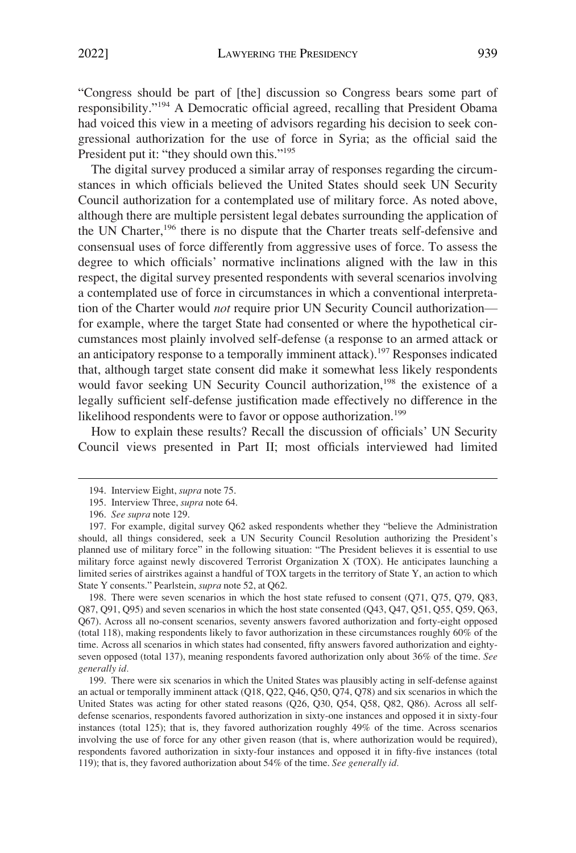"Congress should be part of [the] discussion so Congress bears some part of responsibility."194 A Democratic official agreed, recalling that President Obama had voiced this view in a meeting of advisors regarding his decision to seek congressional authorization for the use of force in Syria; as the official said the President put it: "they should own this."<sup>195</sup>

The digital survey produced a similar array of responses regarding the circumstances in which officials believed the United States should seek UN Security Council authorization for a contemplated use of military force. As noted above, although there are multiple persistent legal debates surrounding the application of the UN Charter,<sup>196</sup> there is no dispute that the Charter treats self-defensive and consensual uses of force differently from aggressive uses of force. To assess the degree to which officials' normative inclinations aligned with the law in this respect, the digital survey presented respondents with several scenarios involving a contemplated use of force in circumstances in which a conventional interpretation of the Charter would *not* require prior UN Security Council authorization for example, where the target State had consented or where the hypothetical circumstances most plainly involved self-defense (a response to an armed attack or an anticipatory response to a temporally imminent attack).<sup>197</sup> Responses indicated that, although target state consent did make it somewhat less likely respondents would favor seeking UN Security Council authorization,<sup>198</sup> the existence of a legally sufficient self-defense justification made effectively no difference in the likelihood respondents were to favor or oppose authorization.<sup>199</sup>

How to explain these results? Recall the discussion of officials' UN Security Council views presented in Part II; most officials interviewed had limited

198. There were seven scenarios in which the host state refused to consent (Q71, Q75, Q79, Q83, Q87, Q91, Q95) and seven scenarios in which the host state consented (Q43, Q47, Q51, Q55, Q59, Q63, Q67). Across all no-consent scenarios, seventy answers favored authorization and forty-eight opposed (total 118), making respondents likely to favor authorization in these circumstances roughly 60% of the time. Across all scenarios in which states had consented, fifty answers favored authorization and eightyseven opposed (total 137), meaning respondents favored authorization only about 36% of the time. *See generally id.* 

199. There were six scenarios in which the United States was plausibly acting in self-defense against an actual or temporally imminent attack (Q18, Q22, Q46, Q50, Q74, Q78) and six scenarios in which the United States was acting for other stated reasons (Q26, Q30, Q54, Q58, Q82, Q86). Across all selfdefense scenarios, respondents favored authorization in sixty-one instances and opposed it in sixty-four instances (total 125); that is, they favored authorization roughly 49% of the time. Across scenarios involving the use of force for any other given reason (that is, where authorization would be required), respondents favored authorization in sixty-four instances and opposed it in fifty-five instances (total 119); that is, they favored authorization about 54% of the time. *See generally id.* 

<sup>194.</sup> Interview Eight, *supra* note 75.

<sup>195.</sup> Interview Three, *supra* note 64.

<sup>196.</sup> *See supra* note 129.

<sup>197.</sup> For example, digital survey Q62 asked respondents whether they "believe the Administration should, all things considered, seek a UN Security Council Resolution authorizing the President's planned use of military force" in the following situation: "The President believes it is essential to use military force against newly discovered Terrorist Organization X (TOX). He anticipates launching a limited series of airstrikes against a handful of TOX targets in the territory of State Y, an action to which State Y consents." Pearlstein, *supra* note 52, at Q62.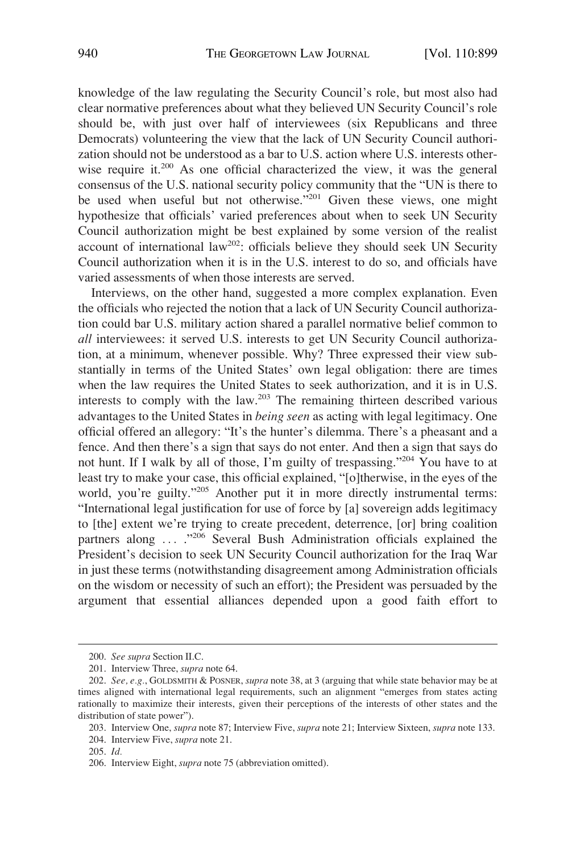knowledge of the law regulating the Security Council's role, but most also had clear normative preferences about what they believed UN Security Council's role should be, with just over half of interviewees (six Republicans and three Democrats) volunteering the view that the lack of UN Security Council authorization should not be understood as a bar to U.S. action where U.S. interests otherwise require it.<sup>200</sup> As one official characterized the view, it was the general consensus of the U.S. national security policy community that the "UN is there to be used when useful but not otherwise."201 Given these views, one might hypothesize that officials' varied preferences about when to seek UN Security Council authorization might be best explained by some version of the realist account of international law<sup>202</sup>: officials believe they should seek UN Security Council authorization when it is in the U.S. interest to do so, and officials have varied assessments of when those interests are served.

Interviews, on the other hand, suggested a more complex explanation. Even the officials who rejected the notion that a lack of UN Security Council authorization could bar U.S. military action shared a parallel normative belief common to *all* interviewees: it served U.S. interests to get UN Security Council authorization, at a minimum, whenever possible. Why? Three expressed their view substantially in terms of the United States' own legal obligation: there are times when the law requires the United States to seek authorization, and it is in U.S. interests to comply with the law.<sup>203</sup> The remaining thirteen described various advantages to the United States in *being seen* as acting with legal legitimacy. One official offered an allegory: "It's the hunter's dilemma. There's a pheasant and a fence. And then there's a sign that says do not enter. And then a sign that says do not hunt. If I walk by all of those, I'm guilty of trespassing."<sup>204</sup> You have to at least try to make your case, this official explained, "[o]therwise, in the eyes of the world, you're guilty."205 Another put it in more directly instrumental terms: "International legal justification for use of force by [a] sovereign adds legitimacy to [the] extent we're trying to create precedent, deterrence, [or] bring coalition partners along ... ."<sup>206</sup> Several Bush Administration officials explained the President's decision to seek UN Security Council authorization for the Iraq War in just these terms (notwithstanding disagreement among Administration officials on the wisdom or necessity of such an effort); the President was persuaded by the argument that essential alliances depended upon a good faith effort to

<sup>200.</sup> *See supra* Section II.C.

<sup>201.</sup> Interview Three, *supra* note 64.

<sup>202.</sup> *See, e.g.*, GOLDSMITH & POSNER, *supra* note 38, at 3 (arguing that while state behavior may be at times aligned with international legal requirements, such an alignment "emerges from states acting rationally to maximize their interests, given their perceptions of the interests of other states and the distribution of state power").

<sup>203.</sup> Interview One, *supra* note 87; Interview Five, *supra* note 21; Interview Sixteen, *supra* note 133.

<sup>204.</sup> Interview Five, *supra* note 21.

<sup>205.</sup> *Id.* 

<sup>206.</sup> Interview Eight, *supra* note 75 (abbreviation omitted).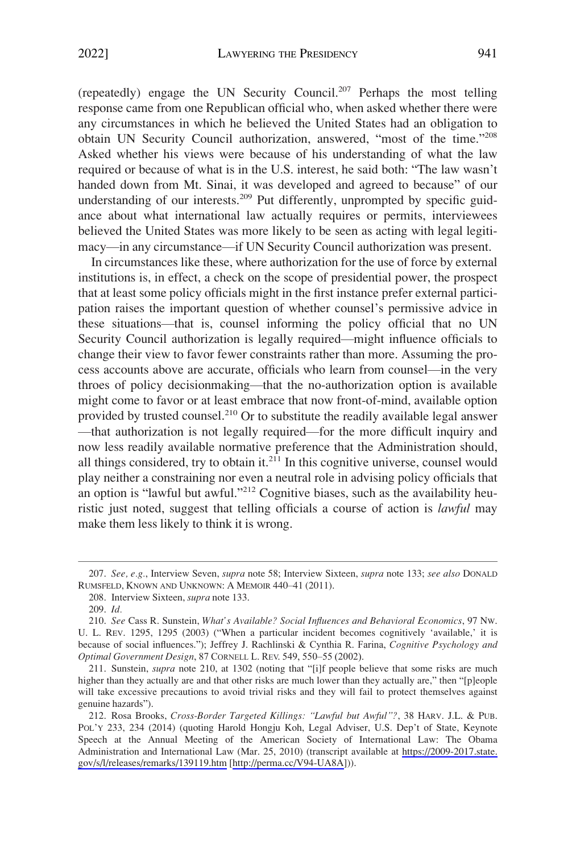(repeatedly) engage the UN Security Council.<sup>207</sup> Perhaps the most telling response came from one Republican official who, when asked whether there were any circumstances in which he believed the United States had an obligation to obtain UN Security Council authorization, answered, "most of the time."<sup>208</sup> Asked whether his views were because of his understanding of what the law required or because of what is in the U.S. interest, he said both: "The law wasn't handed down from Mt. Sinai, it was developed and agreed to because" of our understanding of our interests.<sup>209</sup> Put differently, unprompted by specific guidance about what international law actually requires or permits, interviewees believed the United States was more likely to be seen as acting with legal legitimacy—in any circumstance—if UN Security Council authorization was present.

In circumstances like these, where authorization for the use of force by external institutions is, in effect, a check on the scope of presidential power, the prospect that at least some policy officials might in the first instance prefer external participation raises the important question of whether counsel's permissive advice in these situations—that is, counsel informing the policy official that no UN Security Council authorization is legally required—might influence officials to change their view to favor fewer constraints rather than more. Assuming the process accounts above are accurate, officials who learn from counsel—in the very throes of policy decisionmaking—that the no-authorization option is available might come to favor or at least embrace that now front-of-mind, available option provided by trusted counsel.<sup>210</sup> Or to substitute the readily available legal answer —that authorization is not legally required—for the more difficult inquiry and now less readily available normative preference that the Administration should, all things considered, try to obtain it. $211$  In this cognitive universe, counsel would play neither a constraining nor even a neutral role in advising policy officials that an option is "lawful but awful."<sup>212</sup> Cognitive biases, such as the availability heuristic just noted, suggest that telling officials a course of action is *lawful* may make them less likely to think it is wrong.

<sup>207.</sup> *See, e.g.*, Interview Seven, *supra* note 58; Interview Sixteen, *supra* note 133; *see also* DONALD RUMSFELD, KNOWN AND UNKNOWN: A MEMOIR 440–41 (2011).

<sup>208.</sup> Interview Sixteen, *supra* note 133.

<sup>209.</sup> *Id.* 

<sup>210.</sup> *See* Cass R. Sunstein, *What's Available? Social Influences and Behavioral Economics*, 97 NW. U. L. REV. 1295, 1295 (2003) ("When a particular incident becomes cognitively 'available,' it is because of social influences."); Jeffrey J. Rachlinski & Cynthia R. Farina, *Cognitive Psychology and Optimal Government Design*, 87 CORNELL L. REV. 549, 550–55 (2002).

<sup>211.</sup> Sunstein, *supra* note 210, at 1302 (noting that "[i]f people believe that some risks are much higher than they actually are and that other risks are much lower than they actually are," then "[p]eople will take excessive precautions to avoid trivial risks and they will fail to protect themselves against genuine hazards").

Rosa Brooks, *Cross-Border Targeted Killings: "Lawful but Awful"?*, 38 HARV. J.L. & PUB. 212. POL'Y 233, 234 (2014) (quoting Harold Hongju Koh, Legal Adviser, U.S. Dep't of State, Keynote Speech at the Annual Meeting of the American Society of International Law: The Obama Administration and International Law (Mar. 25, 2010) (transcript available at [https://2009-2017.state.](https://2009-2017.state.gov/s/l/releases/remarks/139119.htm)  [gov/s/l/releases/remarks/139119.htm](https://2009-2017.state.gov/s/l/releases/remarks/139119.htm) [\[http://perma.cc/V94-UA8A](http://perma.cc/V94-UA8A)])).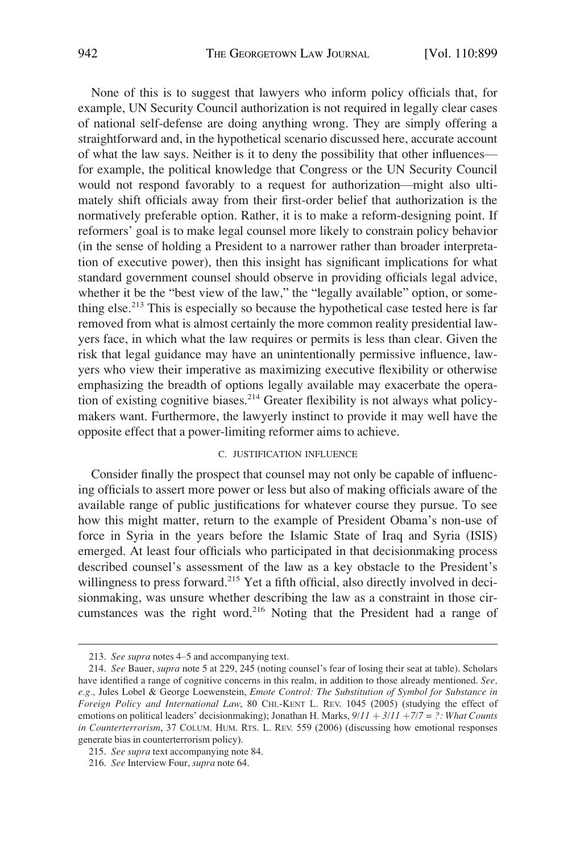<span id="page-43-0"></span>None of this is to suggest that lawyers who inform policy officials that, for example, UN Security Council authorization is not required in legally clear cases of national self-defense are doing anything wrong. They are simply offering a straightforward and, in the hypothetical scenario discussed here, accurate account of what the law says. Neither is it to deny the possibility that other influences for example, the political knowledge that Congress or the UN Security Council would not respond favorably to a request for authorization—might also ultimately shift officials away from their first-order belief that authorization is the normatively preferable option. Rather, it is to make a reform-designing point. If reformers' goal is to make legal counsel more likely to constrain policy behavior (in the sense of holding a President to a narrower rather than broader interpretation of executive power), then this insight has significant implications for what standard government counsel should observe in providing officials legal advice, whether it be the "best view of the law," the "legally available" option, or something else.213 This is especially so because the hypothetical case tested here is far removed from what is almost certainly the more common reality presidential lawyers face, in which what the law requires or permits is less than clear. Given the risk that legal guidance may have an unintentionally permissive influence, lawyers who view their imperative as maximizing executive flexibility or otherwise emphasizing the breadth of options legally available may exacerbate the operation of existing cognitive biases.<sup>214</sup> Greater flexibility is not always what policymakers want. Furthermore, the lawyerly instinct to provide it may well have the opposite effect that a power-limiting reformer aims to achieve.

# C. JUSTIFICATION INFLUENCE

Consider finally the prospect that counsel may not only be capable of influencing officials to assert more power or less but also of making officials aware of the available range of public justifications for whatever course they pursue. To see how this might matter, return to the example of President Obama's non-use of force in Syria in the years before the Islamic State of Iraq and Syria (ISIS) emerged. At least four officials who participated in that decisionmaking process described counsel's assessment of the law as a key obstacle to the President's willingness to press forward.<sup>215</sup> Yet a fifth official, also directly involved in decisionmaking, was unsure whether describing the law as a constraint in those circumstances was the right word.216 Noting that the President had a range of

<sup>213.</sup> *See supra* notes 4–5 and accompanying text.

<sup>214.</sup> *See* Bauer, *supra* note 5 at 229, 245 (noting counsel's fear of losing their seat at table). Scholars have identified a range of cognitive concerns in this realm, in addition to those already mentioned. *See, e.g.*, Jules Lobel & George Loewenstein, *Emote Control: The Substitution of Symbol for Substance in Foreign Policy and International Law*, 80 CHI.-KENT L. REV. 1045 (2005) (studying the effect of emotions on political leaders' decisionmaking); Jonathan H. Marks,  $9/11 + 3/11 + 7/7 = ?$ : What Counts *in Counterterrorism*, 37 COLUM. HUM. RTS. L. REV. 559 (2006) (discussing how emotional responses generate bias in counterterrorism policy).

<sup>215.</sup> *See supra* text accompanying note 84.

<sup>216.</sup> *See* Interview Four, *supra* note 64.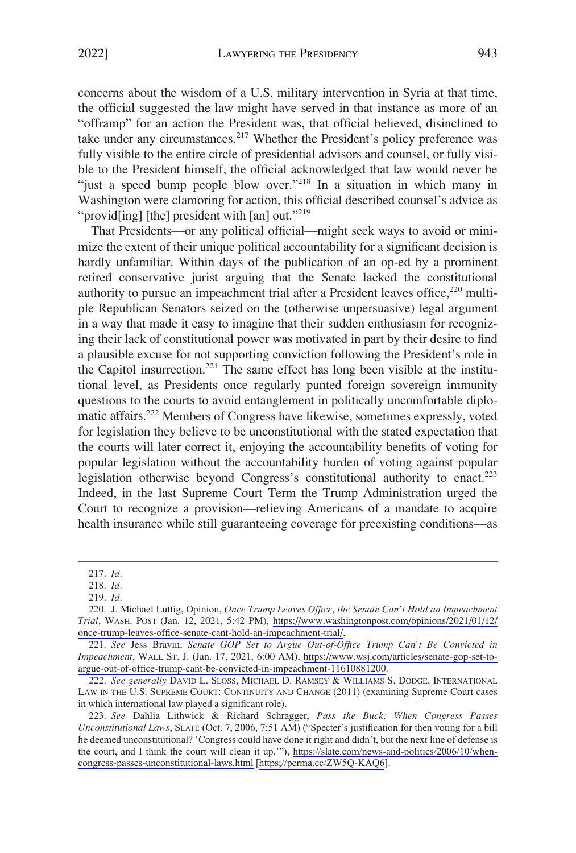concerns about the wisdom of a U.S. military intervention in Syria at that time, the official suggested the law might have served in that instance as more of an "offramp" for an action the President was, that official believed, disinclined to take under any circumstances.<sup>217</sup> Whether the President's policy preference was fully visible to the entire circle of presidential advisors and counsel, or fully visible to the President himself, the official acknowledged that law would never be "just a speed bump people blow over."<sup>218</sup> In a situation in which many in Washington were clamoring for action, this official described counsel's advice as "provid[ing] [the] president with [an] out."<sup>219</sup>

That Presidents—or any political official—might seek ways to avoid or minimize the extent of their unique political accountability for a significant decision is hardly unfamiliar. Within days of the publication of an op-ed by a prominent retired conservative jurist arguing that the Senate lacked the constitutional authority to pursue an impeachment trial after a President leaves office,<sup>220</sup> multiple Republican Senators seized on the (otherwise unpersuasive) legal argument in a way that made it easy to imagine that their sudden enthusiasm for recognizing their lack of constitutional power was motivated in part by their desire to find a plausible excuse for not supporting conviction following the President's role in the Capitol insurrection.<sup>221</sup> The same effect has long been visible at the institutional level, as Presidents once regularly punted foreign sovereign immunity questions to the courts to avoid entanglement in politically uncomfortable diplomatic affairs.222 Members of Congress have likewise, sometimes expressly, voted for legislation they believe to be unconstitutional with the stated expectation that the courts will later correct it, enjoying the accountability benefits of voting for popular legislation without the accountability burden of voting against popular legislation otherwise beyond Congress's constitutional authority to enact.<sup>223</sup> Indeed, in the last Supreme Court Term the Trump Administration urged the Court to recognize a provision—relieving Americans of a mandate to acquire health insurance while still guaranteeing coverage for preexisting conditions—as

<sup>217.</sup> *Id.* 

<sup>218.</sup> *Id.* 

<sup>219.</sup> *Id.* 

<sup>220.</sup> J. Michael Luttig, Opinion, Once Trump Leaves Office, the Senate Can't Hold an Impeachment *Trial*, WASH. POST (Jan. 12, 2021, 5:42 PM), [https://www.washingtonpost.com/opinions/2021/01/12/](https://www.washingtonpost.com/opinions/2021/01/12/once-trump-leaves-office-senate-cant-hold-an-impeachment-trial/)  [once-trump-leaves-office-senate-cant-hold-an-impeachment-trial/.](https://www.washingtonpost.com/opinions/2021/01/12/once-trump-leaves-office-senate-cant-hold-an-impeachment-trial/)

*See* Jess Bravin, *Senate GOP Set to Argue Out-of-Office Trump Can't Be Convicted in*  221. *Impeachment*, WALL ST. J. (Jan. 17, 2021, 6:00 AM), [https://www.wsj.com/articles/senate-gop-set-to](https://www.wsj.com/articles/senate-gop-set-to-argue-out-of-office-trump-cant-be-convicted-in-impeachment-11610881200)[argue-out-of-office-trump-cant-be-convicted-in-impeachment-11610881200.](https://www.wsj.com/articles/senate-gop-set-to-argue-out-of-office-trump-cant-be-convicted-in-impeachment-11610881200)

<sup>222.</sup> *See generally* DAVID L. SLOSS, MICHAEL D. RAMSEY & WILLIAMS S. DODGE, INTERNATIONAL LAW IN THE U.S. SUPREME COURT: CONTINUITY AND CHANGE (2011) (examining Supreme Court cases in which international law played a significant role).

*See* Dahlia Lithwick & Richard Schragger, *Pass the Buck: When Congress Passes*  223. *Unconstitutional Laws*, SLATE (Oct. 7, 2006, 7:51 AM) ("Specter's justification for then voting for a bill he deemed unconstitutional? 'Congress could have done it right and didn't, but the next line of defense is the court, and I think the court will clean it up.'"), [https://slate.com/news-and-politics/2006/10/when](https://slate.com/news-and-politics/2006/10/when-congress-passes-unconstitutional-laws.html)[congress-passes-unconstitutional-laws.html](https://slate.com/news-and-politics/2006/10/when-congress-passes-unconstitutional-laws.html) [<https;//perma.cc/ZW5Q-KAQ6>].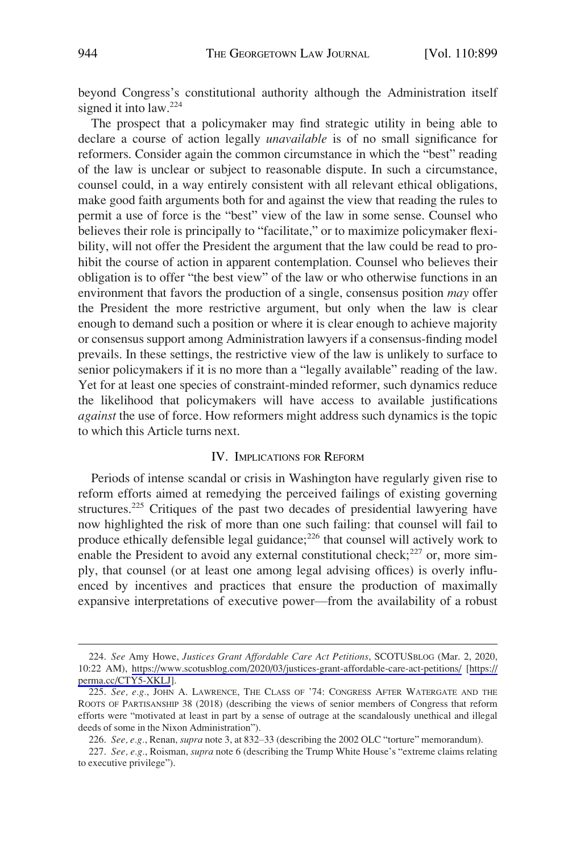<span id="page-45-0"></span>beyond Congress's constitutional authority although the Administration itself signed it into law.<sup>224</sup>

The prospect that a policymaker may find strategic utility in being able to declare a course of action legally *unavailable* is of no small significance for reformers. Consider again the common circumstance in which the "best" reading of the law is unclear or subject to reasonable dispute. In such a circumstance, counsel could, in a way entirely consistent with all relevant ethical obligations, make good faith arguments both for and against the view that reading the rules to permit a use of force is the "best" view of the law in some sense. Counsel who believes their role is principally to "facilitate," or to maximize policymaker flexibility, will not offer the President the argument that the law could be read to prohibit the course of action in apparent contemplation. Counsel who believes their obligation is to offer "the best view" of the law or who otherwise functions in an environment that favors the production of a single, consensus position *may* offer the President the more restrictive argument, but only when the law is clear enough to demand such a position or where it is clear enough to achieve majority or consensus support among Administration lawyers if a consensus-finding model prevails. In these settings, the restrictive view of the law is unlikely to surface to senior policymakers if it is no more than a "legally available" reading of the law. Yet for at least one species of constraint-minded reformer, such dynamics reduce the likelihood that policymakers will have access to available justifications *against* the use of force. How reformers might address such dynamics is the topic to which this Article turns next.

## IV. IMPLICATIONS FOR REFORM

Periods of intense scandal or crisis in Washington have regularly given rise to reform efforts aimed at remedying the perceived failings of existing governing structures.225 Critiques of the past two decades of presidential lawyering have now highlighted the risk of more than one such failing: that counsel will fail to produce ethically defensible legal guidance; $^{226}$  that counsel will actively work to enable the President to avoid any external constitutional check; $^{227}$  or, more simply, that counsel (or at least one among legal advising offices) is overly influenced by incentives and practices that ensure the production of maximally expansive interpretations of executive power—from the availability of a robust

*See* Amy Howe, *Justices Grant Affordable Care Act Petitions*, SCOTUSBLOG (Mar. 2, 2020, 224. 10:22 AM), <https://www.scotusblog.com/2020/03/justices-grant-affordable-care-act-petitions/>[\[https://](https://perma.cc/CTY5-XKLJ)  [perma.cc/CTY5-XKLJ](https://perma.cc/CTY5-XKLJ)].

<sup>225.</sup> *See, e.g.*, JOHN A. LAWRENCE, THE CLASS OF '74: CONGRESS AFTER WATERGATE AND THE ROOTS OF PARTISANSHIP 38 (2018) (describing the views of senior members of Congress that reform efforts were "motivated at least in part by a sense of outrage at the scandalously unethical and illegal deeds of some in the Nixon Administration").

<sup>226.</sup> *See, e.g.*, Renan, *supra* note 3, at 832–33 (describing the 2002 OLC "torture" memorandum).

<sup>227.</sup> *See, e.g.*, Roisman, *supra* note 6 (describing the Trump White House's "extreme claims relating to executive privilege").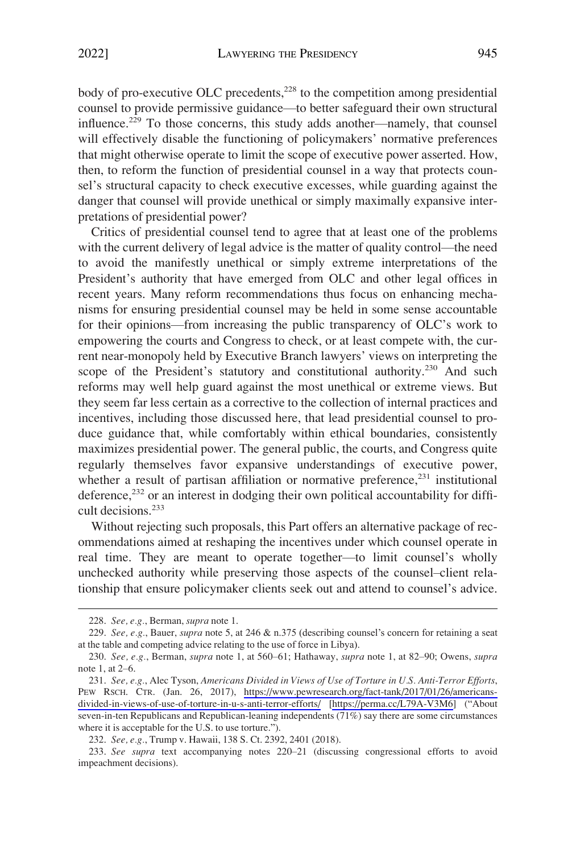body of pro-executive OLC precedents,<sup>228</sup> to the competition among presidential counsel to provide permissive guidance—to better safeguard their own structural influence.<sup>229</sup> To those concerns, this study adds another—namely, that counsel will effectively disable the functioning of policymakers' normative preferences that might otherwise operate to limit the scope of executive power asserted. How, then, to reform the function of presidential counsel in a way that protects counsel's structural capacity to check executive excesses, while guarding against the danger that counsel will provide unethical or simply maximally expansive interpretations of presidential power?

Critics of presidential counsel tend to agree that at least one of the problems with the current delivery of legal advice is the matter of quality control—the need to avoid the manifestly unethical or simply extreme interpretations of the President's authority that have emerged from OLC and other legal offices in recent years. Many reform recommendations thus focus on enhancing mechanisms for ensuring presidential counsel may be held in some sense accountable for their opinions—from increasing the public transparency of OLC's work to empowering the courts and Congress to check, or at least compete with, the current near-monopoly held by Executive Branch lawyers' views on interpreting the scope of the President's statutory and constitutional authority.<sup>230</sup> And such reforms may well help guard against the most unethical or extreme views. But they seem far less certain as a corrective to the collection of internal practices and incentives, including those discussed here, that lead presidential counsel to produce guidance that, while comfortably within ethical boundaries, consistently maximizes presidential power. The general public, the courts, and Congress quite regularly themselves favor expansive understandings of executive power, whether a result of partisan affiliation or normative preference, $231$  institutional deference,<sup>232</sup> or an interest in dodging their own political accountability for difficult decisions.<sup>233</sup>

Without rejecting such proposals, this Part offers an alternative package of recommendations aimed at reshaping the incentives under which counsel operate in real time. They are meant to operate together—to limit counsel's wholly unchecked authority while preserving those aspects of the counsel–client relationship that ensure policymaker clients seek out and attend to counsel's advice.

<sup>228.</sup> *See, e.g.*, Berman, *supra* note 1.

<sup>229.</sup> *See, e.g.*, Bauer, *supra* note 5, at 246 & n.375 (describing counsel's concern for retaining a seat at the table and competing advice relating to the use of force in Libya).

<sup>230.</sup> *See, e.g.*, Berman, *supra* note 1, at 560–61; Hathaway, *supra* note 1, at 82–90; Owens, *supra*  note 1, at 2–6.

*See, e.g.*, Alec Tyson, *Americans Divided in Views of Use of Torture in U.S. Anti-Terror Efforts*, 231. PEW RSCH. CTR. (Jan. 26, 2017), [https://www.pewresearch.org/fact-tank/2017/01/26/americans](https://www.pewresearch.org/fact-tank/2017/01/26/americans-divided-in-views-of-use-of-torture-in-u-s-anti-terror-efforts/)[divided-in-views-of-use-of-torture-in-u-s-anti-terror-efforts/](https://www.pewresearch.org/fact-tank/2017/01/26/americans-divided-in-views-of-use-of-torture-in-u-s-anti-terror-efforts/) [<https://perma.cc/L79A-V3M6>] ("About seven-in-ten Republicans and Republican-leaning independents (71%) say there are some circumstances where it is acceptable for the U.S. to use torture.").

<sup>232.</sup> *See, e.g.*, Trump v. Hawaii, 138 S. Ct. 2392, 2401 (2018).

<sup>233.</sup> *See supra* text accompanying notes 220–21 (discussing congressional efforts to avoid impeachment decisions).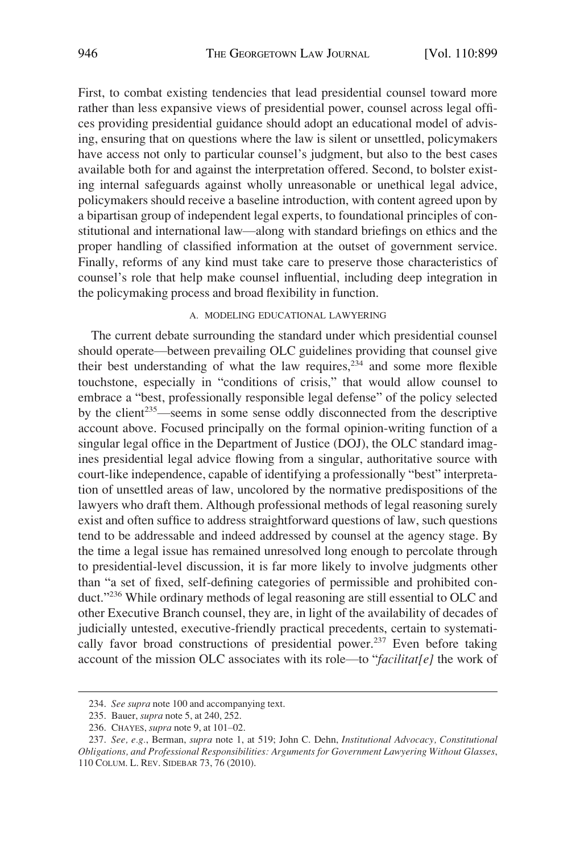<span id="page-47-0"></span>First, to combat existing tendencies that lead presidential counsel toward more rather than less expansive views of presidential power, counsel across legal offices providing presidential guidance should adopt an educational model of advising, ensuring that on questions where the law is silent or unsettled, policymakers have access not only to particular counsel's judgment, but also to the best cases available both for and against the interpretation offered. Second, to bolster existing internal safeguards against wholly unreasonable or unethical legal advice, policymakers should receive a baseline introduction, with content agreed upon by a bipartisan group of independent legal experts, to foundational principles of constitutional and international law—along with standard briefings on ethics and the proper handling of classified information at the outset of government service. Finally, reforms of any kind must take care to preserve those characteristics of counsel's role that help make counsel influential, including deep integration in the policymaking process and broad flexibility in function.

## A. MODELING EDUCATIONAL LAWYERING

The current debate surrounding the standard under which presidential counsel should operate—between prevailing OLC guidelines providing that counsel give their best understanding of what the law requires,  $234$  and some more flexible touchstone, especially in "conditions of crisis," that would allow counsel to embrace a "best, professionally responsible legal defense" of the policy selected by the client<sup>235</sup>—seems in some sense oddly disconnected from the descriptive account above. Focused principally on the formal opinion-writing function of a singular legal office in the Department of Justice (DOJ), the OLC standard imagines presidential legal advice flowing from a singular, authoritative source with court-like independence, capable of identifying a professionally "best" interpretation of unsettled areas of law, uncolored by the normative predispositions of the lawyers who draft them. Although professional methods of legal reasoning surely exist and often suffice to address straightforward questions of law, such questions tend to be addressable and indeed addressed by counsel at the agency stage. By the time a legal issue has remained unresolved long enough to percolate through to presidential-level discussion, it is far more likely to involve judgments other than "a set of fixed, self-defining categories of permissible and prohibited conduct."236 While ordinary methods of legal reasoning are still essential to OLC and other Executive Branch counsel, they are, in light of the availability of decades of judicially untested, executive-friendly practical precedents, certain to systematically favor broad constructions of presidential power.<sup>237</sup> Even before taking account of the mission OLC associates with its role—to "*facilitat[e]* the work of

<sup>234.</sup> *See supra* note 100 and accompanying text.

<sup>235.</sup> Bauer, *supra* note 5, at 240, 252.

<sup>236.</sup> CHAYES, *supra* note 9, at 101–02.

<sup>237.</sup> *See, e.g.*, Berman, *supra* note 1, at 519; John C. Dehn, *Institutional Advocacy, Constitutional Obligations, and Professional Responsibilities: Arguments for Government Lawyering Without Glasses*, 110 COLUM. L. REV. SIDEBAR 73, 76 (2010).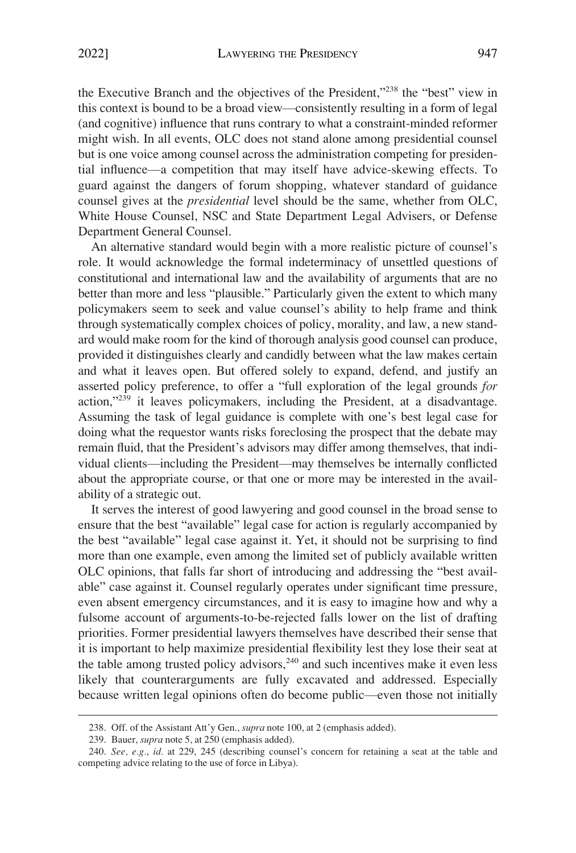the Executive Branch and the objectives of the President,"238 the "best" view in this context is bound to be a broad view—consistently resulting in a form of legal (and cognitive) influence that runs contrary to what a constraint-minded reformer might wish. In all events, OLC does not stand alone among presidential counsel but is one voice among counsel across the administration competing for presidential influence—a competition that may itself have advice-skewing effects. To guard against the dangers of forum shopping, whatever standard of guidance counsel gives at the *presidential* level should be the same, whether from OLC, White House Counsel, NSC and State Department Legal Advisers, or Defense Department General Counsel.

An alternative standard would begin with a more realistic picture of counsel's role. It would acknowledge the formal indeterminacy of unsettled questions of constitutional and international law and the availability of arguments that are no better than more and less "plausible." Particularly given the extent to which many policymakers seem to seek and value counsel's ability to help frame and think through systematically complex choices of policy, morality, and law, a new standard would make room for the kind of thorough analysis good counsel can produce, provided it distinguishes clearly and candidly between what the law makes certain and what it leaves open. But offered solely to expand, defend, and justify an asserted policy preference, to offer a "full exploration of the legal grounds *for*  action,"239 it leaves policymakers, including the President, at a disadvantage. Assuming the task of legal guidance is complete with one's best legal case for doing what the requestor wants risks foreclosing the prospect that the debate may remain fluid, that the President's advisors may differ among themselves, that individual clients—including the President—may themselves be internally conflicted about the appropriate course, or that one or more may be interested in the availability of a strategic out.

It serves the interest of good lawyering and good counsel in the broad sense to ensure that the best "available" legal case for action is regularly accompanied by the best "available" legal case against it. Yet, it should not be surprising to find more than one example, even among the limited set of publicly available written OLC opinions, that falls far short of introducing and addressing the "best available" case against it. Counsel regularly operates under significant time pressure, even absent emergency circumstances, and it is easy to imagine how and why a fulsome account of arguments-to-be-rejected falls lower on the list of drafting priorities. Former presidential lawyers themselves have described their sense that it is important to help maximize presidential flexibility lest they lose their seat at the table among trusted policy advisors,<sup>240</sup> and such incentives make it even less likely that counterarguments are fully excavated and addressed. Especially because written legal opinions often do become public—even those not initially

<sup>238.</sup> Off. of the Assistant Att'y Gen., *supra* note 100, at 2 (emphasis added).

<sup>239.</sup> Bauer, *supra* note 5, at 250 (emphasis added).

<sup>240.</sup> *See, e.g.*, *id.* at 229, 245 (describing counsel's concern for retaining a seat at the table and competing advice relating to the use of force in Libya).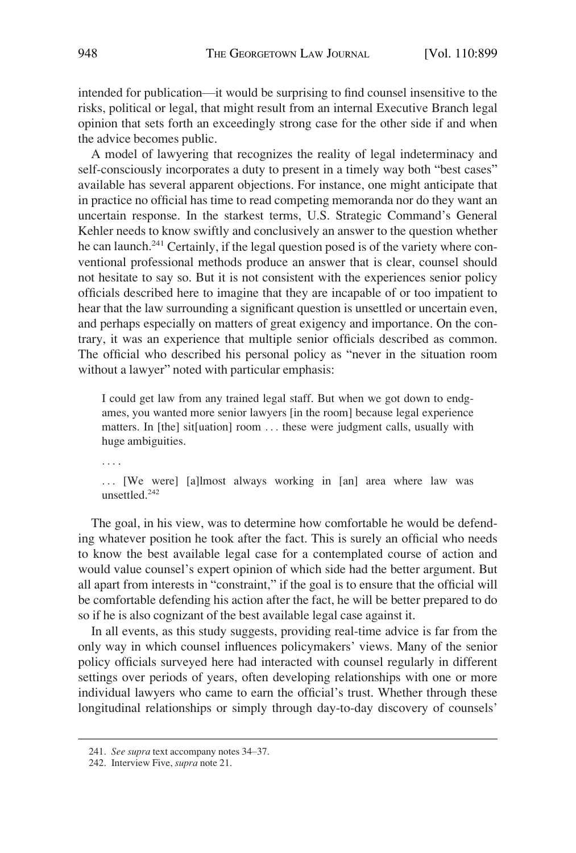intended for publication—it would be surprising to find counsel insensitive to the risks, political or legal, that might result from an internal Executive Branch legal opinion that sets forth an exceedingly strong case for the other side if and when the advice becomes public.

A model of lawyering that recognizes the reality of legal indeterminacy and self-consciously incorporates a duty to present in a timely way both "best cases" available has several apparent objections. For instance, one might anticipate that in practice no official has time to read competing memoranda nor do they want an uncertain response. In the starkest terms, U.S. Strategic Command's General Kehler needs to know swiftly and conclusively an answer to the question whether he can launch.<sup>241</sup> Certainly, if the legal question posed is of the variety where conventional professional methods produce an answer that is clear, counsel should not hesitate to say so. But it is not consistent with the experiences senior policy officials described here to imagine that they are incapable of or too impatient to hear that the law surrounding a significant question is unsettled or uncertain even, and perhaps especially on matters of great exigency and importance. On the contrary, it was an experience that multiple senior officials described as common. The official who described his personal policy as "never in the situation room without a lawyer" noted with particular emphasis:

I could get law from any trained legal staff. But when we got down to endgames, you wanted more senior lawyers [in the room] because legal experience matters. In [the] sit[uation] room . . . these were judgment calls, usually with huge ambiguities.

. . . .

... [We were] [a]lmost always working in [an] area where law was unsettled.<sup>242</sup>

The goal, in his view, was to determine how comfortable he would be defending whatever position he took after the fact. This is surely an official who needs to know the best available legal case for a contemplated course of action and would value counsel's expert opinion of which side had the better argument. But all apart from interests in "constraint," if the goal is to ensure that the official will be comfortable defending his action after the fact, he will be better prepared to do so if he is also cognizant of the best available legal case against it.

In all events, as this study suggests, providing real-time advice is far from the only way in which counsel influences policymakers' views. Many of the senior policy officials surveyed here had interacted with counsel regularly in different settings over periods of years, often developing relationships with one or more individual lawyers who came to earn the official's trust. Whether through these longitudinal relationships or simply through day-to-day discovery of counsels'

<sup>241.</sup> *See supra* text accompany notes 34–37.

<sup>242.</sup> Interview Five, *supra* note 21.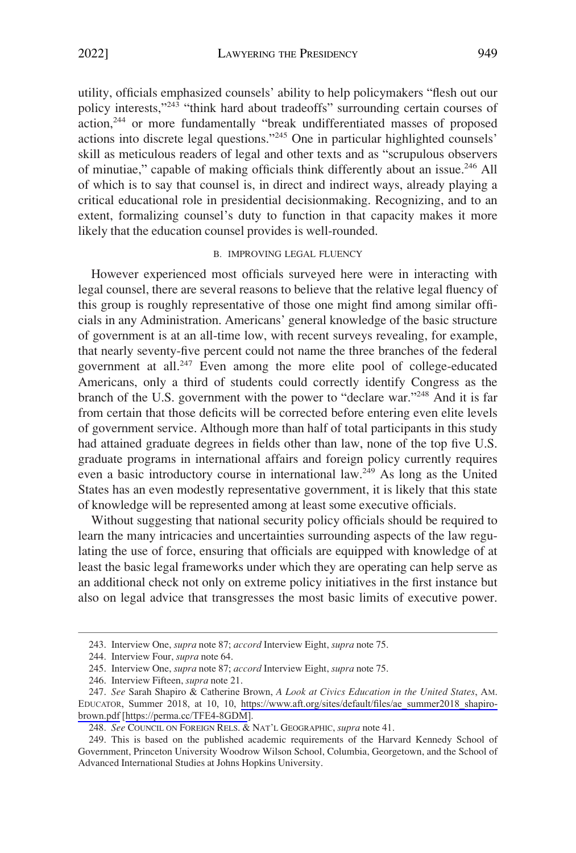<span id="page-50-0"></span>utility, officials emphasized counsels' ability to help policymakers "flesh out our policy interests,"<sup>243</sup> "think hard about tradeoffs" surrounding certain courses of action,244 or more fundamentally "break undifferentiated masses of proposed actions into discrete legal questions."245 One in particular highlighted counsels' skill as meticulous readers of legal and other texts and as "scrupulous observers of minutiae," capable of making officials think differently about an issue.246 All of which is to say that counsel is, in direct and indirect ways, already playing a critical educational role in presidential decisionmaking. Recognizing, and to an extent, formalizing counsel's duty to function in that capacity makes it more likely that the education counsel provides is well-rounded.

#### B. IMPROVING LEGAL FLUENCY

However experienced most officials surveyed here were in interacting with legal counsel, there are several reasons to believe that the relative legal fluency of this group is roughly representative of those one might find among similar officials in any Administration. Americans' general knowledge of the basic structure of government is at an all-time low, with recent surveys revealing, for example, that nearly seventy-five percent could not name the three branches of the federal government at all.<sup>247</sup> Even among the more elite pool of college-educated Americans, only a third of students could correctly identify Congress as the branch of the U.S. government with the power to "declare war."248 And it is far from certain that those deficits will be corrected before entering even elite levels of government service. Although more than half of total participants in this study had attained graduate degrees in fields other than law, none of the top five U.S. graduate programs in international affairs and foreign policy currently requires even a basic introductory course in international law.<sup>249</sup> As long as the United States has an even modestly representative government, it is likely that this state of knowledge will be represented among at least some executive officials.

Without suggesting that national security policy officials should be required to learn the many intricacies and uncertainties surrounding aspects of the law regulating the use of force, ensuring that officials are equipped with knowledge of at least the basic legal frameworks under which they are operating can help serve as an additional check not only on extreme policy initiatives in the first instance but also on legal advice that transgresses the most basic limits of executive power.

<sup>243.</sup> Interview One, *supra* note 87; *accord* Interview Eight, *supra* note 75.

<sup>244.</sup> Interview Four, *supra* note 64.

<sup>245.</sup> Interview One, *supra* note 87; *accord* Interview Eight, *supra* note 75.

<sup>246.</sup> Interview Fifteen, *supra* note 21.

*See* Sarah Shapiro & Catherine Brown, *A Look at Civics Education in the United States*, AM. 247. EDUCATOR, Summer 2018, at 10, 10, [https://www.aft.org/sites/default/files/ae\\_summer2018\\_shapiro](https://www.aft.org/sites/default/files/ae_summer2018_shapiro-brown.pdf)[brown.pdf](https://www.aft.org/sites/default/files/ae_summer2018_shapiro-brown.pdf) [<https://perma.cc/TFE4-8GDM>].

<sup>248.</sup> *See* COUNCIL ON FOREIGN RELS. & NAT'L GEOGRAPHIC, *supra* note 41.

<sup>249.</sup> This is based on the published academic requirements of the Harvard Kennedy School of Government, Princeton University Woodrow Wilson School, Columbia, Georgetown, and the School of Advanced International Studies at Johns Hopkins University.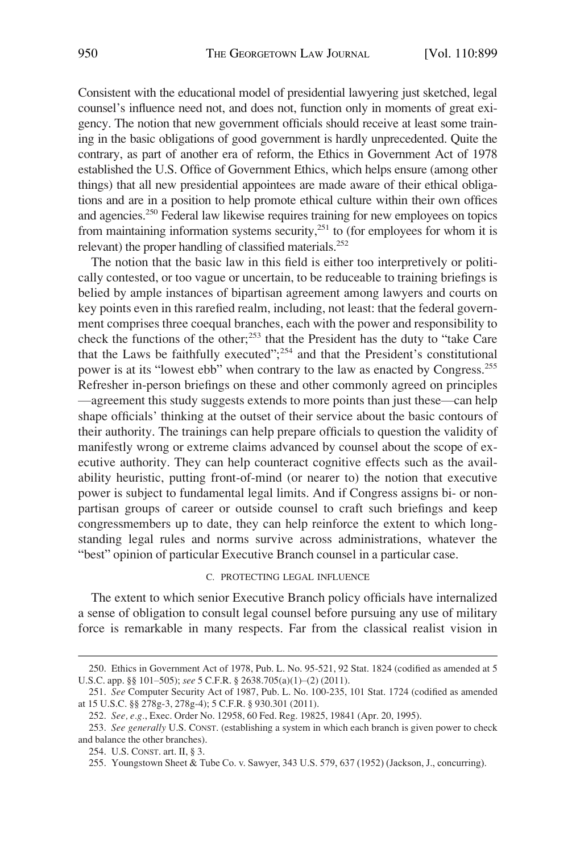<span id="page-51-0"></span>Consistent with the educational model of presidential lawyering just sketched, legal counsel's influence need not, and does not, function only in moments of great exigency. The notion that new government officials should receive at least some training in the basic obligations of good government is hardly unprecedented. Quite the contrary, as part of another era of reform, the Ethics in Government Act of 1978 established the U.S. Office of Government Ethics, which helps ensure (among other things) that all new presidential appointees are made aware of their ethical obligations and are in a position to help promote ethical culture within their own offices and agencies.250 Federal law likewise requires training for new employees on topics from maintaining information systems security, $251$  to (for employees for whom it is relevant) the proper handling of classified materials.<sup>252</sup>

The notion that the basic law in this field is either too interpretively or politically contested, or too vague or uncertain, to be reduceable to training briefings is belied by ample instances of bipartisan agreement among lawyers and courts on key points even in this rarefied realm, including, not least: that the federal government comprises three coequal branches, each with the power and responsibility to check the functions of the other;<sup>253</sup> that the President has the duty to "take Care" that the Laws be faithfully executed"; 254 and that the President's constitutional power is at its "lowest ebb" when contrary to the law as enacted by Congress.<sup>255</sup> Refresher in-person briefings on these and other commonly agreed on principles —agreement this study suggests extends to more points than just these—can help shape officials' thinking at the outset of their service about the basic contours of their authority. The trainings can help prepare officials to question the validity of manifestly wrong or extreme claims advanced by counsel about the scope of executive authority. They can help counteract cognitive effects such as the availability heuristic, putting front-of-mind (or nearer to) the notion that executive power is subject to fundamental legal limits. And if Congress assigns bi- or nonpartisan groups of career or outside counsel to craft such briefings and keep congressmembers up to date, they can help reinforce the extent to which longstanding legal rules and norms survive across administrations, whatever the "best" opinion of particular Executive Branch counsel in a particular case.

#### C. PROTECTING LEGAL INFLUENCE

The extent to which senior Executive Branch policy officials have internalized a sense of obligation to consult legal counsel before pursuing any use of military force is remarkable in many respects. Far from the classical realist vision in

<sup>250.</sup> Ethics in Government Act of 1978, Pub. L. No. 95-521, 92 Stat. 1824 (codified as amended at 5 U.S.C. app. §§ 101–505); *see* 5 C.F.R. § 2638.705(a)(1)–(2) (2011).

<sup>251.</sup> *See* Computer Security Act of 1987, Pub. L. No. 100-235, 101 Stat. 1724 (codified as amended at 15 U.S.C. §§ 278g-3, 278g-4); 5 C.F.R. § 930.301 (2011).

<sup>252.</sup> *See, e.g.*, Exec. Order No. 12958, 60 Fed. Reg. 19825, 19841 (Apr. 20, 1995).

<sup>253.</sup> *See generally* U.S. CONST. (establishing a system in which each branch is given power to check and balance the other branches).

<sup>254.</sup> U.S. CONST. art. II, § 3.

<sup>255.</sup> Youngstown Sheet & Tube Co. v. Sawyer, 343 U.S. 579, 637 (1952) (Jackson, J., concurring).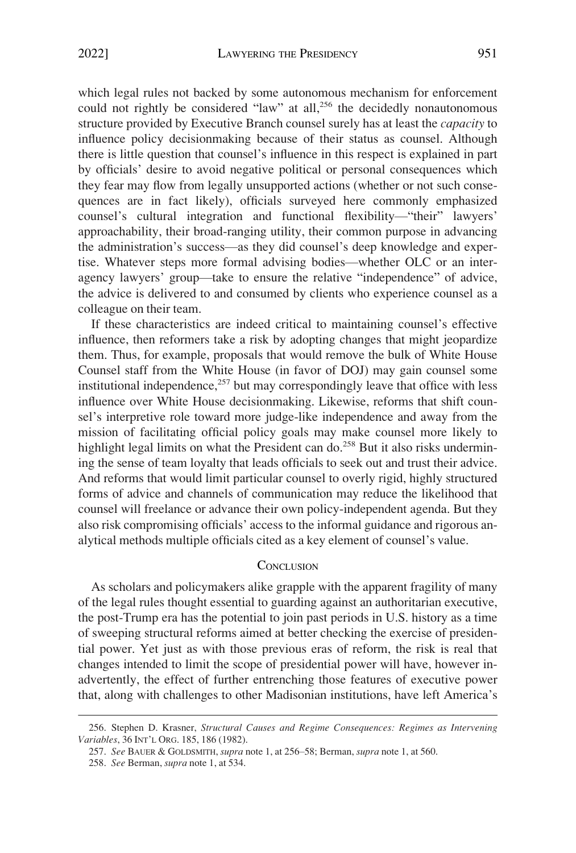<span id="page-52-0"></span>which legal rules not backed by some autonomous mechanism for enforcement could not rightly be considered "law" at all, $256$  the decidedly nonautonomous structure provided by Executive Branch counsel surely has at least the *capacity* to influence policy decisionmaking because of their status as counsel. Although there is little question that counsel's influence in this respect is explained in part by officials' desire to avoid negative political or personal consequences which they fear may flow from legally unsupported actions (whether or not such consequences are in fact likely), officials surveyed here commonly emphasized counsel's cultural integration and functional flexibility—"their" lawyers' approachability, their broad-ranging utility, their common purpose in advancing the administration's success—as they did counsel's deep knowledge and expertise. Whatever steps more formal advising bodies—whether OLC or an interagency lawyers' group—take to ensure the relative "independence" of advice, the advice is delivered to and consumed by clients who experience counsel as a colleague on their team.

If these characteristics are indeed critical to maintaining counsel's effective influence, then reformers take a risk by adopting changes that might jeopardize them. Thus, for example, proposals that would remove the bulk of White House Counsel staff from the White House (in favor of DOJ) may gain counsel some institutional independence, $257$  but may correspondingly leave that office with less influence over White House decisionmaking. Likewise, reforms that shift counsel's interpretive role toward more judge-like independence and away from the mission of facilitating official policy goals may make counsel more likely to highlight legal limits on what the President can do.<sup>258</sup> But it also risks undermining the sense of team loyalty that leads officials to seek out and trust their advice. And reforms that would limit particular counsel to overly rigid, highly structured forms of advice and channels of communication may reduce the likelihood that counsel will freelance or advance their own policy-independent agenda. But they also risk compromising officials' access to the informal guidance and rigorous analytical methods multiple officials cited as a key element of counsel's value.

# **CONCLUSION**

As scholars and policymakers alike grapple with the apparent fragility of many of the legal rules thought essential to guarding against an authoritarian executive, the post-Trump era has the potential to join past periods in U.S. history as a time of sweeping structural reforms aimed at better checking the exercise of presidential power. Yet just as with those previous eras of reform, the risk is real that changes intended to limit the scope of presidential power will have, however inadvertently, the effect of further entrenching those features of executive power that, along with challenges to other Madisonian institutions, have left America's

<sup>256.</sup> Stephen D. Krasner, *Structural Causes and Regime Consequences: Regimes as Intervening Variables*, 36 INT'L ORG. 185, 186 (1982).

<sup>257.</sup> *See* BAUER & GOLDSMITH, *supra* note 1, at 256–58; Berman, *supra* note 1, at 560.

<sup>258.</sup> *See* Berman, *supra* note 1, at 534.